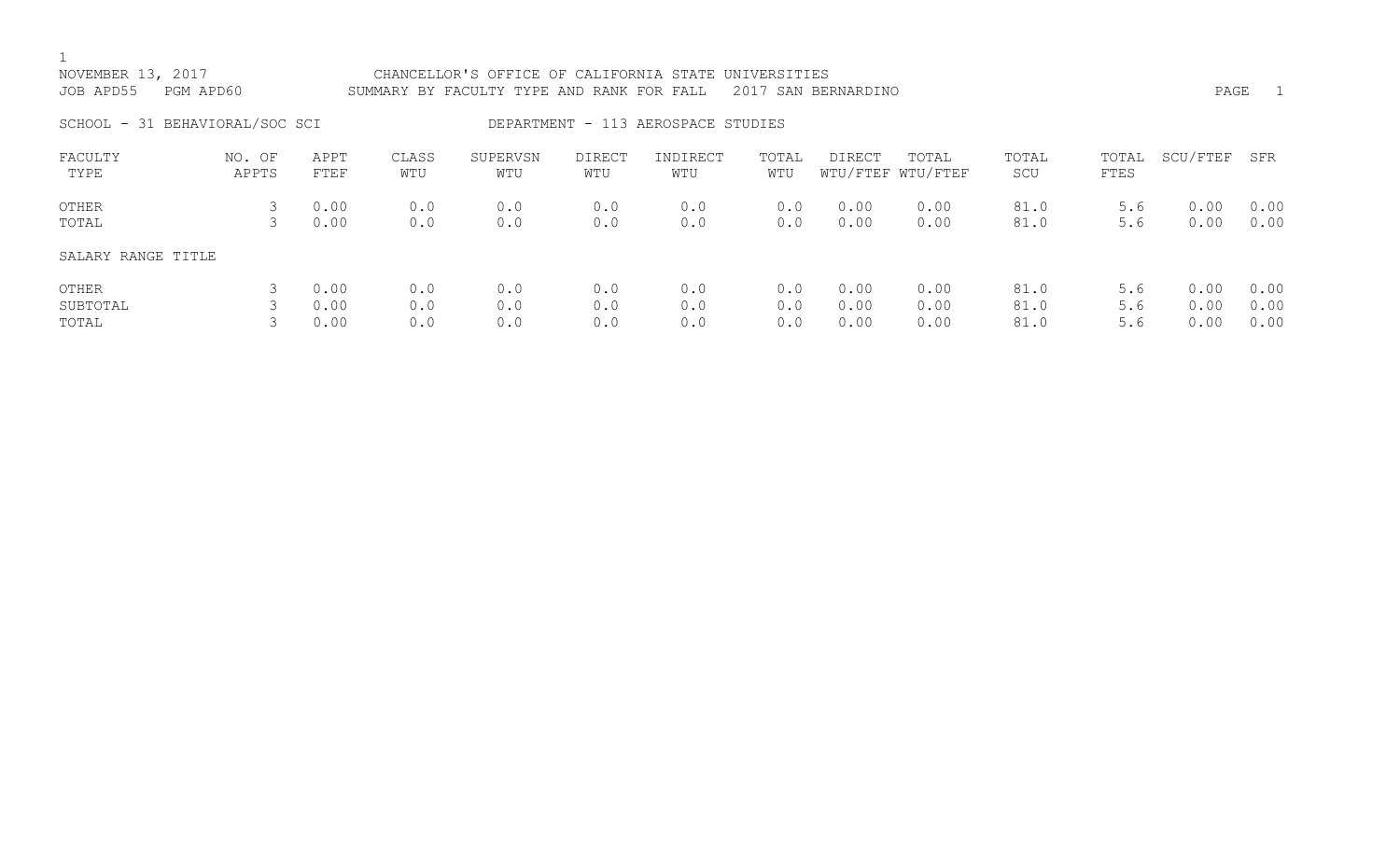| NOVEMBER 13, 2017<br>JOB APD55<br>PGM APD60 |                 |                      |                   | CHANCELLOR'S OFFICE OF CALIFORNIA STATE UNIVERSITIES<br>PAGE<br>$\overline{1}$<br>2017 SAN BERNARDINO<br>SUMMARY BY FACULTY TYPE AND RANK FOR FALL |                      |                                    |                   |                      |                            |                      |                   |                      |                      |
|---------------------------------------------|-----------------|----------------------|-------------------|----------------------------------------------------------------------------------------------------------------------------------------------------|----------------------|------------------------------------|-------------------|----------------------|----------------------------|----------------------|-------------------|----------------------|----------------------|
| SCHOOL - 31 BEHAVIORAL/SOC SCI              |                 |                      |                   |                                                                                                                                                    |                      | DEPARTMENT - 113 AEROSPACE STUDIES |                   |                      |                            |                      |                   |                      |                      |
| FACULTY<br>TYPE                             | NO. OF<br>APPTS | APPT<br>FTEF         | CLASS<br>WTU      | SUPERVSN<br>WTU                                                                                                                                    | <b>DIRECT</b><br>WTU | INDIRECT<br>WTU                    | TOTAL<br>WTU      | DIRECT               | TOTAL<br>WTU/FTEF WTU/FTEF | TOTAL<br>SCU         | TOTAL<br>FTES     | SCU/FTEF             | SFR                  |
| OTHER<br>TOTAL                              |                 | 0.00<br>0.00         | 0.0<br>0.0        | 0.0<br>0.0                                                                                                                                         | 0.0<br>0.0           | 0.0<br>0.0                         | 0.0<br>0.0        | 0.00<br>0.00         | 0.00<br>0.00               | 81.0<br>81.0         | 5.6<br>5.6        | 0.00<br>0.00         | 0.00<br>0.00         |
| SALARY RANGE TITLE                          |                 |                      |                   |                                                                                                                                                    |                      |                                    |                   |                      |                            |                      |                   |                      |                      |
| OTHER<br>SUBTOTAL<br>TOTAL                  |                 | 0.00<br>0.00<br>0.00 | 0.0<br>0.0<br>0.0 | 0.0<br>0.0<br>0.0                                                                                                                                  | 0.0<br>0.0<br>0.0    | 0.0<br>0.0<br>0.0                  | 0.0<br>0.0<br>0.0 | 0.00<br>0.00<br>0.00 | 0.00<br>0.00<br>0.00       | 81.0<br>81.0<br>81.0 | 5.6<br>5.6<br>5.6 | 0.00<br>0.00<br>0.00 | 0.00<br>0.00<br>0.00 |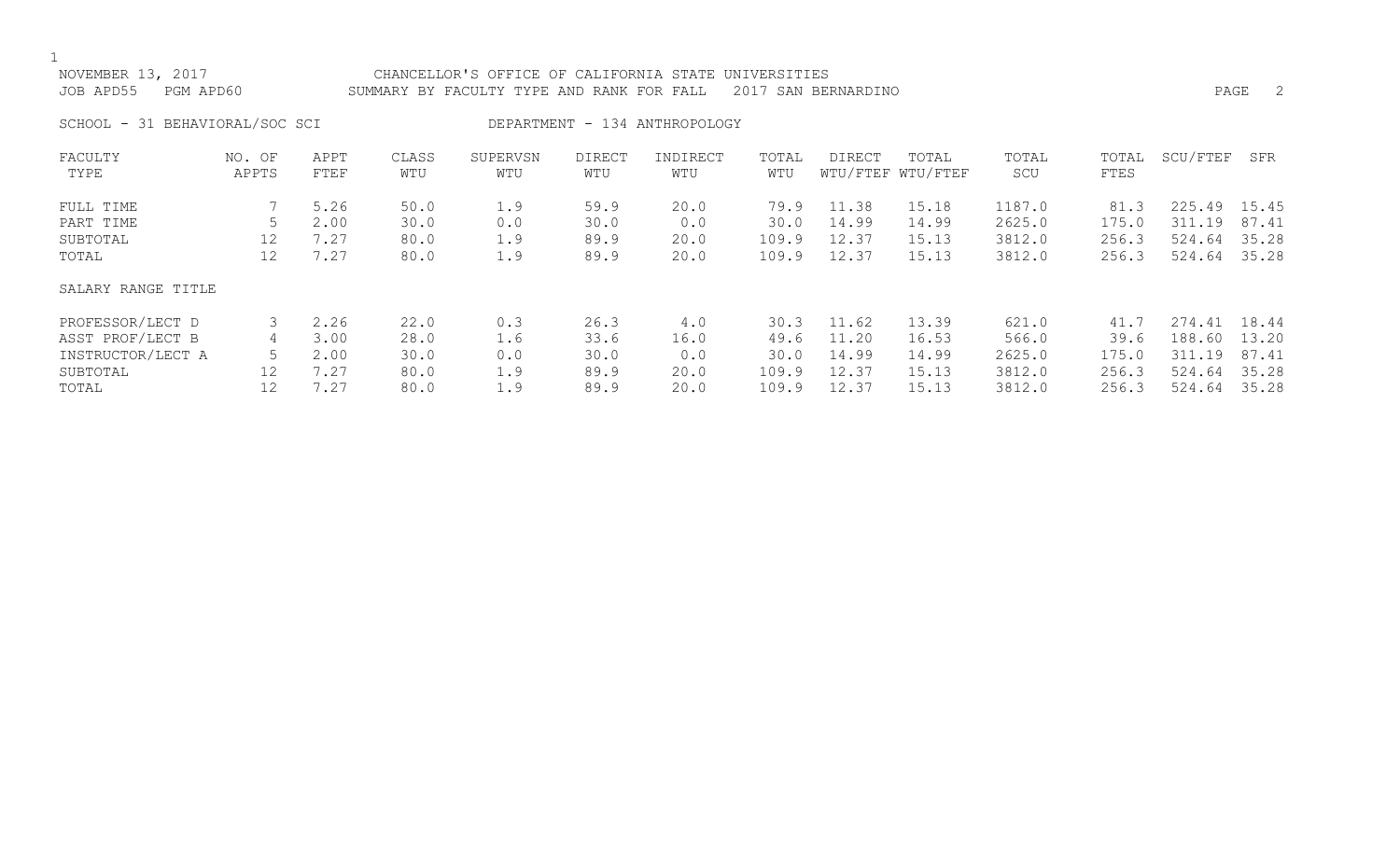| NOVEMBER 13, 2017      | CHANCELLOR'S OFFICE OF CALIFORNIA STATE UNIVERSITIES          |      |  |
|------------------------|---------------------------------------------------------------|------|--|
| JOB APD55    PGM APD60 | SUMMARY BY FACULTY TYPE AND RANK FOR FALL 2017 SAN BERNARDINO | PAGE |  |

SCHOOL - 31 BEHAVIORAL/SOC SCI DEPARTMENT - 134 ANTHROPOLOGY

| FACULTY<br>TYPE    | NO. OF<br>APPTS | APPT<br>FTEF | CLASS<br>WTU | SUPERVSN<br>WTU | DIRECT<br>WTU | INDIRECT<br>WTU | TOTAL<br>WTU | <b>DIRECT</b> | TOTAL<br>WTU/FTEF WTU/FTEF | TOTAL<br>SCU | TOTAL<br>FTES | SCU/FTEF  | SFR   |
|--------------------|-----------------|--------------|--------------|-----------------|---------------|-----------------|--------------|---------------|----------------------------|--------------|---------------|-----------|-------|
|                    |                 |              |              |                 |               |                 |              |               |                            |              |               |           |       |
| FULL TIME          |                 | 5.26         | 50.0         | 1.9             | 59.9          | 20.0            | 79.9         | 11.38         | 15.18                      | 1187.0       | 81.3          | 225.49    | 15.45 |
| PART TIME          |                 | 2.00         | 30.0         | 0.0             | 30.0          | 0.0             | 30.0         | 14.99         | 14.99                      | 2625.0       | 175.0         | 311.19    | 87.41 |
| SUBTOTAL           | 12              | 7.27         | 80.0         | 1.9             | 89.9          | 20.0            | 109.9        | 12.37         | 15.13                      | 3812.0       | 256.3         | 524.64    | 35.28 |
| TOTAL              | 12              | 7.27         | 80.0         | 1.9             | 89.9          | 20.0            | 109.9        | 12.37         | 15.13                      | 3812.0       | 256.3         | 524.64    | 35.28 |
| SALARY RANGE TITLE |                 |              |              |                 |               |                 |              |               |                            |              |               |           |       |
| PROFESSOR/LECT D   |                 | 2.26         | 22.0         | 0.3             | 26.3          | 4.0             | 30.3         | 11.62         | 13.39                      | 621.0        | 41.7          | 274.41    | 18.44 |
| ASST PROF/LECT B   | 4               | 3.00         | 28.0         | 1.6             | 33.6          | 16.0            | 49.6         | 11.20         | 16.53                      | 566.0        | 39.6          | 188.60    | 13.20 |
| INSTRUCTOR/LECT A  | 5               | 2.00         | 30.0         | 0.0             | 30.0          | 0.0             | 30.0         | 14.99         | 14.99                      | 2625.0       | 175.0         | 311<br>19 | 87.41 |
| SUBTOTAL           | 12              | 7.27         | 80.0         | 1.9             | 89.9          | 20.0            | 109.9        | 12.37         | 15.13                      | 3812.0       | 256.3         | 524.64    | 35.28 |
| TOTAL              | 12              | 7.27         | 80.0         | 1.9             | 89.9          | 20.0            | 109.9        | 12.37         | 15.13                      | 3812.0       | 256.3         | 524.64    | 35.28 |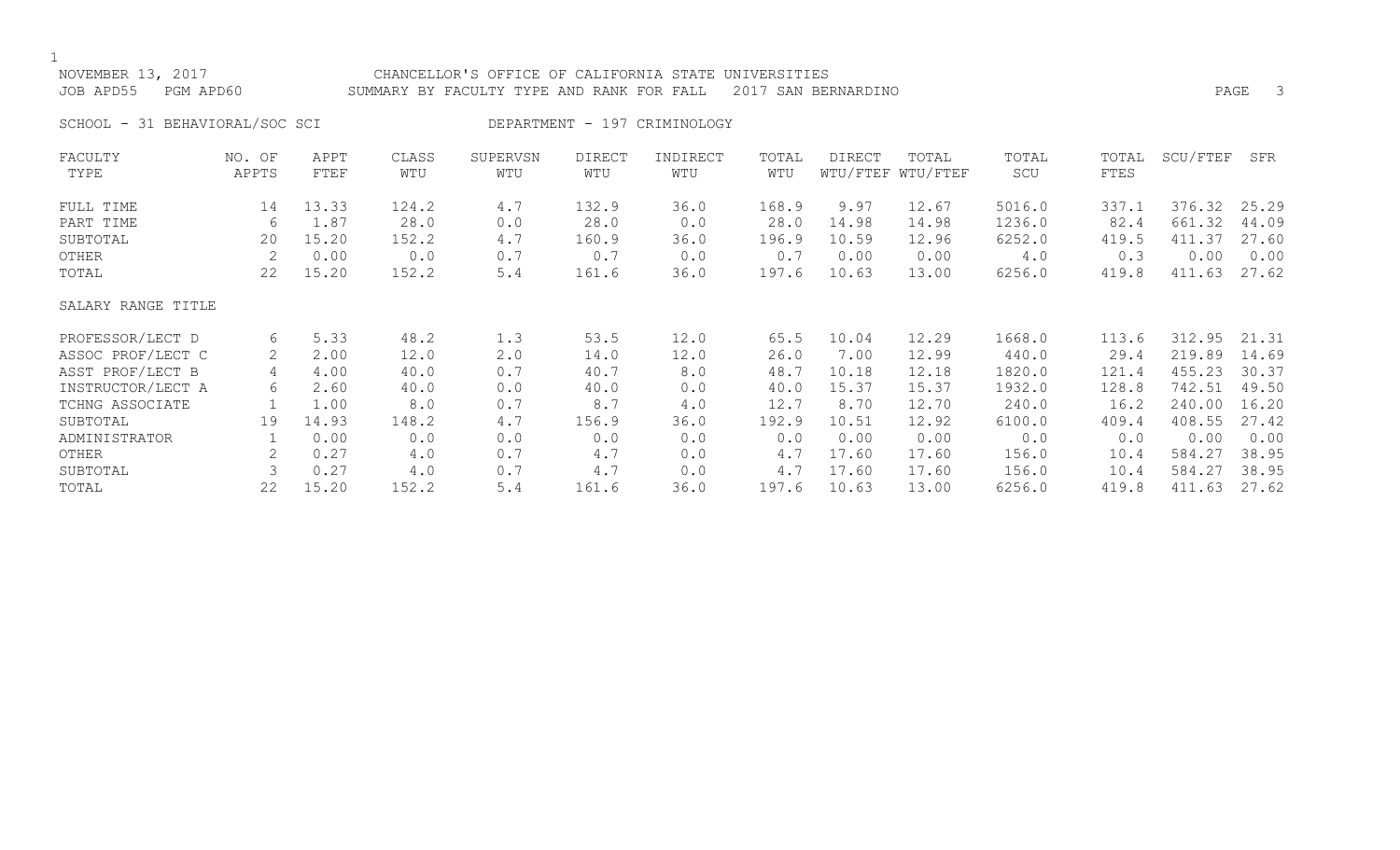## NOVEMBER 13, 2017 CHANCELLOR'S OFFICE OF CALIFORNIA STATE UNIVERSITIES JOB APD55 PGM APD60 SUMMARY BY FACULTY TYPE AND RANK FOR FALL 2017 SAN BERNARDINO

SCHOOL - 31 BEHAVIORAL/SOC SCI DEPARTMENT - 197 CRIMINOLOGY

| FACULTY            | NO. OF | APPT  | CLASS | SUPERVSN | <b>DIRECT</b> | INDIRECT | TOTAL | <b>DIRECT</b> | TOTAL             | TOTAL  | TOTAL | SCU/FTEF | SFR   |
|--------------------|--------|-------|-------|----------|---------------|----------|-------|---------------|-------------------|--------|-------|----------|-------|
| TYPE               | APPTS  | FTEF  | WTU   | WTU      | WTU           | WTU      | WTU   |               | WTU/FTEF WTU/FTEF | SCU    | FTES  |          |       |
| FULL TIME          | 14     | 13.33 | 124.2 | 4.7      | 132.9         | 36.0     | 168.9 | 9.97          | 12.67             | 5016.0 | 337.1 | 376.32   | 25.29 |
| PART TIME          | 6      | 1.87  | 28.0  | 0.0      | 28.0          | 0.0      | 28.0  | 14.98         | 14.98             | 1236.0 | 82.4  | 661.32   | 44.09 |
| SUBTOTAL           | 20     | 15.20 | 152.2 | 4.7      | 160.9         | 36.0     | 196.9 | 10.59         | 12.96             | 6252.0 | 419.5 | 411.37   | 27.60 |
| OTHER              | 2      | 0.00  | 0.0   | 0.7      | 0.7           | 0.0      | 0.7   | 0.00          | 0.00              | 4.0    | 0.3   | 0.00     | 0.00  |
| TOTAL              | 22     | 15.20 | 152.2 | 5.4      | 161.6         | 36.0     | 197.6 | 10.63         | 13.00             | 6256.0 | 419.8 | 411.63   | 27.62 |
| SALARY RANGE TITLE |        |       |       |          |               |          |       |               |                   |        |       |          |       |
| PROFESSOR/LECT D   | 6      | 5.33  | 48.2  | 1.3      | 53.5          | 12.0     | 65.5  | 10.04         | 12.29             | 1668.0 | 113.6 | 312.95   | 21.31 |
| ASSOC PROF/LECT C  | 2      | 2.00  | 12.0  | 2.0      | 14.0          | 12.0     | 26.0  | 7.00          | 12.99             | 440.0  | 29.4  | 219.89   | 14.69 |
| ASST PROF/LECT B   | 4      | 4.00  | 40.0  | 0.7      | 40.7          | 8.0      | 48.7  | 10.18         | 12.18             | 1820.0 | 121.4 | 455.23   | 30.37 |
| INSTRUCTOR/LECT A  | 6      | 2.60  | 40.0  | 0.0      | 40.0          | 0.0      | 40.0  | 15.37         | 15.37             | 1932.0 | 128.8 | 742.51   | 49.50 |
| TCHNG ASSOCIATE    |        | 1.00  | 8.0   | 0.7      | 8.7           | 4.0      | 12.7  | 8.70          | 12.70             | 240.0  | 16.2  | 240.00   | 16.20 |
| SUBTOTAL           | 19     | 14.93 | 148.2 | 4.7      | 156.9         | 36.0     | 192.9 | 10.51         | 12.92             | 6100.0 | 409.4 | 408.55   | 27.42 |
| ADMINISTRATOR      |        | 0.00  | 0.0   | 0.0      | 0.0           | 0.0      | 0.0   | 0.00          | 0.00              | 0.0    | 0.0   | 0.00     | 0.00  |
| OTHER              |        | 0.27  | 4.0   | 0.7      | 4.7           | 0.0      | 4.7   | 17.60         | 17.60             | 156.0  | 10.4  | 584.27   | 38.95 |
| SUBTOTAL           |        | 0.27  | 4.0   | 0.7      | 4.7           | 0.0      | 4.7   | 17.60         | 17.60             | 156.0  | 10.4  | 584.27   | 38.95 |
| TOTAL              | 22     | 15.20 | 152.2 | 5.4      | 161.6         | 36.0     | 197.6 | 10.63         | 13.00             | 6256.0 | 419.8 | 411.63   | 27.62 |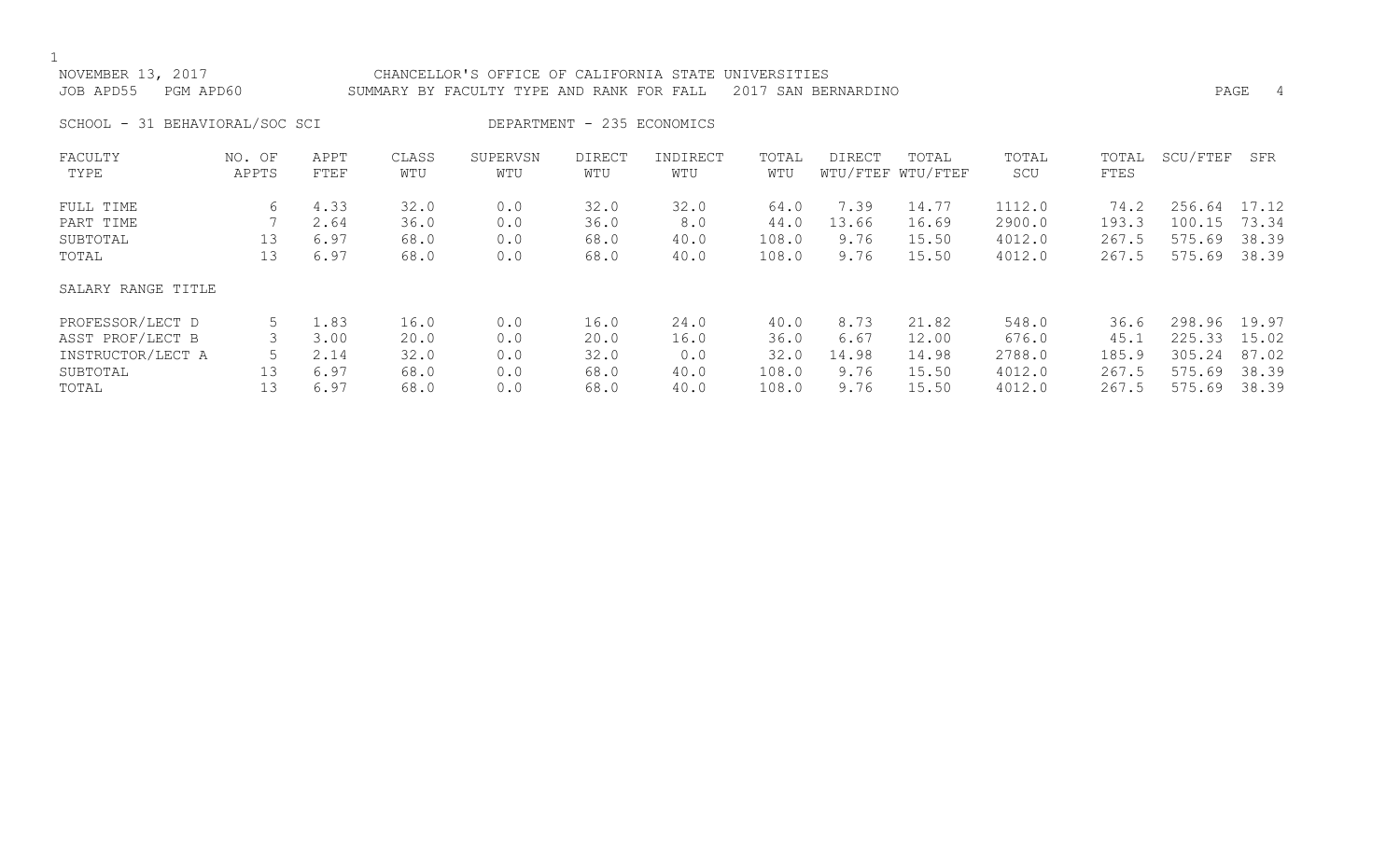| NOVEMBER 13, 2017<br>JOB APD55<br>PGM APD60 |                                |                              |                              | CHANCELLOR'S OFFICE OF CALIFORNIA STATE UNIVERSITIES<br>PAGE<br>SUMMARY BY FACULTY TYPE AND RANK FOR FALL<br>2017 SAN BERNARDINO |                              |                             |                                |                               |                                  |                                      |                                 |                                                  | 4              |
|---------------------------------------------|--------------------------------|------------------------------|------------------------------|----------------------------------------------------------------------------------------------------------------------------------|------------------------------|-----------------------------|--------------------------------|-------------------------------|----------------------------------|--------------------------------------|---------------------------------|--------------------------------------------------|----------------|
|                                             | SCHOOL - 31 BEHAVIORAL/SOC SCI |                              |                              |                                                                                                                                  |                              | DEPARTMENT - 235 ECONOMICS  |                                |                               |                                  |                                      |                                 |                                                  |                |
| FACULTY<br>TYPE                             | NO. OF<br>APPTS                | APPT<br>FTEF                 | CLASS<br>WTU                 | SUPERVSN<br>WTU                                                                                                                  | <b>DIRECT</b><br>WTU         | INDIRECT<br>WTU             | TOTAL<br>WTU                   | DIRECT                        | TOTAL<br>WTU/FTEF WTU/FTEF       | TOTAL<br>SCU                         | TOTAL<br>FTES                   | SCU/FTEF                                         | SFR            |
| FULL TIME<br>PART TIME<br>SUBTOTAL<br>TOTAL | 6<br>13<br>13                  | 4.33<br>2.64<br>6.97<br>6.97 | 32.0<br>36.0<br>68.0<br>68.0 | 0.0<br>0.0<br>0.0<br>0.0                                                                                                         | 32.0<br>36.0<br>68.0<br>68.0 | 32.0<br>8.0<br>40.0<br>40.0 | 64.0<br>44.0<br>108.0<br>108.0 | 7.39<br>13.66<br>9.76<br>9.76 | 14.77<br>16.69<br>15.50<br>15.50 | 1112.0<br>2900.0<br>4012.0<br>4012.0 | 74.2<br>193.3<br>267.5<br>267.5 | 256.64 17.12<br>100.15 73.34<br>575.69<br>575.69 | 38.39<br>38.39 |
| SALARY RANGE TITLE                          |                                |                              |                              |                                                                                                                                  |                              |                             |                                |                               |                                  |                                      |                                 |                                                  |                |

| PROFESSOR/LECT D  |  | L.83 | 16.0 | 0.0 | 16.0 | 24.0 | 40.0  | 8.73  | 21.82 | 548.0  | 36.6  | 298.96       | 19.97 |
|-------------------|--|------|------|-----|------|------|-------|-------|-------|--------|-------|--------------|-------|
| ASST PROF/LECT B  |  | 3.00 | 20.0 |     | 20.0 | ⊥6.0 | 36.0  | 6.67  | 12.00 | 676.0  | 45.1  | 225.33 15.02 |       |
| INSTRUCTOR/LECT A |  | 2.14 |      | 0.0 | 32.0 | 0.0  | 32.0  | 14.98 | 14.98 | 2788.0 | 185.9 | 305.24       | 87.02 |
| SUBTOTAL          |  | 6.97 | 68.0 | 0.0 | 68.0 | 40.0 | 108.0 | 9.76  | 15.50 | 4012.0 | 267.5 | 575.69       | 38.39 |
| TOTAL             |  | 6.97 | 68.0 | 0.0 | 68.0 | 40.0 | 108.0 | 9.76  | 15.50 | 4012.0 | 267.5 | 575.69       | 38.39 |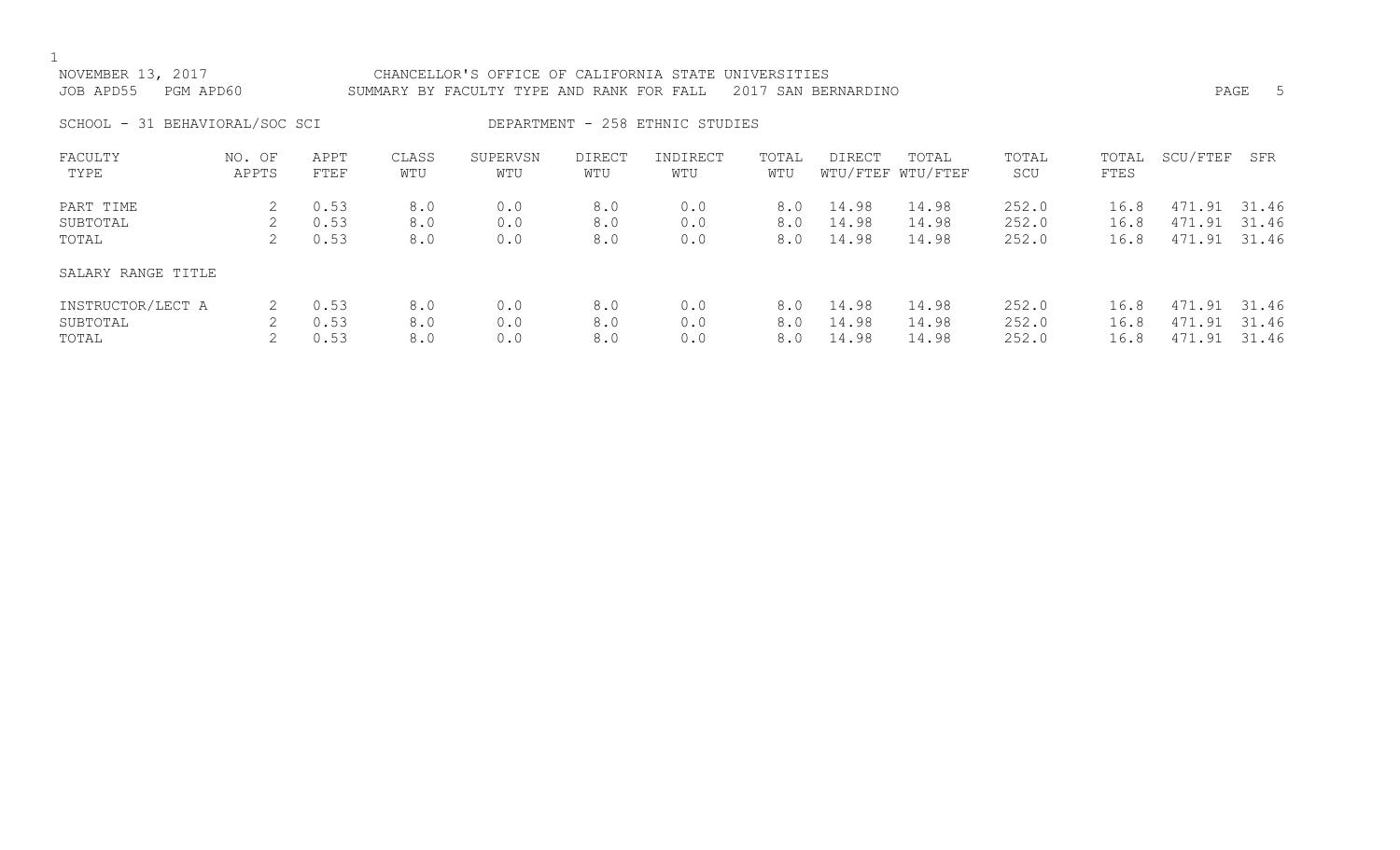| NOVEMBER 13, 2017<br>JOB APD55 | PGM APD60       |                             |                   | CHANCELLOR'S OFFICE OF CALIFORNIA STATE UNIVERSITIES<br>2017 SAN BERNARDINO<br>SUMMARY BY FACULTY TYPE AND RANK FOR FALL |                      |                                 |                   |                                    |                            |                         |                      |                                  | $-5$<br>PAGE   |
|--------------------------------|-----------------|-----------------------------|-------------------|--------------------------------------------------------------------------------------------------------------------------|----------------------|---------------------------------|-------------------|------------------------------------|----------------------------|-------------------------|----------------------|----------------------------------|----------------|
| SCHOOL - 31 BEHAVIORAL/SOC SCI |                 |                             |                   |                                                                                                                          |                      | DEPARTMENT - 258 ETHNIC STUDIES |                   |                                    |                            |                         |                      |                                  |                |
| FACULTY<br>TYPE                | NO. OF<br>APPTS | APPT<br>FTEF                | CLASS<br>WTU      | SUPERVSN<br>WTU                                                                                                          | <b>DIRECT</b><br>WTU | INDIRECT<br>WTU                 | TOTAL<br>WTU      | <b>DIRECT</b>                      | TOTAL<br>WTU/FTEF WTU/FTEF | TOTAL<br>SCU            | TOTAL<br>FTES        | SCU/FTEF                         | SFR            |
| PART TIME<br>SUBTOTAL<br>TOTAL | 2<br>2          | 0.53<br>0.53<br>0.53        | 8.0<br>8.0<br>8.0 | 0.0<br>0.0<br>0.0                                                                                                        | 8.0<br>8.0<br>8.0    | 0.0<br>0.0<br>0.0               | 8.0<br>8.0<br>8.0 | 14.98<br>14.98<br>14.98            | 14.98<br>14.98<br>14.98    | 252.0<br>252.0<br>252.0 | 16.8<br>16.8<br>16.8 | 471.91<br>471.91 31.46<br>471.91 | 31.46<br>31.46 |
| SALARY RANGE TITLE             |                 | $\sim$ $\sim$ $\sim$ $\sim$ | $\sim$ $\sim$     | $\sim$ $\sim$                                                                                                            | $\sim$ $\sim$        | $\sim$ $\sim$                   |                   | $\sim$ $\sim$ $\sim$ $\sim$ $\sim$ |                            | $\cap$ $\cap$ $\cap$    | $\sim$ $\sim$        | $\overline{a}$                   |                |

| INSTRUCTOR/LECT A    2   0.53    8.0    0.0     8.0    0.0     8.0  14.98   14.98   252.0    16.8  471.91 31.46 |  |  |  |  |                                                                                           |  |  |
|-----------------------------------------------------------------------------------------------------------------|--|--|--|--|-------------------------------------------------------------------------------------------|--|--|
| SUBTOTAL                                                                                                        |  |  |  |  | 2  0.53    8.0    0.0     8.0    0.0     8.0  14.98   14.98   252.0    16.8  471.91 31.46 |  |  |
| TOTAL                                                                                                           |  |  |  |  | 2 0.53 8.0 0.0 8.0 0.0 8.0 14.98 14.98 252.0 16.8 471.91 31.46                            |  |  |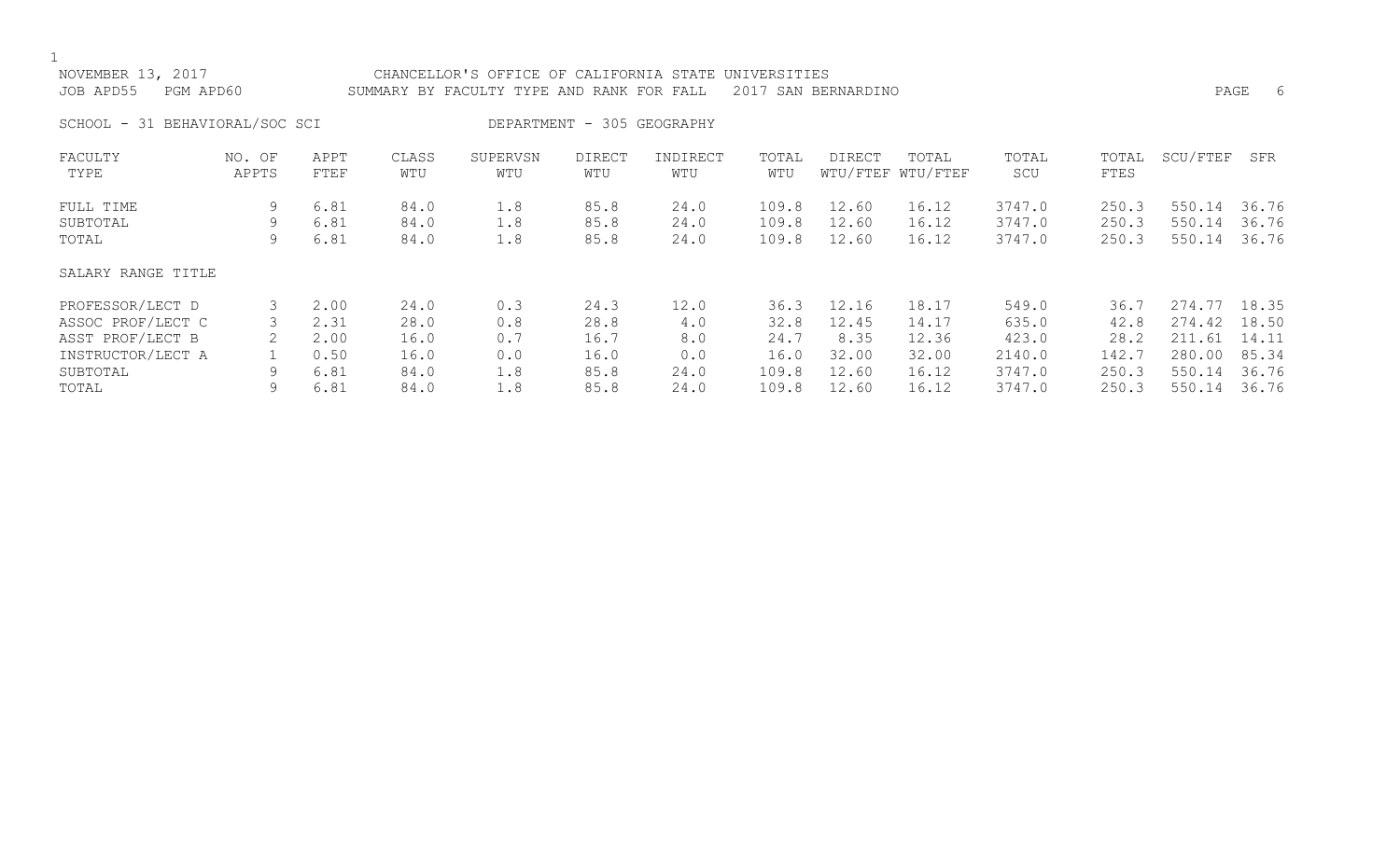| NOVEMBER 13, 2017<br>PGM APD60<br>JOB APD55 |                 |              |              | CHANCELLOR'S OFFICE OF CALIFORNIA STATE UNIVERSITIES<br>2017 SAN BERNARDINO<br>SUMMARY BY FACULTY TYPE AND RANK FOR FALL |                            |                 |              |               |                            |              |               |              | PAGE<br>6 |
|---------------------------------------------|-----------------|--------------|--------------|--------------------------------------------------------------------------------------------------------------------------|----------------------------|-----------------|--------------|---------------|----------------------------|--------------|---------------|--------------|-----------|
| SCHOOL - 31 BEHAVIORAL/SOC SCI              |                 |              |              |                                                                                                                          | DEPARTMENT - 305 GEOGRAPHY |                 |              |               |                            |              |               |              |           |
| FACULTY<br>TYPE                             | NO. OF<br>APPTS | APPT<br>FTEF | CLASS<br>WTU | SUPERVSN<br>WTU                                                                                                          | <b>DIRECT</b><br>WTU       | INDIRECT<br>WTU | TOTAL<br>WTU | <b>DIRECT</b> | TOTAL<br>WTU/FTEF WTU/FTEF | TOTAL<br>SCU | TOTAL<br>FTES | SCU/FTEF     | SFR       |
| FULL TIME                                   | 9               | 6.81         | 84.0         | 1.8                                                                                                                      | 85.8                       | 24.0            | 109.8        | 12.60         | 16.12                      | 3747.0       | 250.3         | 550.14       | 36.76     |
| SUBTOTAL                                    | 9               | 6.81         | 84.0         | 1.8                                                                                                                      | 85.8                       | 24.0            | 109.8        | 12.60         | 16.12                      | 3747.0       | 250.3         | 550.14       | 36.76     |
| TOTAL                                       | 9               | 6.81         | 84.0         | 1.8                                                                                                                      | 85.8                       | 24.0            | 109.8        | 12.60         | 16.12                      | 3747.0       | 250.3         | 550.14       | 36.76     |
| SALARY RANGE TITLE                          |                 |              |              |                                                                                                                          |                            |                 |              |               |                            |              |               |              |           |
| PROFESSOR/LECT D                            | 3               | 2.00         | 24.0         | 0.3                                                                                                                      | 24.3                       | 12.0            | 36.3         | 12.16         | 18.17                      | 549.0        | 36.7          | 274.77 18.35 |           |
| ASSOC PROF/LECT C                           |                 | 2.31         | 28.0         | 0.8                                                                                                                      | 28.8                       | 4.0             | 32.8         | 12.45         | 14.17                      | 635.0        | 42.8          | 274.42       | 18.50     |
| ASST PROF/LECT B                            |                 | 2.00         | 16.0         | 0.7                                                                                                                      | 16.7                       | 8.0             | 24.7         | 8.35          | 12.36                      | 423.0        | 28.2          | 211.61       | 14.11     |
| INSTRUCTOR/LECT A                           |                 | 0.50         | 16.0         | 0.0                                                                                                                      | 16.0                       | 0.0             | 16.0         | 32.00         | 32.00                      | 2140.0       | 142.7         | 280.00       | 85.34     |
| SUBTOTAL                                    | 9               | 6.81         | 84.0         | 1.8                                                                                                                      | 85.8                       | 24.0            | 109.8        | 12.60         | 16.12                      | 3747.0       | 250.3         | 550.14       | 36.76     |
| TOTAL                                       | 9               | 6.81         | 84.0         | 1.8                                                                                                                      | 85.8                       | 24.0            | 109.8        | 12.60         | 16.12                      | 3747.0       | 250.3         | 550.14       | 36.76     |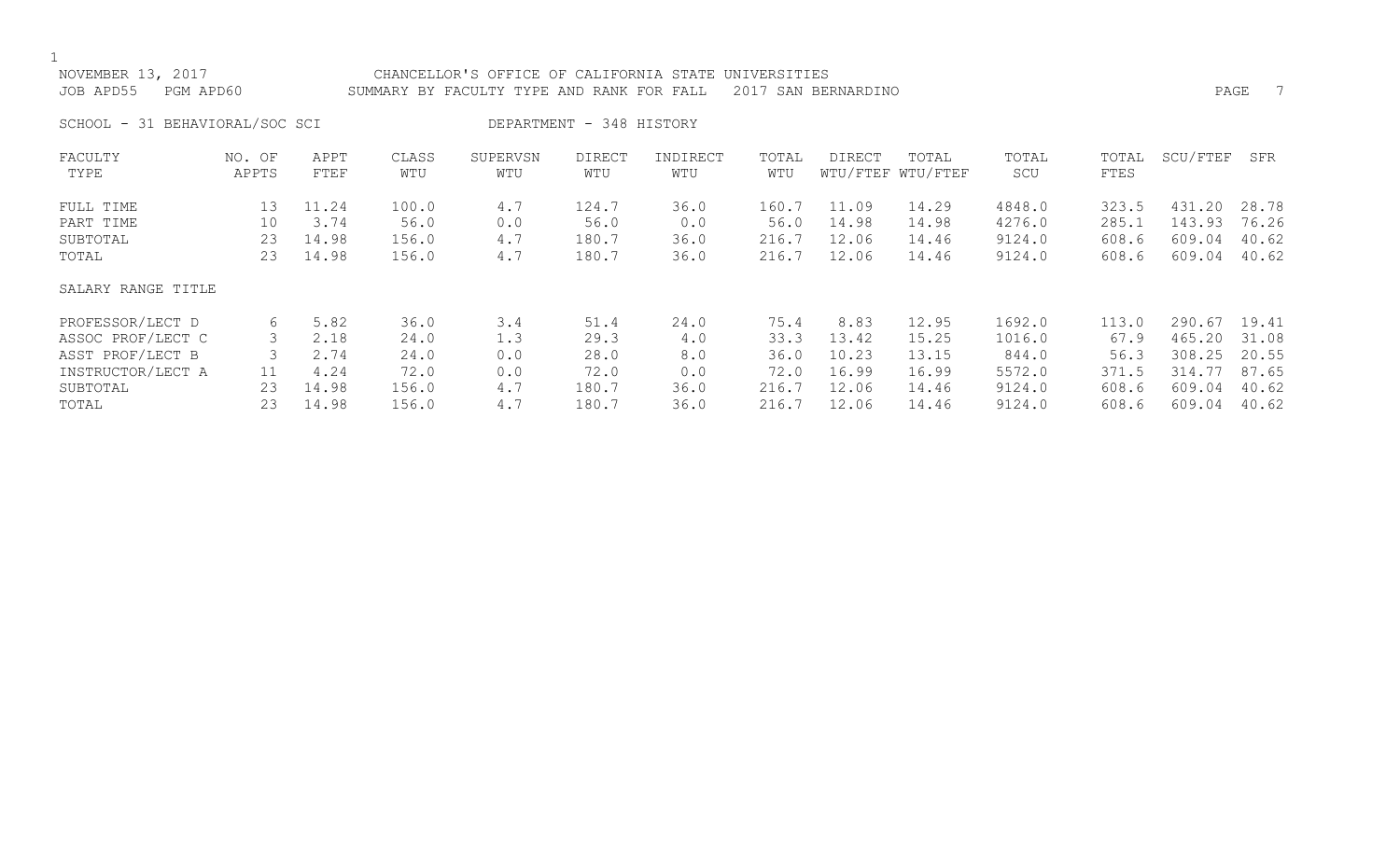| NOVEMBER 13, 2017<br>JOB APD55<br>PGM APD60 |                 |              |              | CHANCELLOR'S OFFICE OF CALIFORNIA STATE<br>UNIVERSITIES<br>SUMMARY BY FACULTY TYPE AND RANK FOR FALL<br>2017 SAN BERNARDINO |                          |                 |              |               |                            |              |               |          | 7<br>PAGE |
|---------------------------------------------|-----------------|--------------|--------------|-----------------------------------------------------------------------------------------------------------------------------|--------------------------|-----------------|--------------|---------------|----------------------------|--------------|---------------|----------|-----------|
| SCHOOL - 31 BEHAVIORAL/SOC SCI              |                 |              |              |                                                                                                                             | DEPARTMENT - 348 HISTORY |                 |              |               |                            |              |               |          |           |
| FACULTY<br>TYPE                             | NO. OF<br>APPTS | APPT<br>FTEF | CLASS<br>WTU | SUPERVSN<br>WTU                                                                                                             | <b>DIRECT</b><br>WTU     | INDIRECT<br>WTU | TOTAL<br>WTU | <b>DIRECT</b> | TOTAL<br>WTU/FTEF WTU/FTEF | TOTAL<br>SCU | TOTAL<br>FTES | SCU/FTEF | SFR       |
| FULL TIME                                   | 13              | 11.24        | 100.0        | 4.7                                                                                                                         | 124.7                    | 36.0            | 160.7        | 11.09         | 14.29                      | 4848.0       | 323.5         | 431.20   | 28.78     |
| PART TIME                                   | 10              | 3.74         | 56.0         | 0.0                                                                                                                         | 56.0                     | 0.0             | 56.0         | 14.98         | 14.98                      | 4276.0       | 285.1         | 143.93   | 76.26     |
| SUBTOTAL                                    | 23              | 14.98        | 156.0        | 4.7                                                                                                                         | 180.7                    | 36.0            | 216.7        | 12.06         | 14.46                      | 9124.0       | 608.6         | 609.04   | 40.62     |
| TOTAL                                       | 23              | 14.98        | 156.0        | 4.7                                                                                                                         | 180.7                    | 36.0            | 216.7        | 12.06         | 14.46                      | 9124.0       | 608.6         | 609.04   | 40.62     |
| SALARY RANGE TITLE                          |                 |              |              |                                                                                                                             |                          |                 |              |               |                            |              |               |          |           |
| PROFESSOR/LECT D                            | 6               | 5.82         | 36.0         | 3.4                                                                                                                         | 51.4                     | 24.0            | 75.4         | 8.83          | 12.95                      | 1692.0       | 113.0         | 290.67   | 19.41     |
| ASSOC PROF/LECT C                           |                 | 2.18         | 24.0         | 1.3                                                                                                                         | 29.3                     | 4.0             | 33.3         | 13.42         | 15.25                      | 1016.0       | 67.9          | 465.20   | 31.08     |

| ASSOC PROF/LECT C | 2.18  | 24.0  |     | 29.3  |      | 33.3  | 13.42 | 15.25 | 1016.0 | 67.9  | 465.20 31.08 |  |
|-------------------|-------|-------|-----|-------|------|-------|-------|-------|--------|-------|--------------|--|
| ASST PROF/LECT B  | 2.74  | 24.0  | 0.0 | 28.0  |      | 36.0  | 10.23 | 13.15 | 844.0  | 56.3  | 308.25 20.55 |  |
| INSTRUCTOR/LECT A | 4.24  | 72.0  | 0.0 | 72.0  |      | 72.0  | 16.99 | 16.99 | 5572.0 | 371.5 | 314.77 87.65 |  |
| SUBTOTAL          | 14.98 | 156.0 |     | 180.7 | 36.0 | 216.7 | 12.06 | 14.46 | 9124.0 | 608.6 | 609.04 40.62 |  |
| TOTAL             | 14.98 | 156.0 |     | 180.7 | 36.0 | 216.7 | 12.06 | 14.46 | 9124.0 | 608.6 | 609.04 40.62 |  |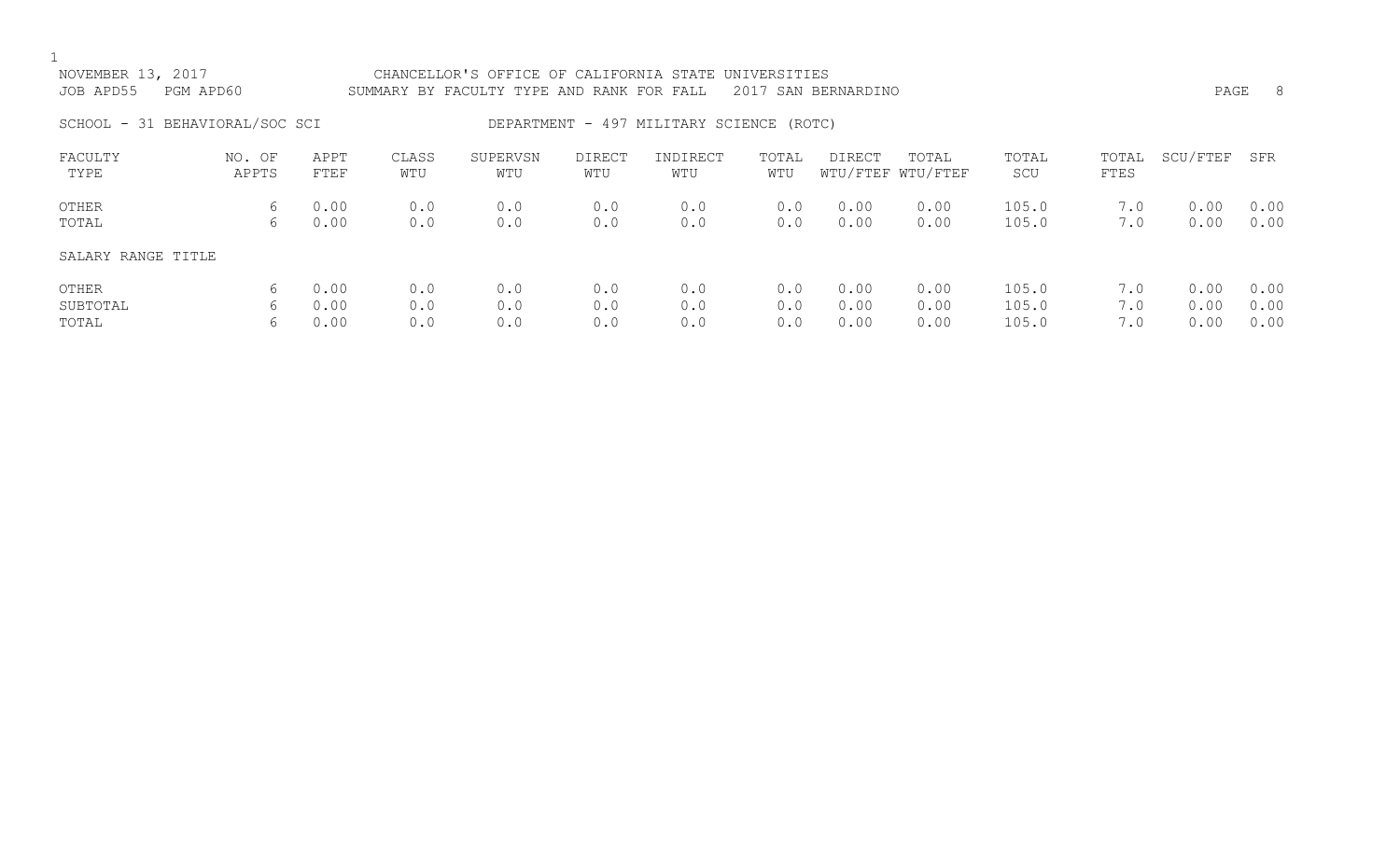| NOVEMBER 13, 2017<br>JOB APD55<br>PGM APD60 |                 |                      | CHANCELLOR'S OFFICE OF CALIFORNIA STATE UNIVERSITIES<br>2017<br>SUMMARY BY FACULTY TYPE AND RANK FOR FALL<br>SAN BERNARDINO |                   |                      |                                          |                   |                      |                            |                         |                   | -8<br>PAGE           |                      |
|---------------------------------------------|-----------------|----------------------|-----------------------------------------------------------------------------------------------------------------------------|-------------------|----------------------|------------------------------------------|-------------------|----------------------|----------------------------|-------------------------|-------------------|----------------------|----------------------|
| SCHOOL - 31 BEHAVIORAL/SOC SCI              |                 |                      |                                                                                                                             |                   |                      | DEPARTMENT - 497 MILITARY SCIENCE (ROTC) |                   |                      |                            |                         |                   |                      |                      |
| FACULTY<br>TYPE                             | NO. OF<br>APPTS | APPT<br>FTEF         | CLASS<br>WTU                                                                                                                | SUPERVSN<br>WTU   | <b>DIRECT</b><br>WTU | INDIRECT<br>WTU                          | TOTAL<br>WTU      | DIRECT               | TOTAL<br>WTU/FTEF WTU/FTEF | TOTAL<br>SCU            | TOTAL<br>FTES     | SCU/FTEF             | SFR                  |
| OTHER<br>TOTAL                              | 6<br>6          | 0.00<br>0.00         | 0.0<br>0.0                                                                                                                  | 0.0<br>0.0        | 0.0<br>0.0           | 0.0<br>0.0                               | 0.0<br>0.0        | 0.00<br>0.00         | 0.00<br>0.00               | 105.0<br>105.0          | 7.0<br>7.0        | 0.00<br>0.00         | 0.00<br>0.00         |
| SALARY RANGE TITLE                          |                 |                      |                                                                                                                             |                   |                      |                                          |                   |                      |                            |                         |                   |                      |                      |
| OTHER<br>SUBTOTAL<br>TOTAL                  | 6<br>6<br>6     | 0.00<br>0.00<br>0.00 | 0.0<br>0.0<br>0.0                                                                                                           | 0.0<br>0.0<br>0.0 | 0.0<br>0.0<br>0.0    | 0.0<br>0.0<br>0.0                        | 0.0<br>0.0<br>0.0 | 0.00<br>0.00<br>0.00 | 0.00<br>0.00<br>0.00       | 105.0<br>105.0<br>105.0 | 7.0<br>7.0<br>7.0 | 0.00<br>0.00<br>0.00 | 0.00<br>0.00<br>0.00 |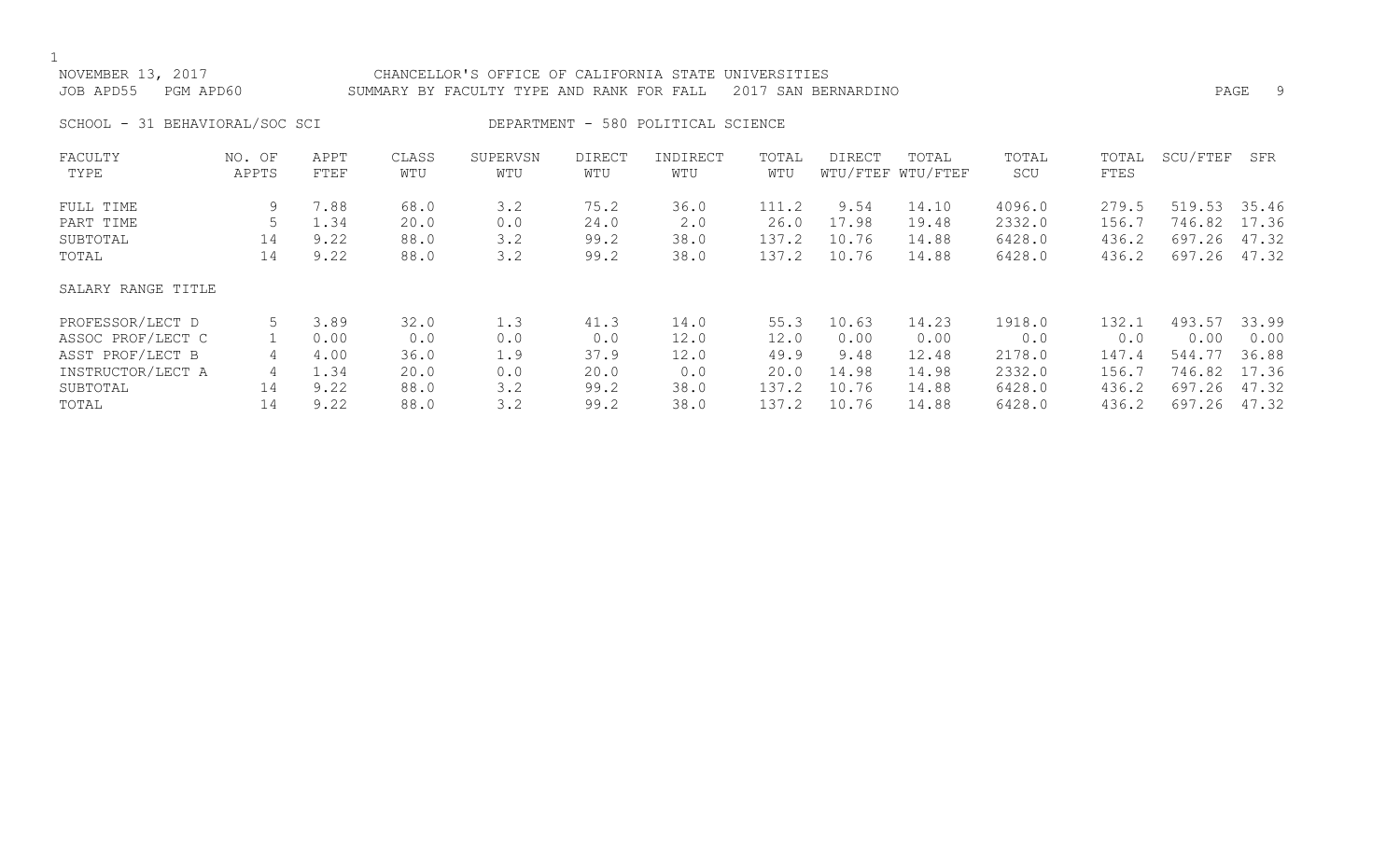$1$  NOV

| NOVEMBER 13, 2017              | CHANCELLOR'S OFFICE OF CALIFORNIA STATE UNIVERSITIES          |      |  |
|--------------------------------|---------------------------------------------------------------|------|--|
| JOB APD55    PGM APD60         | SUMMARY BY FACULTY TYPE AND RANK FOR FALL 2017 SAN BERNARDINO | PAGE |  |
| SCHOOL - 31 BEHAVIORAL/SOC SCI | DEPARTMENT - 580 POLITICAL SCIENCE                            |      |  |

| FACULTY            | NO. OF | APPT | CLASS | SUPERVSN | <b>DIRECT</b> | INDIRECT | TOTAL | DIRECT | TOTAL             | TOTAL  | TOTAL | SCU/FTEF | SFR   |
|--------------------|--------|------|-------|----------|---------------|----------|-------|--------|-------------------|--------|-------|----------|-------|
| TYPE               | APPTS  | FTEF | WTU   | WTU      | WTU           | WTU      | WTU   |        | WTU/FTEF WTU/FTEF | SCU    | FTES  |          |       |
| FULL TIME          | 9      | 7.88 | 68.0  | 3.2      | 75.2          | 36.0     | 111.2 | 9.54   | 14.10             | 4096.0 | 279.5 | 519.53   | 35.46 |
| PART TIME          |        | 1.34 | 20.0  | 0.0      | 24.0          | 2.0      | 26.0  | 17.98  | 19.48             | 2332.0 | 156.7 | 746.82   | 17.36 |
| SUBTOTAL           | 14     | 9.22 | 88.0  | 3.2      | 99.2          | 38.0     | 137.2 | 10.76  | 14.88             | 6428.0 | 436.2 | 697.26   | 47.32 |
| TOTAL              | 14     | 9.22 | 88.0  | 3.2      | 99.2          | 38.0     | 137.2 | 10.76  | 14.88             | 6428.0 | 436.2 | 697.26   | 47.32 |
| SALARY RANGE TITLE |        |      |       |          |               |          |       |        |                   |        |       |          |       |
| PROFESSOR/LECT D   |        | 3.89 | 32.0  | 1.3      | 41.3          | 14.0     | 55.3  | 10.63  | 14.23             | 1918.0 | 132.1 | 493.57   | 33.99 |
| ASSOC PROF/LECT C  |        | 0.00 | 0.0   | 0.0      | 0.0           | 12.0     | 12.0  | 0.00   | 0.00              | 0.0    | 0.0   | 0.00     | 0.00  |
| ASST PROF/LECT B   | 4      | 4.00 | 36.0  | 1.9      | 37.9          | 12.0     | 49.9  | 9.48   | 12.48             | 2178.0 | 147.4 | 544.77   | 36.88 |
| INSTRUCTOR/LECT A  | 4      | 1.34 | 20.0  | 0.0      | 20.0          | 0.0      | 20.0  | 14.98  | 14.98             | 2332.0 | 156.7 | 746.82   | 17.36 |
| SUBTOTAL           | 14     | 9.22 | 88.0  | 3.2      | 99.2          | 38.0     | 137.2 | 10.76  | 14.88             | 6428.0 | 436.2 | 697.26   | 47.32 |
| TOTAL              | 14     | 9.22 | 88.0  | 3.2      | 99.2          | 38.0     | 137.2 | 10.76  | 14.88             | 6428.0 | 436.2 | 697.26   | 47.32 |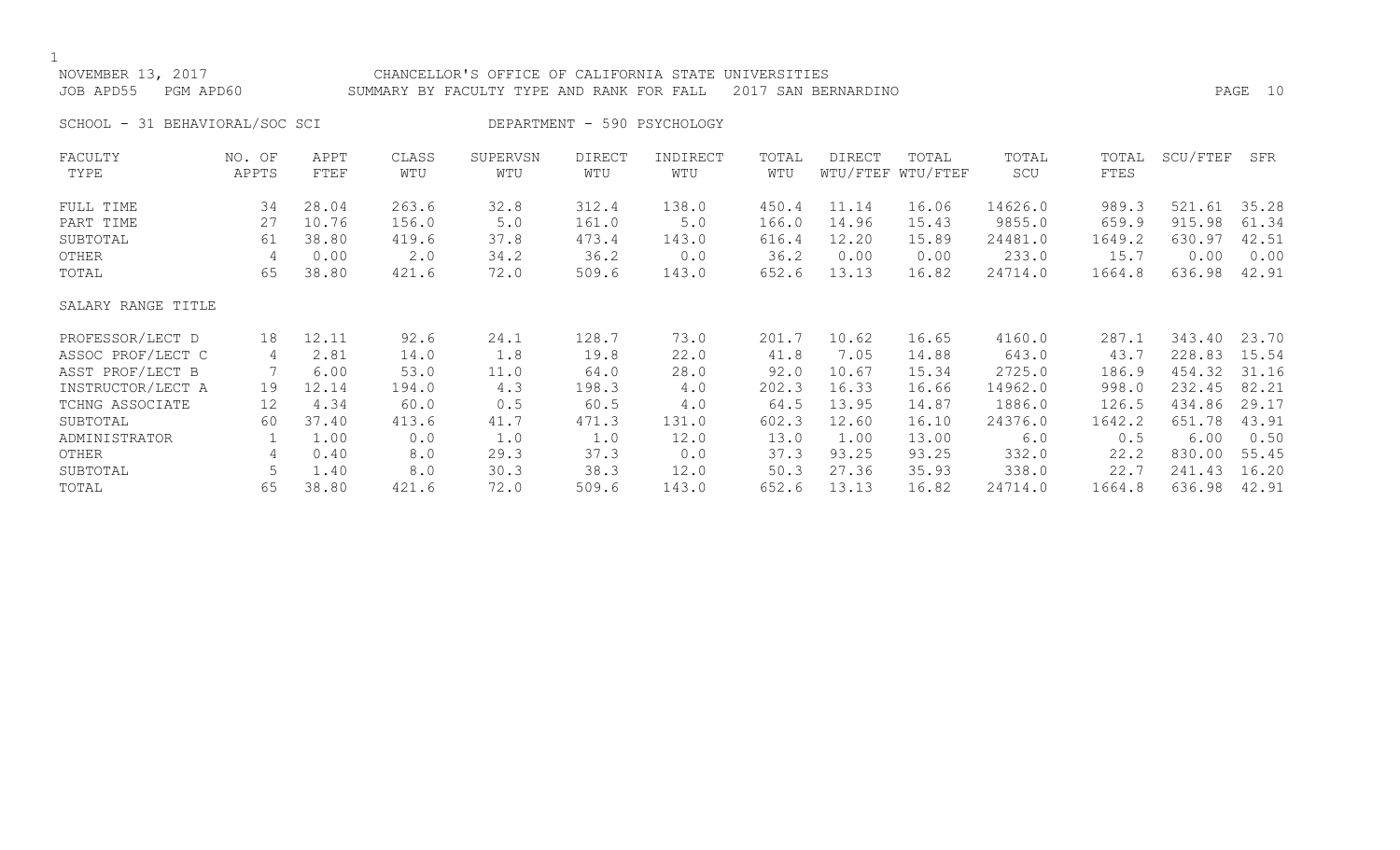| NOVEMBER 13, 2017<br>JOB APD55<br>PGM APD60 | CHANCELLOR'S OFFICE OF CALIFORNIA STATE UNIVERSITIES<br>2017 SAN BERNARDINO<br>SUMMARY BY FACULTY TYPE AND RANK FOR FALL |              |              |                 |               |                             |              |        |                            | PAGE 10      |               |          |       |
|---------------------------------------------|--------------------------------------------------------------------------------------------------------------------------|--------------|--------------|-----------------|---------------|-----------------------------|--------------|--------|----------------------------|--------------|---------------|----------|-------|
| SCHOOL - 31 BEHAVIORAL/SOC SCI              |                                                                                                                          |              |              |                 |               | DEPARTMENT - 590 PSYCHOLOGY |              |        |                            |              |               |          |       |
| FACULTY<br>TYPE                             | NO. OF<br>APPTS                                                                                                          | APPT<br>FTEF | CLASS<br>WTU | SUPERVSN<br>WTU | DIRECT<br>WTU | INDIRECT<br>WTU             | TOTAL<br>WTU | DIRECT | TOTAL<br>WTU/FTEF WTU/FTEF | TOTAL<br>SCU | TOTAL<br>FTES | SCU/FTEF | SFR   |
| FULL TIME                                   | 34                                                                                                                       | 28.04        | 263.6        | 32.8            | 312.4         | 138.0                       | 450.4        | 11.14  | 16.06                      | 14626.0      | 989.3         | 521.61   | 35.28 |
| PART TIME                                   | 27                                                                                                                       | 10.76        | 156.0        | 5.0             | 161.0         | 5.0                         | 166.0        | 14.96  | 15.43                      | 9855.0       | 659.9         | 915.98   | 61.34 |
| SUBTOTAL                                    | 61                                                                                                                       | 38.80        | 419.6        | 37.8            | 473.4         | 143.0                       | 616.4        | 12.20  | 15.89                      | 24481.0      | 1649.2        | 630.97   | 42.51 |
| OTHER                                       | 4                                                                                                                        | 0.00         | 2.0          | 34.2            | 36.2          | 0.0                         | 36.2         | 0.00   | 0.00                       | 233.0        | 15.7          | 0.00     | 0.00  |
| TOTAL                                       | 65                                                                                                                       | 38.80        | 421.6        | 72.0            | 509.6         | 143.0                       | 652.6        | 13.13  | 16.82                      | 24714.0      | 1664.8        | 636.98   | 42.91 |
| SALARY RANGE TITLE                          |                                                                                                                          |              |              |                 |               |                             |              |        |                            |              |               |          |       |
| PROFESSOR/LECT D                            | 18                                                                                                                       | 12.11        | 92.6         | 24.1            | 128.7         | 73.0                        | 201.7        | 10.62  | 16.65                      | 4160.0       | 287.1         | 343.40   | 23.70 |
| ASSOC PROF/LECT C                           | 4                                                                                                                        | 2.81         | 14.0         | 1.8             | 19.8          | 22.0                        | 41.8         | 7.05   | 14.88                      | 643.0        | 43.7          | 228.83   | 15.54 |
| ASST PROF/LECT B                            |                                                                                                                          | 6.00         | 53.0         | 11.0            | 64.0          | 28.0                        | 92.0         | 10.67  | 15.34                      | 2725.0       | 186.9         | 454.32   | 31.16 |
| INSTRUCTOR/LECT A                           | 19                                                                                                                       | 12.14        | 194.0        | 4.3             | 198.3         | 4.0                         | 202.3        | 16.33  | 16.66                      | 14962.0      | 998.0         | 232.45   | 82.21 |
| TCHNG ASSOCIATE                             | $12 \overline{ }$                                                                                                        | 4.34         | 60.0         | 0.5             | 60.5          | 4.0                         | 64.5         | 13.95  | 14.87                      | 1886.0       | 126.5         | 434.86   | 29.17 |
| SUBTOTAL                                    | 60                                                                                                                       | 37.40        | 413.6        | 41.7            | 471.3         | 131.0                       | 602.3        | 12.60  | 16.10                      | 24376.0      | 1642.2        | 651.78   | 43.91 |
| ADMINISTRATOR                               |                                                                                                                          | 1.00         | 0.0          | 1.0             | 1.0           | 12.0                        | 13.0         | 1.00   | 13.00                      | 6.0          | 0.5           | 6.00     | 0.50  |
| OTHER                                       | 4                                                                                                                        | 0.40         | 8.0          | 29.3            | 37.3          | 0.0                         | 37.3         | 93.25  | 93.25                      | 332.0        | 22.2          | 830.00   | 55.45 |
| SUBTOTAL                                    |                                                                                                                          | 1.40         | 8.0          | 30.3            | 38.3          | 12.0                        | 50.3         | 27.36  | 35.93                      | 338.0        | 22.7          | 241.43   | 16.20 |
| TOTAL                                       | 65                                                                                                                       | 38.80        | 421.6        | 72.0            | 509.6         | 143.0                       | 652.6        | 13.13  | 16.82                      | 24714.0      | 1664.8        | 636.98   | 42.91 |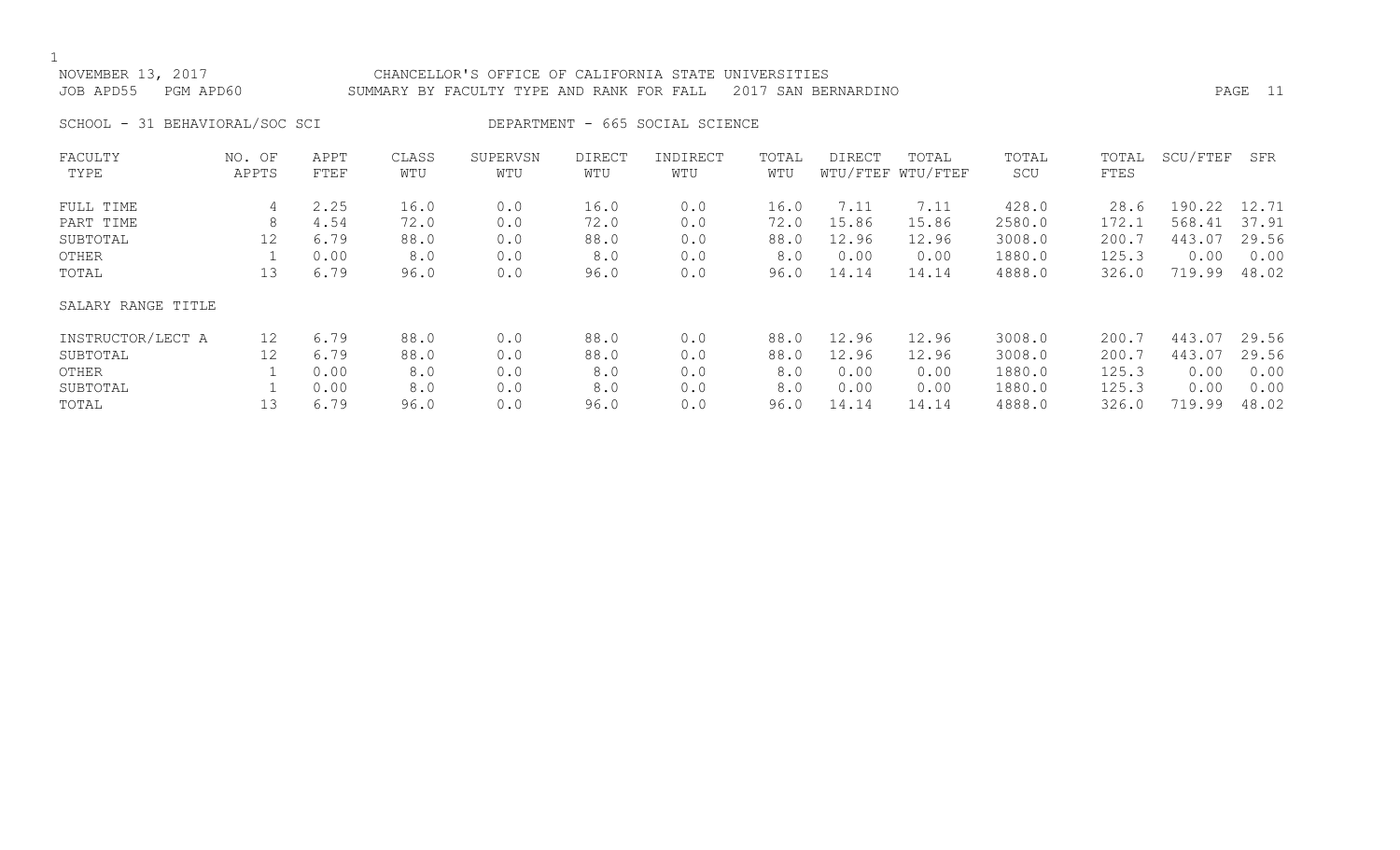## NOVEMBER 13, 2017 CHANCELLOR'S OFFICE OF CALIFORNIA STATE UNIVERSITIES JOB APD55 PGM APD60 SUMMARY BY FACULTY TYPE AND RANK FOR FALL 2017 SAN BERNARDINO

SCHOOL - 31 BEHAVIORAL/SOC SCI DEPARTMENT - 665 SOCIAL SCIENCE

| FACULTY            | NO. OF | APPT | CLASS | SUPERVSN | <b>DIRECT</b> | INDIRECT | TOTAL | <b>DIRECT</b> | TOTAL             | TOTAL  | TOTAL | SCU/FTEF | SFR   |
|--------------------|--------|------|-------|----------|---------------|----------|-------|---------------|-------------------|--------|-------|----------|-------|
| TYPE               | APPTS  | FTEF | WTU   | WTU      | WTU           | WTU      | WTU   |               | WTU/FTEF WTU/FTEF | SCU    | FTES  |          |       |
| FULL TIME          | 4      | 2.25 | 16.0  | 0.0      | 16.0          | 0.0      | 16.0  | 7.11          | 7.11              | 428.0  | 28.6  | 190.22   | 12.71 |
| PART TIME          | 8      | 4.54 | 72.0  | 0.0      | 72.0          | 0.0      | 72.0  | 15.86         | 15.86             | 2580.0 | 172.1 | 568.41   | 37.91 |
| SUBTOTAL           | 12     | 6.79 | 88.0  | 0.0      | 88.0          | 0.0      | 88.0  | 12.96         | 12.96             | 3008.0 | 200.7 | 443.07   | 29.56 |
| OTHER              |        | 0.00 | 8.0   | 0.0      | 8.0           | 0.0      | 8.0   | 0.00          | 0.00              | 1880.0 | 125.3 | 0.00     | 0.00  |
| TOTAL              | 13     | 6.79 | 96.0  | 0.0      | 96.0          | 0.0      | 96.0  | 14.14         | 14.14             | 4888.0 | 326.0 | 719.99   | 48.02 |
| SALARY RANGE TITLE |        |      |       |          |               |          |       |               |                   |        |       |          |       |
| INSTRUCTOR/LECT A  | 12     | 6.79 | 88.0  | 0.0      | 88.0          | 0.0      | 88.0  | 12.96         | 12.96             | 3008.0 | 200.7 | 443.07   | 29.56 |
| SUBTOTAL           | 12     | 6.79 | 88.0  | 0.0      | 88.0          | 0.0      | 88.0  | 12.96         | 12.96             | 3008.0 | 200.7 | 443.07   | 29.56 |
| OTHER              |        | 0.00 | 8.0   | 0.0      | 8.0           | 0.0      | 8.0   | 0.00          | 0.00              | 1880.0 | 125.3 | 0.00     | 0.00  |
| SUBTOTAL           |        | 0.00 | 8.0   | 0.0      | 8.0           | 0.0      | 8.0   | 0.00          | 0.00              | 1880.0 | 125.3 | 0.00     | 0.00  |
| TOTAL              | 13     | 6.79 | 96.0  | 0.0      | 96.0          | 0.0      | 96.0  | 14.14         | 14.14             | 4888.0 | 326.0 | 719.99   | 48.02 |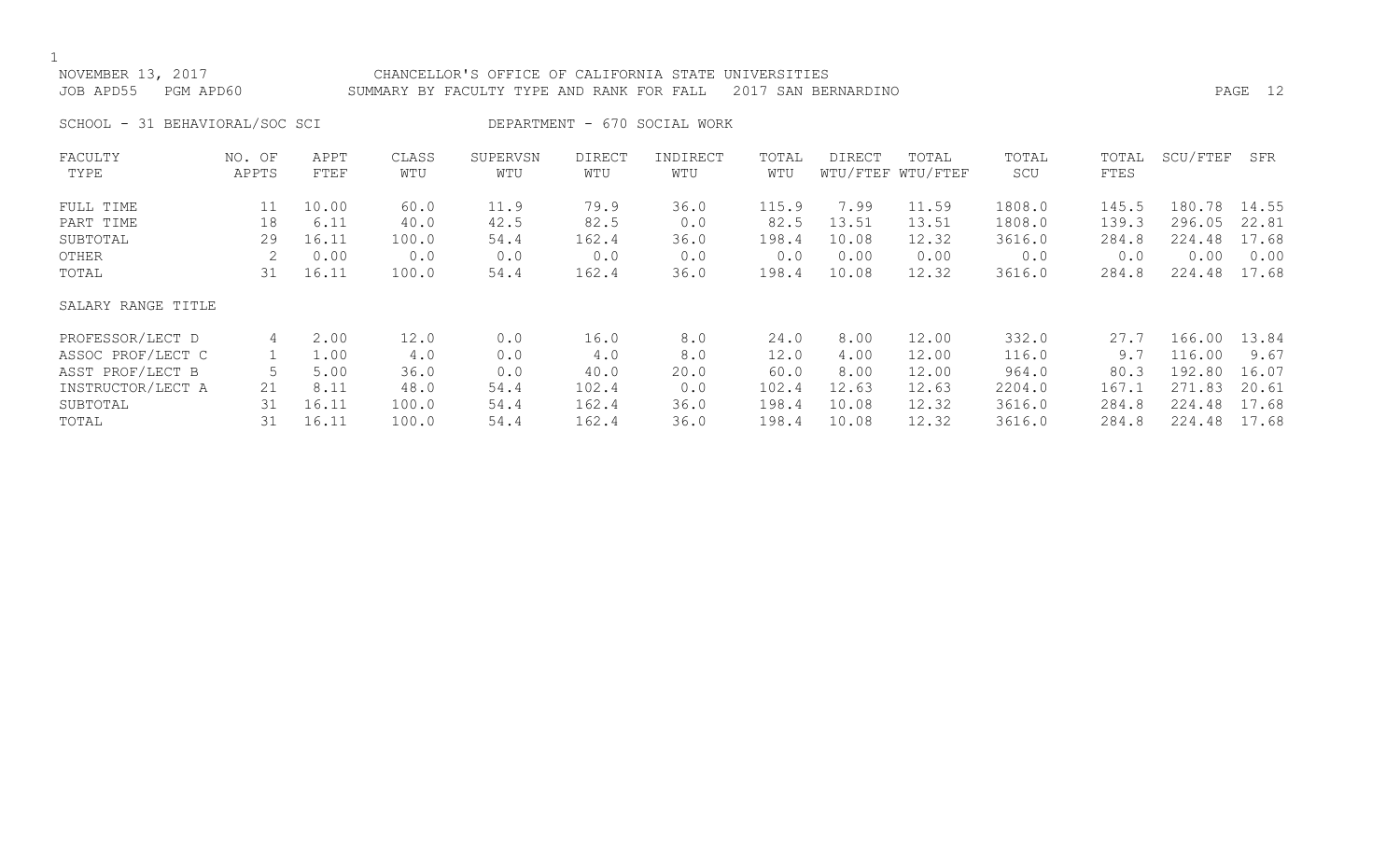## NOVEMBER 13, 2017 CHANCELLOR'S OFFICE OF CALIFORNIA STATE UNIVERSITIES JOB APD55 PGM APD60 SUMMARY BY FACULTY TYPE AND RANK FOR FALL 2017 SAN BERNARDINO PAGE 12

SCHOOL - 31 BEHAVIORAL/SOC SCI DEPARTMENT - 670 SOCIAL WORK

| FACULTY            | NO. OF | APPT  | CLASS | SUPERVSN | <b>DIRECT</b> | INDIRECT | TOTAL | DIRECT | TOTAL             | TOTAL  | TOTAL | SCU/FTEF | SFR   |
|--------------------|--------|-------|-------|----------|---------------|----------|-------|--------|-------------------|--------|-------|----------|-------|
| TYPE               | APPTS  | FTEF  | WTU   | WTU      | WTU           | WTU      | WTU   |        | WTU/FTEF WTU/FTEF | SCU    | FTES  |          |       |
| FULL TIME          | 11     | 10.00 | 60.0  | 11.9     | 79.9          | 36.0     | 115.9 | 7.99   | 11.59             | 1808.0 | 145.5 | 180.78   | 14.55 |
| PART TIME          | 18     | 6.11  | 40.0  | 42.5     | 82.5          | 0.0      | 82.5  | 13.51  | 13.51             | 1808.0 | 139.3 | 296.05   | 22.81 |
| SUBTOTAL           | 29     | 16.11 | 100.0 | 54.4     | 162.4         | 36.0     | 198.4 | 10.08  | 12.32             | 3616.0 | 284.8 | 224.48   | 17.68 |
| OTHER              |        | 0.00  | 0.0   | 0.0      | 0.0           | 0.0      | 0.0   | 0.00   | 0.00              | 0.0    | 0.0   | 0.00     | 0.00  |
| TOTAL              | 31     | 16.11 | 100.0 | 54.4     | 162.4         | 36.0     | 198.4 | 10.08  | 12.32             | 3616.0 | 284.8 | 224.48   | 17.68 |
| SALARY RANGE TITLE |        |       |       |          |               |          |       |        |                   |        |       |          |       |
| PROFESSOR/LECT D   | 4      | 2.00  | 12.0  | 0.0      | 16.0          | 8.0      | 24.0  | 8.00   | 12.00             | 332.0  | 27.7  | 166.00   | 13.84 |
| ASSOC PROF/LECT C  |        | 1.00  | 4.0   | 0.0      | 4.0           | 8.0      | 12.0  | 4.00   | 12.00             | 116.0  | 9.7   | 116.00   | 9.67  |
| ASST PROF/LECT B   |        | 5.00  | 36.0  | 0.0      | 40.0          | 20.0     | 60.0  | 8.00   | 12.00             | 964.0  | 80.3  | 192.80   | 16.07 |
| INSTRUCTOR/LECT A  | 21     | 8.11  | 48.0  | 54.4     | 102.4         | 0.0      | 102.4 | 12.63  | 12.63             | 2204.0 | 167.1 | 271.83   | 20.61 |
| SUBTOTAL           | 31     | 16.11 | 100.0 | 54.4     | 162.4         | 36.0     | 198.4 | 10.08  | 12.32             | 3616.0 | 284.8 | 224.48   | 17.68 |
| TOTAL              | 31     | 16.11 | 100.0 | 54.4     | 162.4         | 36.0     | 198.4 | 10.08  | 12.32             | 3616.0 | 284.8 | 224.48   | 17.68 |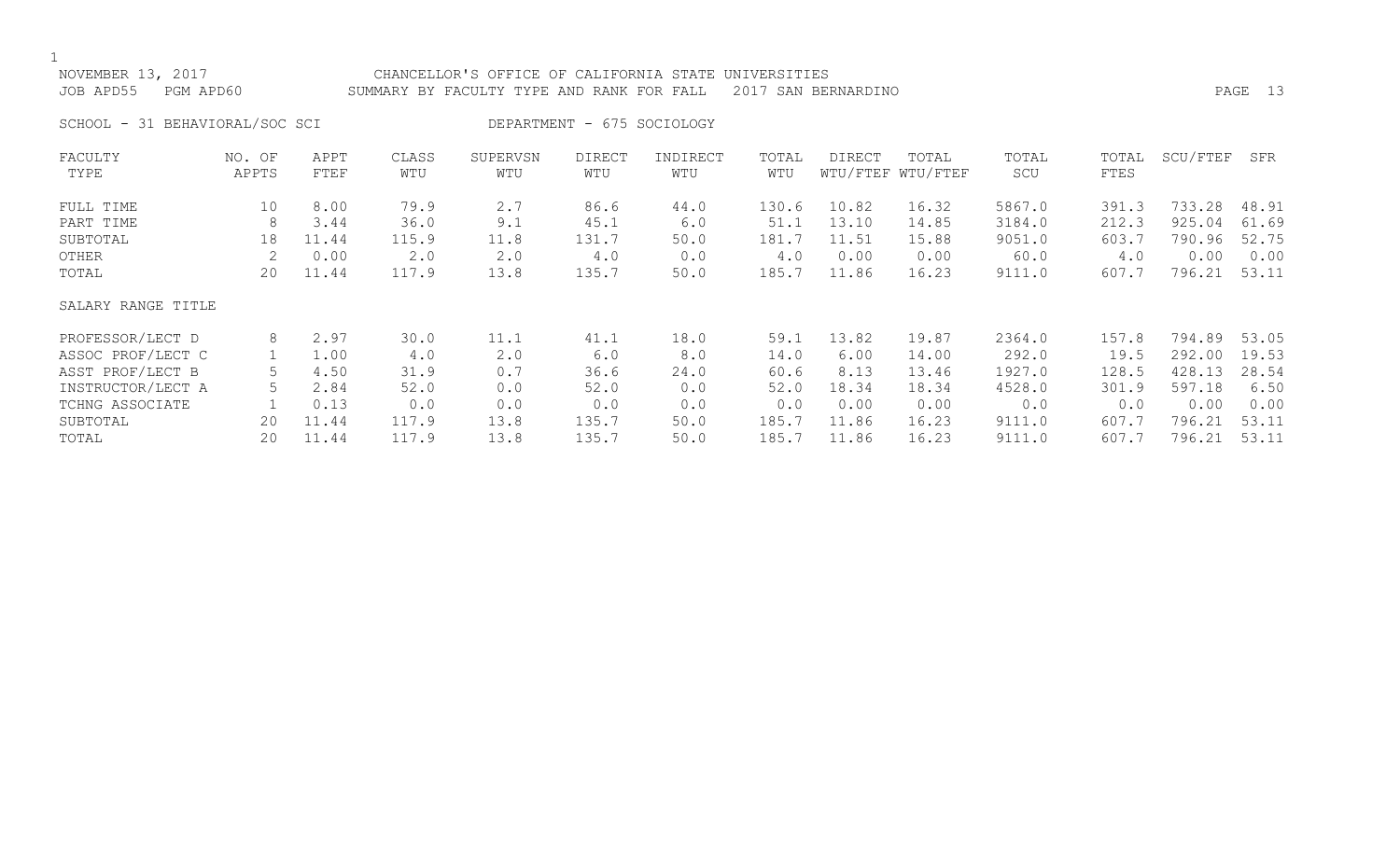## NOVEMBER 13, 2017 CHANCELLOR'S OFFICE OF CALIFORNIA STATE UNIVERSITIES JOB APD55 PGM APD60 SUMMARY BY FACULTY TYPE AND RANK FOR FALL 2017 SAN BERNARDINO

SCHOOL - 31 BEHAVIORAL/SOC SCI DEPARTMENT - 675 SOCIOLOGY

| FACULTY            | NO. OF | APPT  | CLASS | SUPERVSN | <b>DIRECT</b> | INDIRECT | TOTAL | DIRECT   | TOTAL    | TOTAL  | TOTAL | SCU/FTEF | SFR   |
|--------------------|--------|-------|-------|----------|---------------|----------|-------|----------|----------|--------|-------|----------|-------|
| TYPE               | APPTS  | FTEF  | WTU   | WTU      | WTU           | WTU      | WTU   | WTU/FTEF | WTU/FTEF | SCU    | FTES  |          |       |
| FULL TIME          | 10     | 8.00  | 79.9  | 2.7      | 86.6          | 44.0     | 130.6 | 10.82    | 16.32    | 5867.0 | 391.3 | 733.28   | 48.91 |
| PART TIME          | 8      | 3.44  | 36.0  | 9.1      | 45.1          | 6.0      | 51.1  | 13.10    | 14.85    | 3184.0 | 212.3 | 925.04   | 61.69 |
| SUBTOTAL           | 18     | 11.44 | 115.9 | 11.8     | 131.7         | 50.0     | 181.7 | 11.51    | 15.88    | 9051.0 | 603.7 | 790.96   | 52.75 |
| OTHER              |        | 0.00  | 2.0   | 2.0      | 4.0           | 0.0      | 4.0   | 0.00     | 0.00     | 60.0   | 4.0   | 0.00     | 0.00  |
| TOTAL              | 20     | 11.44 | 117.9 | 13.8     | 135.7         | 50.0     | 185.7 | 11.86    | 16.23    | 9111.0 | 607.7 | 796.21   | 53.11 |
| SALARY RANGE TITLE |        |       |       |          |               |          |       |          |          |        |       |          |       |
| PROFESSOR/LECT D   | 8      | 2.97  | 30.0  | 11.1     | 41.1          | 18.0     | 59.1  | 13.82    | 19.87    | 2364.0 | 157.8 | 794.89   | 53.05 |
| ASSOC PROF/LECT C  |        | 1.00  | 4.0   | 2.0      | 6.0           | 8.0      | 14.0  | 6.00     | 14.00    | 292.0  | 19.5  | 292.00   | 19.53 |
| ASST PROF/LECT B   |        | 4.50  | 31.9  | 0.7      | 36.6          | 24.0     | 60.6  | 8.13     | 13.46    | 1927.0 | 128.5 | 428.13   | 28.54 |
| INSTRUCTOR/LECT A  |        | 2.84  | 52.0  | 0.0      | 52.0          | 0.0      | 52.0  | 18.34    | 18.34    | 4528.0 | 301.9 | 597.18   | 6.50  |
| TCHNG ASSOCIATE    |        | 0.13  | 0.0   | 0.0      | 0.0           | 0.0      | 0.0   | 0.00     | 0.00     | 0.0    | 0.0   | 0.00     | 0.00  |
| SUBTOTAL           | 20     | 11.44 | 117.9 | 13.8     | 135.7         | 50.0     | 185.7 | 11.86    | 16.23    | 9111.0 | 607.7 | 796.21   | 53.11 |
| TOTAL              | 20     | 11.44 | 117.9 | 13.8     | 135.7         | 50.0     | 185.7 | 11.86    | 16.23    | 9111.0 | 607.7 | 796.21   | 53.11 |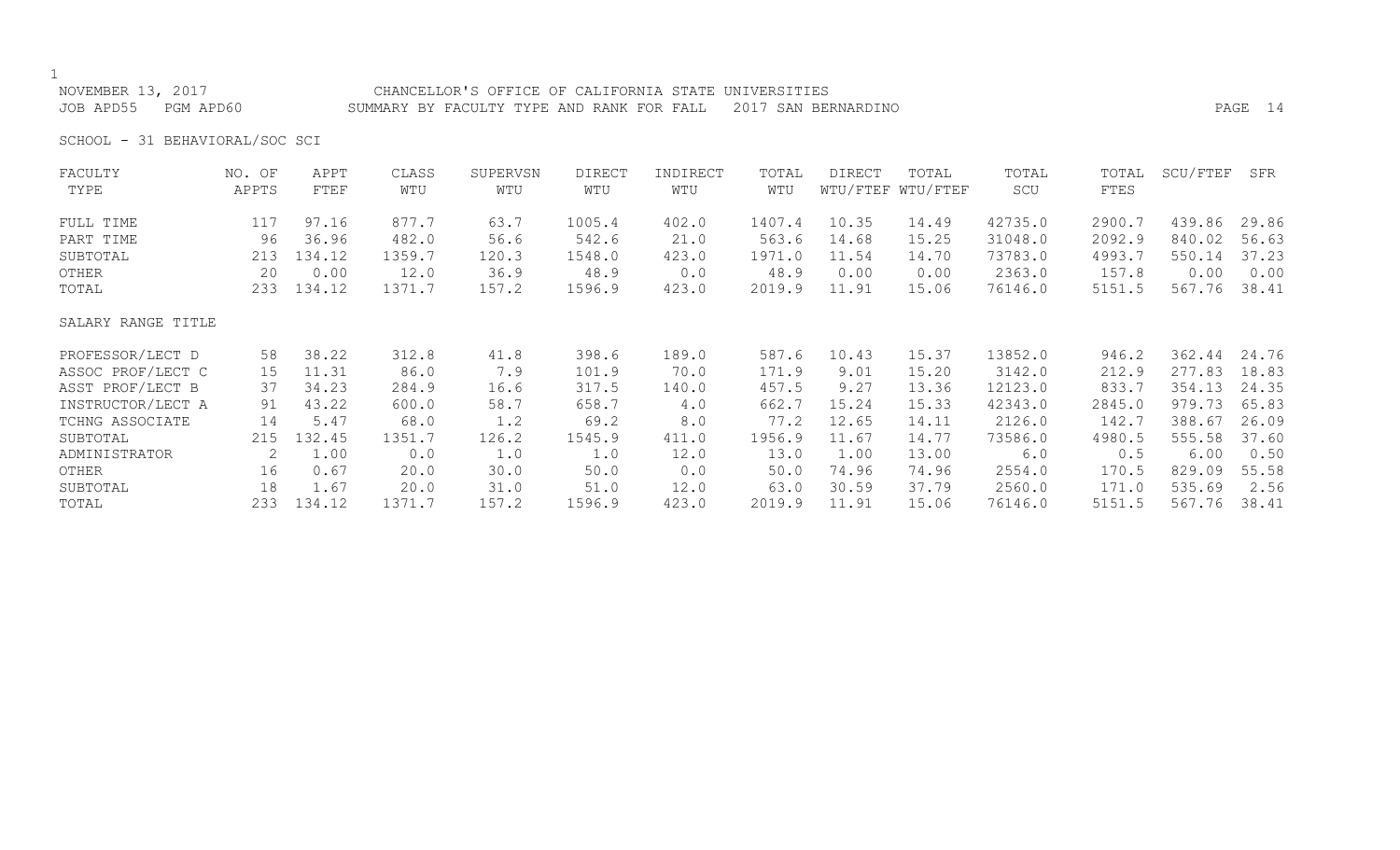## NOVEMBER 13, 2017 CHANCELLOR'S OFFICE OF CALIFORNIA STATE UNIVERSITIES JOB APD55 PGM APD60 SUMMARY BY FACULTY TYPE AND RANK FOR FALL 2017 SAN BERNARDINO PAGE 14

SCHOOL - 31 BEHAVIORAL/SOC SCI

| FACULTY            | NO. OF | APPT   | CLASS  | SUPERVSN | <b>DIRECT</b> | INDIRECT | TOTAL  | DIRECT | TOTAL             | TOTAL   | TOTAL  | SCU/FTEF | SFR   |
|--------------------|--------|--------|--------|----------|---------------|----------|--------|--------|-------------------|---------|--------|----------|-------|
| TYPE               | APPTS  | FTEF   | WTU    | WTU      | WTU           | WTU      | WTU    |        | WTU/FTEF WTU/FTEF | SCU     | FTES   |          |       |
| FULL TIME          | 117    | 97.16  | 877.7  | 63.7     | 1005.4        | 402.0    | 1407.4 | 10.35  | 14.49             | 42735.0 | 2900.7 | 439.86   | 29.86 |
| PART TIME          | 96     | 36.96  | 482.0  | 56.6     | 542.6         | 21.0     | 563.6  | 14.68  | 15.25             | 31048.0 | 2092.9 | 840.02   | 56.63 |
| SUBTOTAL           | 213    | 134.12 | 1359.7 | 120.3    | 1548.0        | 423.0    | 1971.0 | 11.54  | 14.70             | 73783.0 | 4993.7 | 550.14   | 37.23 |
| OTHER              | 20     | 0.00   | 12.0   | 36.9     | 48.9          | 0.0      | 48.9   | 0.00   | 0.00              | 2363.0  | 157.8  | 0.00     | 0.00  |
| TOTAL              | 233    | 134.12 | 1371.7 | 157.2    | 1596.9        | 423.0    | 2019.9 | 11.91  | 15.06             | 76146.0 | 5151.5 | 567.76   | 38.41 |
| SALARY RANGE TITLE |        |        |        |          |               |          |        |        |                   |         |        |          |       |
| PROFESSOR/LECT D   | 58     | 38.22  | 312.8  | 41.8     | 398.6         | 189.0    | 587.6  | 10.43  | 15.37             | 13852.0 | 946.2  | 362.44   | 24.76 |
| ASSOC PROF/LECT C  | 15     | 11.31  | 86.0   | 7.9      | 101.9         | 70.0     | 171.9  | 9.01   | 15.20             | 3142.0  | 212.9  | 277.83   | 18.83 |
| ASST PROF/LECT B   | 37     | 34.23  | 284.9  | 16.6     | 317.5         | 140.0    | 457.5  | 9.27   | 13.36             | 12123.0 | 833.7  | 354.13   | 24.35 |
| INSTRUCTOR/LECT A  | 91     | 43.22  | 600.0  | 58.7     | 658.7         | 4.0      | 662.7  | 15.24  | 15.33             | 42343.0 | 2845.0 | 979.73   | 65.83 |
| TCHNG ASSOCIATE    | 14     | 5.47   | 68.0   | 1.2      | 69.2          | 8.0      | 77.2   | 12.65  | 14.11             | 2126.0  | 142.7  | 388.67   | 26.09 |
| SUBTOTAL           | 215    | 132.45 | 1351.7 | 126.2    | 1545.9        | 411.0    | 1956.9 | 11.67  | 14.77             | 73586.0 | 4980.5 | 555.58   | 37.60 |
| ADMINISTRATOR      | 2      | 1.00   | 0.0    | 1.0      | 1.0           | 12.0     | 13.0   | 1.00   | 13.00             | 6.0     | 0.5    | 6.00     | 0.50  |
| OTHER              | 16     | 0.67   | 20.0   | 30.0     | 50.0          | 0.0      | 50.0   | 74.96  | 74.96             | 2554.0  | 170.5  | 829.09   | 55.58 |
| SUBTOTAL           | 18     | 1.67   | 20.0   | 31.0     | 51.0          | 12.0     | 63.0   | 30.59  | 37.79             | 2560.0  | 171.0  | 535.69   | 2.56  |
| TOTAL              | 233    | 134.12 | 1371.7 | 157.2    | 1596.9        | 423.0    | 2019.9 | 11.91  | 15.06             | 76146.0 | 5151.5 | 567.76   | 38.41 |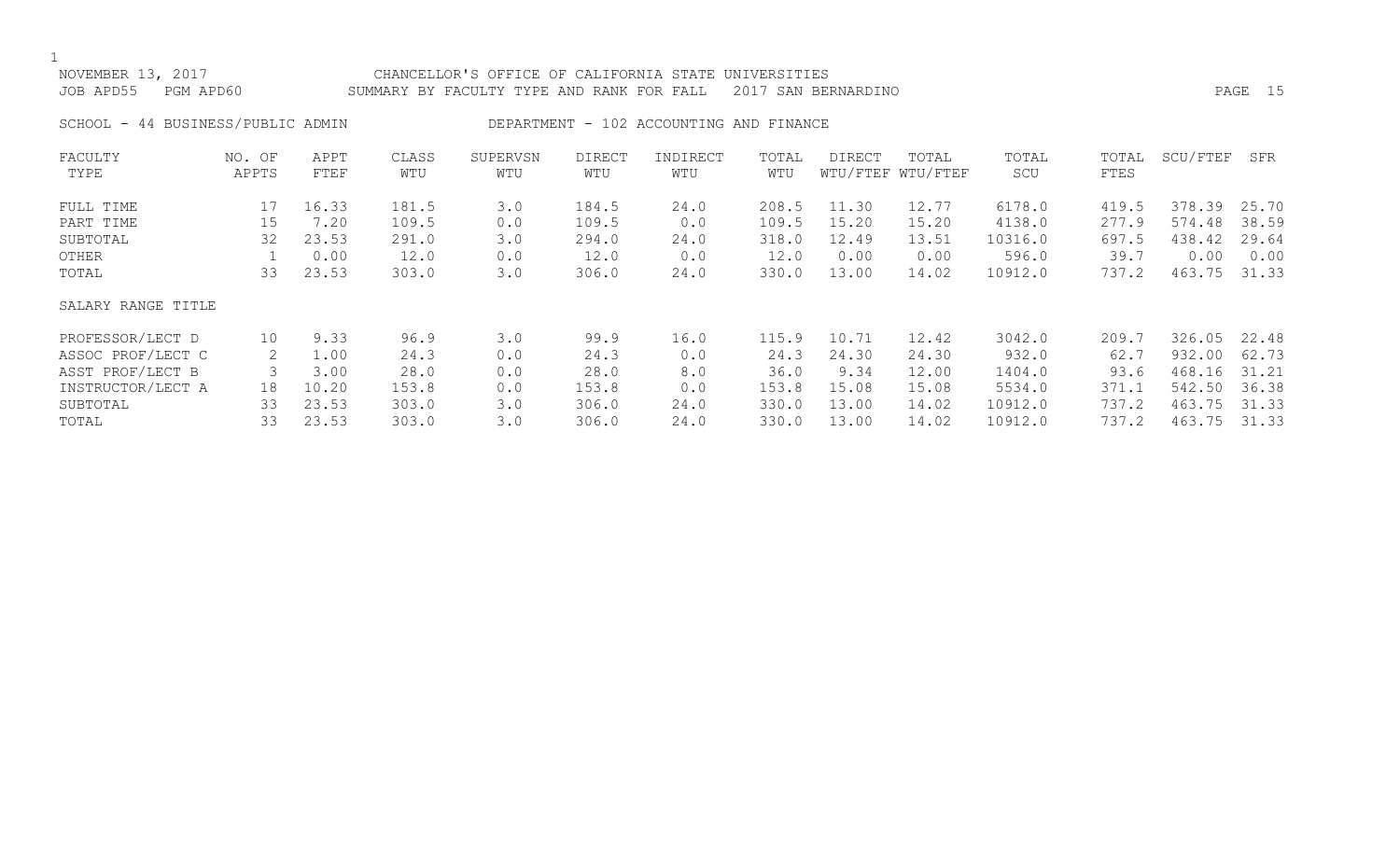| NOVEMBER  |              | CHANCELLOR'S OFFICE OF CALIFORNIA STATE UNIVERSITIES          |      |  |
|-----------|--------------|---------------------------------------------------------------|------|--|
| JOB APD55 | PGM<br>APD60 | SUMMARY BY FACULTY TYPE AND RANK FOR FALL 2017 SAN BERNARDINO | PAGE |  |
|           |              |                                                               |      |  |

SCHOOL - 44 BUSINESS/PUBLIC ADMIN DEPARTMENT - 102 ACCOUNTING AND FINANCE

| FACULTY            | NO. OF | APPT  | CLASS | SUPERVSN | <b>DIRECT</b> | INDIRECT | TOTAL | DIRECT | TOTAL             | TOTAL   | TOTAL | SCU/FTEF | SFR   |
|--------------------|--------|-------|-------|----------|---------------|----------|-------|--------|-------------------|---------|-------|----------|-------|
| TYPE               | APPTS  | FTEF  | WTU   | WTU      | WTU           | WTU      | WTU   |        | WTU/FTEF WTU/FTEF | SCU     | FTES  |          |       |
| FULL TIME          | 17     | 16.33 | 181.5 | 3.0      | 184.5         | 24.0     | 208.5 | 11.30  | 12.77             | 6178.0  | 419.5 | 378.39   | 25.70 |
| PART TIME          | 15     | 7.20  | 109.5 | 0.0      | 109.5         | 0.0      | 109.5 | 15.20  | 15.20             | 4138.0  | 277.9 | 574.48   | 38.59 |
| SUBTOTAL           | 32     | 23.53 | 291.0 | 3.0      | 294.0         | 24.0     | 318.0 | 12.49  | 13.51             | 10316.0 | 697.5 | 438.42   | 29.64 |
| OTHER              |        | 0.00  | 12.0  | 0.0      | 12.0          | 0.0      | 12.0  | 0.00   | 0.00              | 596.0   | 39.7  | 0.00     | 0.00  |
| TOTAL              | 33     | 23.53 | 303.0 | 3.0      | 306.0         | 24.0     | 330.0 | 13.00  | 14.02             | 10912.0 | 737.2 | 463.75   | 31.33 |
| SALARY RANGE TITLE |        |       |       |          |               |          |       |        |                   |         |       |          |       |
| PROFESSOR/LECT D   | 10     | 9.33  | 96.9  | 3.0      | 99.9          | 16.0     | 115.9 | 10.71  | 12.42             | 3042.0  | 209.7 | 326.05   | 22.48 |
| ASSOC PROF/LECT C  |        | 1.00  | 24.3  | 0.0      | 24.3          | 0.0      | 24.3  | 24.30  | 24.30             | 932.0   | 62.7  | 932.00   | 62.73 |
| ASST PROF/LECT B   |        | 3.00  | 28.0  | 0.0      | 28.0          | 8.0      | 36.0  | 9.34   | 12.00             | 1404.0  | 93.6  | 468.16   | 31.21 |
| INSTRUCTOR/LECT A  | 18     | 10.20 | 153.8 | 0.0      | 153.8         | 0.0      | 153.8 | 15.08  | 15.08             | 5534.0  | 371.1 | 542.50   | 36.38 |
| SUBTOTAL           | 33     | 23.53 | 303.0 | 3.0      | 306.0         | 24.0     | 330.0 | 13.00  | 14.02             | 10912.0 | 737.2 | 463.75   | 31.33 |
| TOTAL              | 33     | 23.53 | 303.0 | 3.0      | 306.0         | 24.0     | 330.0 | 13.00  | 14.02             | 10912.0 | 737.2 | 463.75   | 31.33 |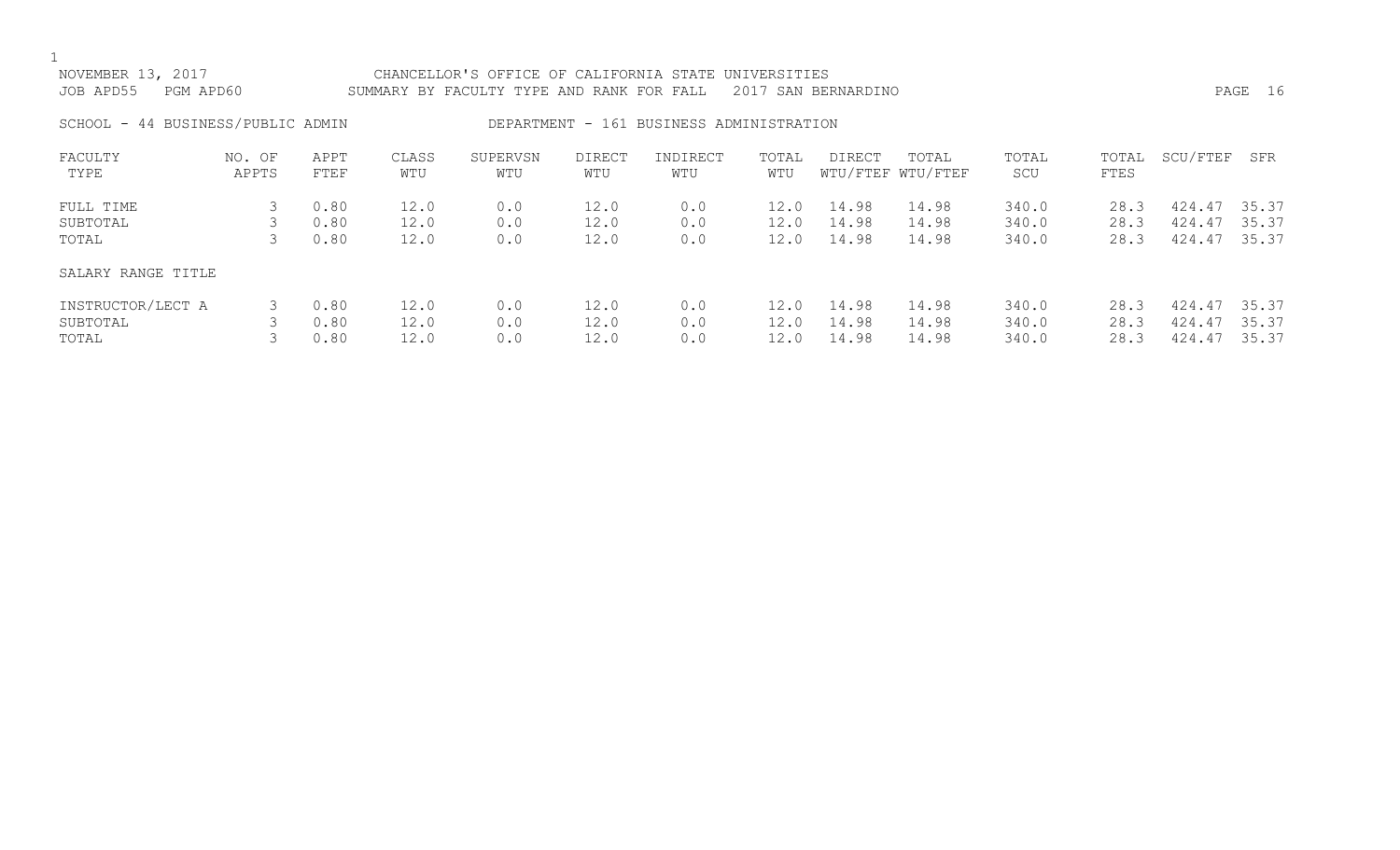| NOVEMBER 13, 2017<br>JOB APD55<br>PGM APD60 |                 |                      | CHANCELLOR'S OFFICE OF CALIFORNIA STATE UNIVERSITIES<br>2017 SAN BERNARDINO<br>SUMMARY BY FACULTY TYPE AND RANK FOR FALL |                   |                      |                                          |                      |                         |                            |                         |                      | PAGE 16                    |                         |  |
|---------------------------------------------|-----------------|----------------------|--------------------------------------------------------------------------------------------------------------------------|-------------------|----------------------|------------------------------------------|----------------------|-------------------------|----------------------------|-------------------------|----------------------|----------------------------|-------------------------|--|
| SCHOOL - 44 BUSINESS/PUBLIC ADMIN           |                 |                      |                                                                                                                          |                   |                      | DEPARTMENT - 161 BUSINESS ADMINISTRATION |                      |                         |                            |                         |                      |                            |                         |  |
| FACULTY<br>TYPE                             | NO. OF<br>APPTS | APPT<br>FTEF         | CLASS<br>WTU                                                                                                             | SUPERVSN<br>WTU   | <b>DIRECT</b><br>WTU | INDIRECT<br>WTU                          | TOTAL<br>WTU         | DIRECT                  | TOTAL<br>WTU/FTEF WTU/FTEF | TOTAL<br>SCU            | TOTAL<br>FTES        | SCU/FTEF                   | SFR                     |  |
| FULL TIME<br>SUBTOTAL<br>TOTAL              | 3               | 0.80<br>0.80<br>0.80 | 12.0<br>12.0<br>12.0                                                                                                     | 0.0<br>0.0<br>0.0 | 12.0<br>12.0<br>12.0 | 0.0<br>0.0<br>0.0                        | 12.0<br>12.0<br>12.0 | 14.98<br>14.98<br>14.98 | 14.98<br>14.98<br>14.98    | 340.0<br>340.0<br>340.0 | 28.3<br>28.3<br>28.3 | 424.47<br>424.47<br>424.47 | 35.37<br>35.37<br>35.37 |  |
| SALARY RANGE TITLE                          |                 |                      |                                                                                                                          |                   |                      |                                          |                      |                         |                            |                         |                      |                            |                         |  |
| INSTRUCTOR/LECT A<br>SUBTOTAL<br>TOTAL      | 3               | 0.80<br>0.80<br>0.80 | 12.0<br>12.0<br>12.0                                                                                                     | 0.0<br>0.0<br>0.0 | 12.0<br>12.0<br>12.0 | 0.0<br>0.0<br>0.0                        | 12.0<br>12.0<br>12.0 | 14.98<br>14.98<br>14.98 | 14.98<br>14.98<br>14.98    | 340.0<br>340.0<br>340.0 | 28.3<br>28.3<br>28.3 | 424.47<br>424.47<br>424.47 | 35.37<br>35.37<br>35.37 |  |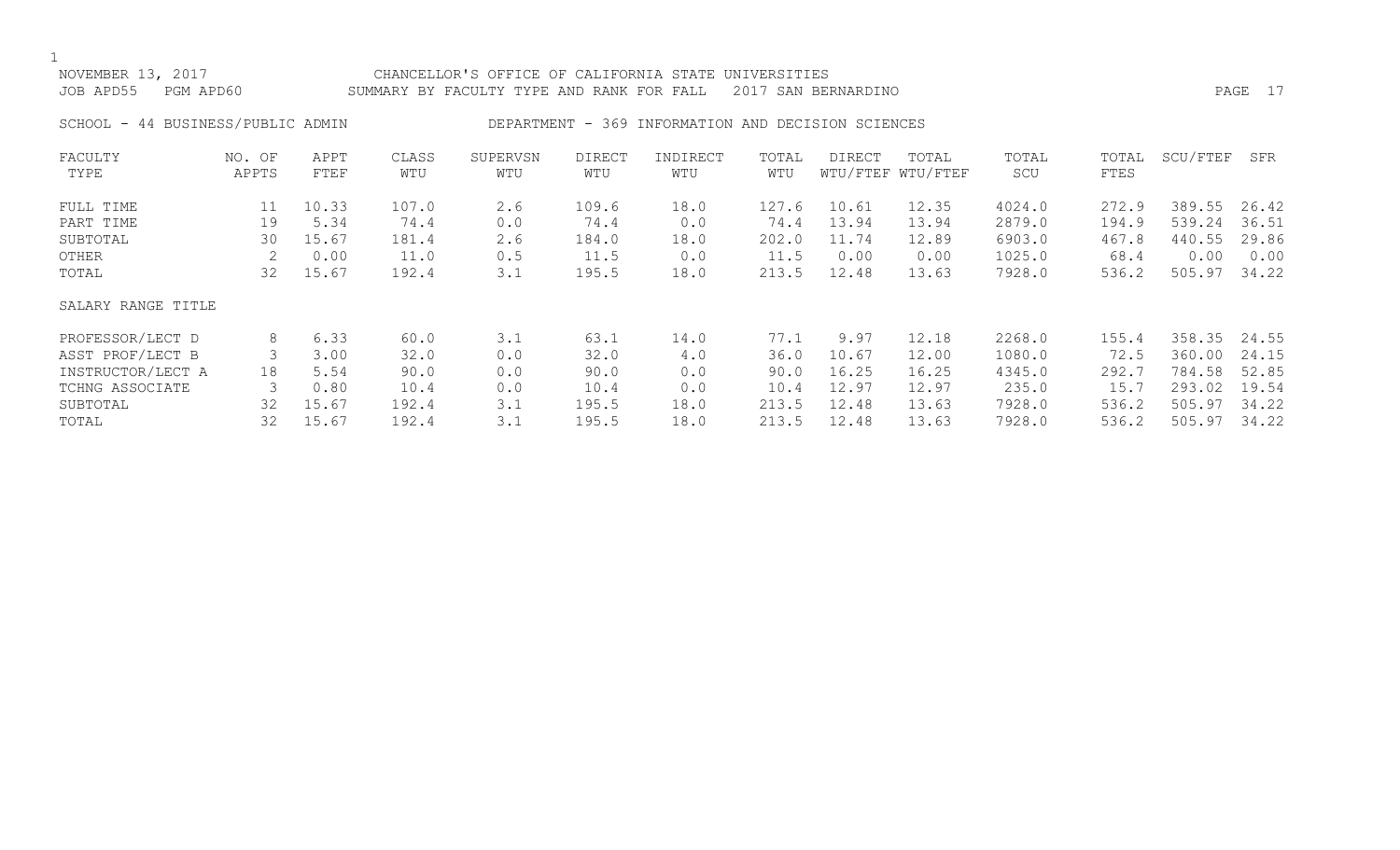## NOVEMBER 13, 2017 CHANCELLOR'S OFFICE OF CALIFORNIA STATE UNIVERSITIES JOB APD55 PGM APD60 SUMMARY BY FACULTY TYPE AND RANK FOR FALL 2017 SAN BERNARDINO

SCHOOL - 44 BUSINESS/PUBLIC ADMIN DEPARTMENT - 369 INFORMATION AND DECISION SCIENCES

| FACULTY            | NO. OF | APPT  | CLASS | SUPERVSN | DIRECT | INDIRECT | TOTAL | DIRECT | TOTAL             | TOTAL  | TOTAL | SCU/FTEF | SFR   |
|--------------------|--------|-------|-------|----------|--------|----------|-------|--------|-------------------|--------|-------|----------|-------|
| TYPE               | APPTS  | FTEF  | WTU   | WTU      | WTU    | WTU      | WTU   |        | WTU/FTEF WTU/FTEF | SCU    | FTES  |          |       |
| FULL TIME          | 11     | 10.33 | 107.0 | 2.6      | 109.6  | 18.0     | 127.6 | 10.61  | 12.35             | 4024.0 | 272.9 | 389.55   | 26.42 |
| PART TIME          | 19     | 5.34  | 74.4  | 0.0      | 74.4   | 0.0      | 74.4  | 13.94  | 13.94             | 2879.0 | 194.9 | 539.24   | 36.51 |
| SUBTOTAL           | 30     | 15.67 | 181.4 | 2.6      | 184.0  | 18.0     | 202.0 | 11.74  | 12.89             | 6903.0 | 467.8 | 440.55   | 29.86 |
| OTHER              |        | 0.00  | 11.0  | 0.5      | 11.5   | 0.0      | 11.5  | 0.00   | 0.00              | 1025.0 | 68.4  | 0.00     | 0.00  |
| TOTAL              | 32     | 15.67 | 192.4 | 3.1      | 195.5  | 18.0     | 213.5 | 12.48  | 13.63             | 7928.0 | 536.2 | 505.97   | 34.22 |
| SALARY RANGE TITLE |        |       |       |          |        |          |       |        |                   |        |       |          |       |
| PROFESSOR/LECT D   | 8      | 6.33  | 60.0  | 3.1      | 63.1   | 14.0     | 77.1  | 9.97   | 12.18             | 2268.0 | 155.4 | 358.35   | 24.55 |
| ASST PROF/LECT B   |        | 3.00  | 32.0  | 0.0      | 32.0   | 4.0      | 36.0  | 10.67  | 12.00             | 1080.0 | 72.5  | 360.00   | 24.15 |
| INSTRUCTOR/LECT A  | 18     | 5.54  | 90.0  | 0.0      | 90.0   | 0.0      | 90.0  | 16.25  | 16.25             | 4345.0 | 292.7 | 784.58   | 52.85 |
| TCHNG ASSOCIATE    |        | 0.80  | 10.4  | 0.0      | 10.4   | 0.0      | 10.4  | 12.97  | 12.97             | 235.0  | 15.7  | 293.02   | 19.54 |
| SUBTOTAL           | 32     | 15.67 | 192.4 | 3.1      | 195.5  | 18.0     | 213.5 | 12.48  | 13.63             | 7928.0 | 536.2 | 505.97   | 34.22 |
| TOTAL              | 32     | 15.67 | 192.4 | 3.1      | 195.5  | 18.0     | 213.5 | 12.48  | 13.63             | 7928.0 | 536.2 | 505.97   | 34.22 |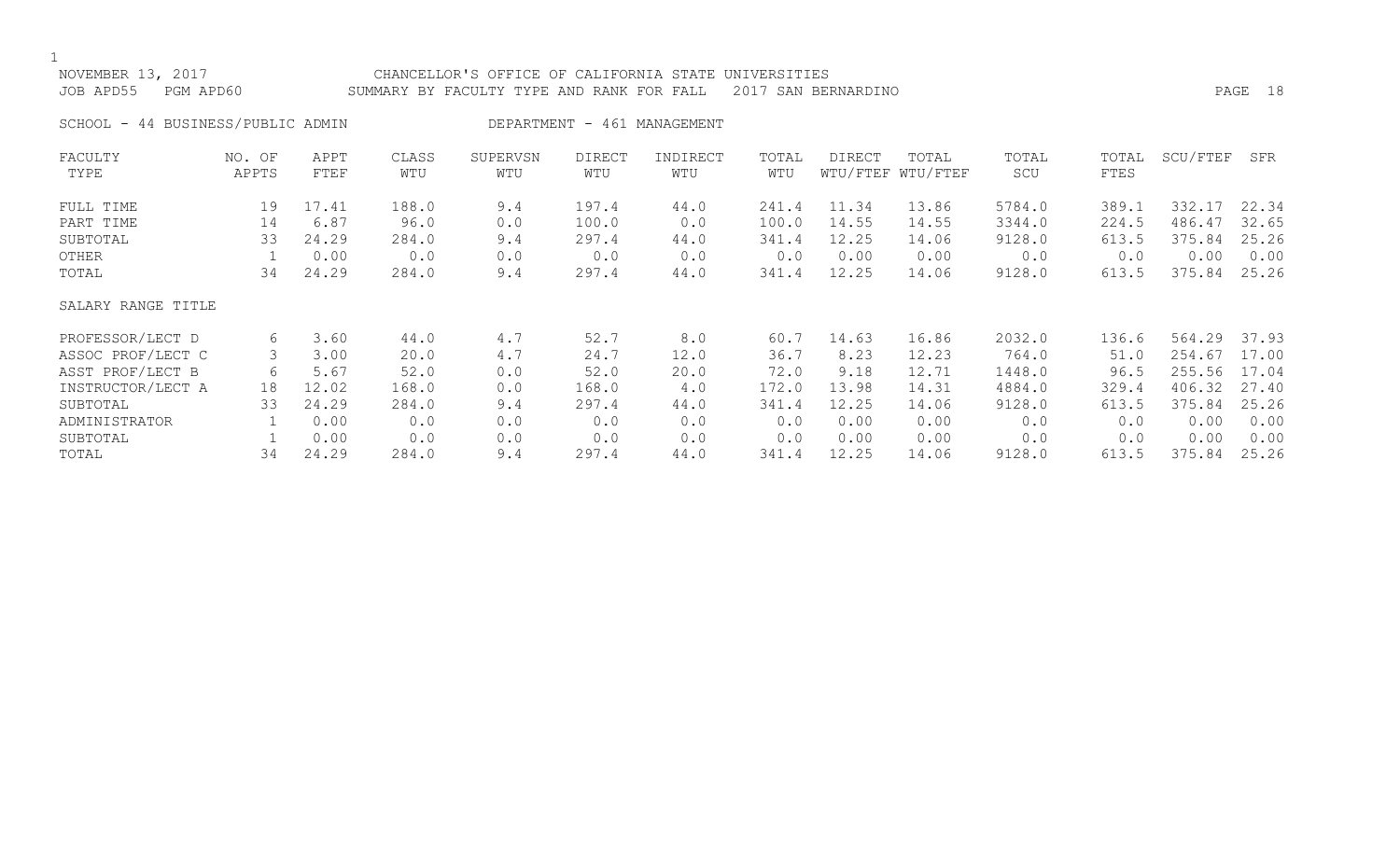$\frac{1}{\text{NOV}}$ 

| NOVEMBER 13, 2017                 | CHANCELLOR'S OFFICE OF CALIFORNIA STATE UNIVERSITIES          |         |  |
|-----------------------------------|---------------------------------------------------------------|---------|--|
| JOB APD55 PGM APD60               | SUMMARY BY FACULTY TYPE AND RANK FOR FALL 2017 SAN BERNARDINO | PAGE 18 |  |
| SCHOOL - 44 BUSINESS/PUBLIC ADMIN | DEPARTMENT - 461 MANAGEMENT                                   |         |  |

| FACULTY<br>TYPE        | NO. OF<br>APPTS | APPT<br>FTEF  | CLASS<br>WTU  | SUPERVSN<br>WTU | <b>DIRECT</b><br>WTU | INDIRECT<br>WTU | TOTAL<br>WTU   | DIRECT         | TOTAL<br>WTU/FTEF WTU/FTEF | TOTAL<br>SCU     | TOTAL<br>FTES  | SCU/FTEF         | SFR            |
|------------------------|-----------------|---------------|---------------|-----------------|----------------------|-----------------|----------------|----------------|----------------------------|------------------|----------------|------------------|----------------|
| FULL TIME<br>PART TIME | 19<br>14        | 17.41<br>6.87 | 188.0<br>96.0 | 9.4<br>0.0      | 197.4<br>100.0       | 44.0<br>0.0     | 241.4<br>100.0 | 11.34<br>14.55 | 13.86<br>14.55             | 5784.0<br>3344.0 | 389.1<br>224.5 | 332.17<br>486.47 | 22.34<br>32.65 |
| SUBTOTAL               | 33              | 24.29         | 284.0         | 9.4             | 297.4                | 44.0            | 341.4          | 12.25          | 14.06                      | 9128.0           | 613.5          | 375.84           | 25.26          |
| OTHER                  |                 | 0.00          | 0.0           | 0.0             | 0.0                  | 0.0             | 0.0            | 0.00           | 0.00                       | 0.0              | 0.0            | 0.00             | 0.00           |
| TOTAL                  | 34              | 24.29         | 284.0         | 9.4             | 297.4                | 44.0            | 341.4          | 12.25          | 14.06                      | 9128.0           | 613.5          | 375.84           | 25.26          |
| SALARY RANGE TITLE     |                 |               |               |                 |                      |                 |                |                |                            |                  |                |                  |                |
| PROFESSOR/LECT D       | 6               | 3.60          | 44.0          | 4.7             | 52.7                 | 8.0             | 60.7           | 14.63          | 16.86                      | 2032.0           | 136.6          | 564.29           | 37.93          |
| ASSOC PROF/LECT C      | 3               | 3.00          | 20.0          | 4.7             | 24.7                 | 12.0            | 36.7           | 8.23           | 12.23                      | 764.0            | 51.0           | 254.67           | 17.00          |
| ASST PROF/LECT B       | 6               | 5.67          | 52.0          | 0.0             | 52.0                 | 20.0            | 72.0           | 9.18           | 12.71                      | 1448.0           | 96.5           | 255.56           | 17.04          |
| INSTRUCTOR/LECT A      | 18              | 12.02         | 168.0         | 0.0             | 168.0                | 4.0             | 172.0          | 13.98          | 14.31                      | 4884.0           | 329.4          | 406.32           | 27.40          |
| SUBTOTAL               | 33              | 24.29         | 284.0         | 9.4             | 297.4                | 44.0            | 341.4          | 12.25          | 14.06                      | 9128.0           | 613.5          | 375.84           | 25.26          |
| ADMINISTRATOR          |                 | 0.00          | 0.0           | 0.0             | 0.0                  | 0.0             | 0.0            | 0.00           | 0.00                       | 0.0              | 0.0            | 0.00             | 0.00           |
| SUBTOTAL               |                 | 0.00          | 0.0           | 0.0             | 0.0                  | 0.0             | 0.0            | 0.00           | 0.00                       | 0.0              | 0.0            | 0.00             | 0.00           |
| TOTAL                  | 34              | 24.29         | 284.0         | 9.4             | 297.4                | 44.0            | 341.4          | 12.25          | 14.06                      | 9128.0           | 613.5          | 375.84           | 25.26          |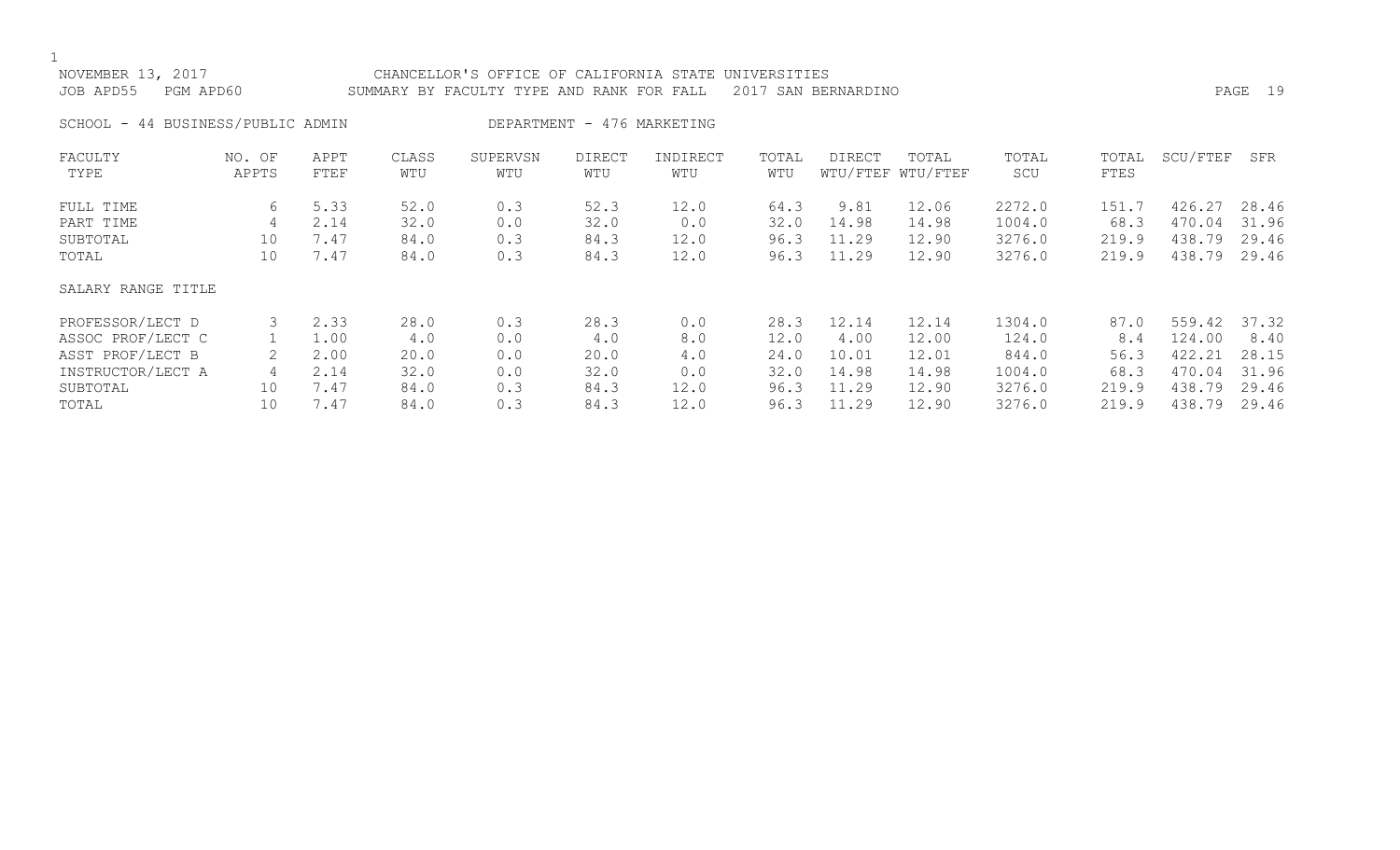| NOVEMBER 13, 2017<br>JOB APD55    | PGM APD60       |              | CHANCELLOR'S OFFICE OF CALIFORNIA STATE UNIVERSITIES<br>PAGE 19<br>SUMMARY BY FACULTY TYPE AND RANK FOR FALL<br>2017 SAN BERNARDINO |                 |                      |                 |              |                |                            |                  |                |                        |                |
|-----------------------------------|-----------------|--------------|-------------------------------------------------------------------------------------------------------------------------------------|-----------------|----------------------|-----------------|--------------|----------------|----------------------------|------------------|----------------|------------------------|----------------|
| SCHOOL - 44 BUSINESS/PUBLIC ADMIN |                 |              | DEPARTMENT - 476 MARKETING                                                                                                          |                 |                      |                 |              |                |                            |                  |                |                        |                |
| FACULTY<br>TYPE                   | NO. OF<br>APPTS | APPT<br>FTEF | CLASS<br>WTU                                                                                                                        | SUPERVSN<br>WTU | <b>DIRECT</b><br>WTU | INDIRECT<br>WTU | TOTAL<br>WTU | DIRECT         | TOTAL<br>WTU/FTEF WTU/FTEF | TOTAL<br>SCU     | TOTAL<br>FTES  | SCU/FTEF               | SFR            |
| FULL TIME<br>PART TIME            | 6<br>4          | 5.33<br>2.14 | 52.0<br>32.0                                                                                                                        | 0.3<br>0.0      | 52.3<br>32.0         | 12.0<br>0.0     | 64.3<br>32.0 | 9.81<br>14.98  | 12.06<br>14.98             | 2272.0<br>1004.0 | 151.7<br>68.3  | 426.27<br>470.04       | 28.46<br>31.96 |
| SUBTOTAL<br>TOTAL                 | 10<br>10        | 7.47<br>7.47 | 84.0<br>84.0                                                                                                                        | 0.3<br>0.3      | 84.3<br>84.3         | 12.0<br>12.0    | 96.3<br>96.3 | 11.29<br>11.29 | 12.90<br>12.90             | 3276.0<br>3276.0 | 219.9<br>219.9 | 438.79<br>438.79 29.46 | 29.46          |

## SALARY RANGE TITLE

| PROFESSOR/LECT D  |     | 2.33 | 28.0 | 0.3 | 28.3 |      | 28.3 | 12.14 | 12.14 | 1304.0 | 87.0  | 559.42 37.32 |       |
|-------------------|-----|------|------|-----|------|------|------|-------|-------|--------|-------|--------------|-------|
| ASSOC PROF/LECT C |     | 1.00 | 4.0  | 0.0 | 4.0  |      | 12.0 | 4.00  | 12.00 | 124.0  | 8.4   | 124.00       | 8.40  |
| ASST PROF/LECT B  |     | 2.00 | 20.0 | 0.0 | 20.0 | 4.0  | 24.0 | 10.01 | 12.01 | 844.0  | 56.3  | 422.21       | 28.15 |
| INSTRUCTOR/LECT A |     | 2.14 | 32.0 | 0.0 | 32.0 |      | 32.0 | 14.98 | 14.98 | 1004.0 | 68.3  | 470.04       | 31.96 |
| SUBTOTAL          | 10  | 7.47 | 84.0 | 0.3 | 84.3 | 12.0 | 96.3 | 11.29 | 12.90 | 3276.0 | 219.9 | 438.79       | 29.46 |
| TOTAL             | 1 N | 7.47 | 84.0 | 0.3 | 84.3 | 12.0 | 96.3 | 11.29 | 12.90 | 3276.0 | 219.9 | 438.79       | 29.46 |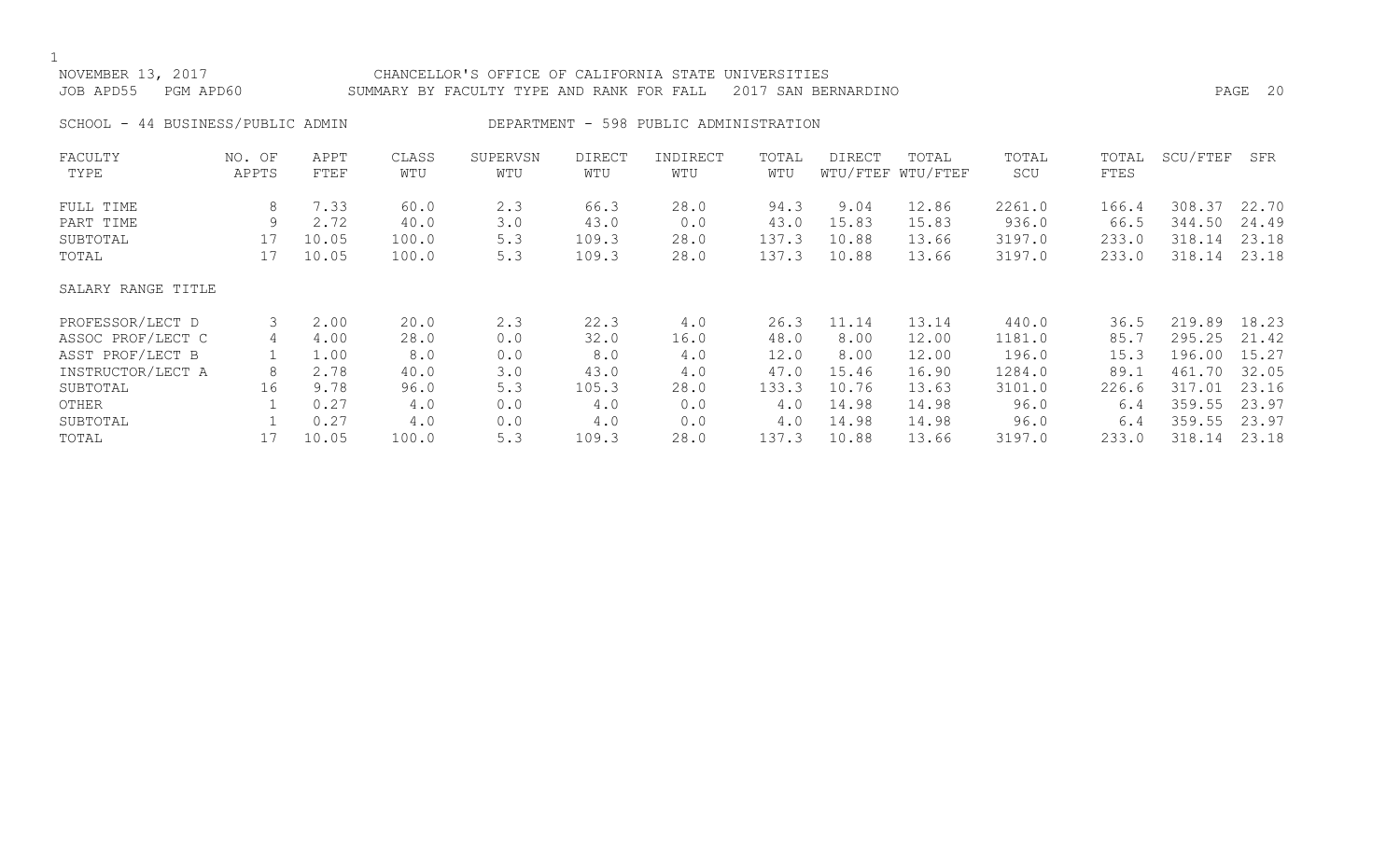| NOVEMBER 13, 2017<br>JOB APD55<br>PGM APD60 |                 |              |              | CHANCELLOR'S OFFICE OF CALIFORNIA STATE UNIVERSITIES<br>PAGE 20<br>2017 SAN BERNARDINO<br>SUMMARY BY FACULTY TYPE AND RANK FOR FALL |                      |                                        |              |               |                            |              |               |          |       |
|---------------------------------------------|-----------------|--------------|--------------|-------------------------------------------------------------------------------------------------------------------------------------|----------------------|----------------------------------------|--------------|---------------|----------------------------|--------------|---------------|----------|-------|
| SCHOOL - 44 BUSINESS/PUBLIC ADMIN           |                 |              |              |                                                                                                                                     |                      | DEPARTMENT - 598 PUBLIC ADMINISTRATION |              |               |                            |              |               |          |       |
| FACULTY<br>TYPE                             | NO. OF<br>APPTS | APPT<br>FTEF | CLASS<br>WTU | SUPERVSN<br>WTU                                                                                                                     | <b>DIRECT</b><br>WTU | INDIRECT<br>WTU                        | TOTAL<br>WTU | <b>DIRECT</b> | TOTAL<br>WTU/FTEF WTU/FTEF | TOTAL<br>SCU | TOTAL<br>FTES | SCU/FTEF | SFR   |
| FULL TIME                                   | 8               | 7.33         | 60.0         | 2.3                                                                                                                                 | 66.3                 | 28.0                                   | 94.3         | 9.04          | 12.86                      | 2261.0       | 166.4         | 308.37   | 22.70 |
| PART TIME                                   | 9               | 2.72         | 40.0         | 3.0                                                                                                                                 | 43.0                 | 0.0                                    | 43.0         | 15.83         | 15.83                      | 936.0        | 66.5          | 344.50   | 24.49 |
| SUBTOTAL                                    | 17              | 10.05        | 100.0        | 5.3                                                                                                                                 | 109.3                | 28.0                                   | 137.3        | 10.88         | 13.66                      | 3197.0       | 233.0         | 318.14   | 23.18 |
| TOTAL                                       | 17              | 10.05        | 100.0        | 5.3                                                                                                                                 | 109.3                | 28.0                                   | 137.3        | 10.88         | 13.66                      | 3197.0       | 233.0         | 318.14   | 23.18 |
| SALARY RANGE TITLE                          |                 |              |              |                                                                                                                                     |                      |                                        |              |               |                            |              |               |          |       |
| PROFESSOR/LECT D                            | 3               | 2.00         | 20.0         | 2.3                                                                                                                                 | 22.3                 | 4.0                                    | 26.3         | 11.14         | 13.14                      | 440.0        | 36.5          | 219.89   | 18.23 |
| ASSOC PROF/LECT C                           | 4               | 4.00         | 28.0         | 0.0                                                                                                                                 | 32.0                 | 16.0                                   | 48.0         | 8.00          | 12.00                      | 1181.0       | 85.7          | 295.25   | 21.42 |
| ASST PROF/LECT B                            |                 | 1.00         | 8.0          | 0.0                                                                                                                                 | 8.0                  | 4.0                                    | 12.0         | 8.00          | 12.00                      | 196.0        | 15.3          | 196.00   | 15.27 |
| INSTRUCTOR/LECT A                           | 8               | 2.78         | 40.0         | 3.0                                                                                                                                 | 43.0                 | 4.0                                    | 47.0         | 15.46         | 16.90                      | 1284.0       | 89.1          | 461.70   | 32.05 |
| SUBTOTAL                                    | 16              | 9.78         | 96.0         | 5.3                                                                                                                                 | 105.3                | 28.0                                   | 133.3        | 10.76         | 13.63                      | 3101.0       | 226.6         | 317.01   | 23.16 |

OTHER 1 0.27 4.0 0.0 4.0 0.0 4.0 14.98 14.98 96.0 6.4 359.55 23.97 SUBTOTAL 1 0.27 4.0 0.0 4.0 0.0 4.0 14.98 14.98 96.0 6.4 359.55 23.97 TOTAL 17 10.05 100.0 5.3 109.3 28.0 137.3 10.88 13.66 3197.0 233.0 318.14 23.18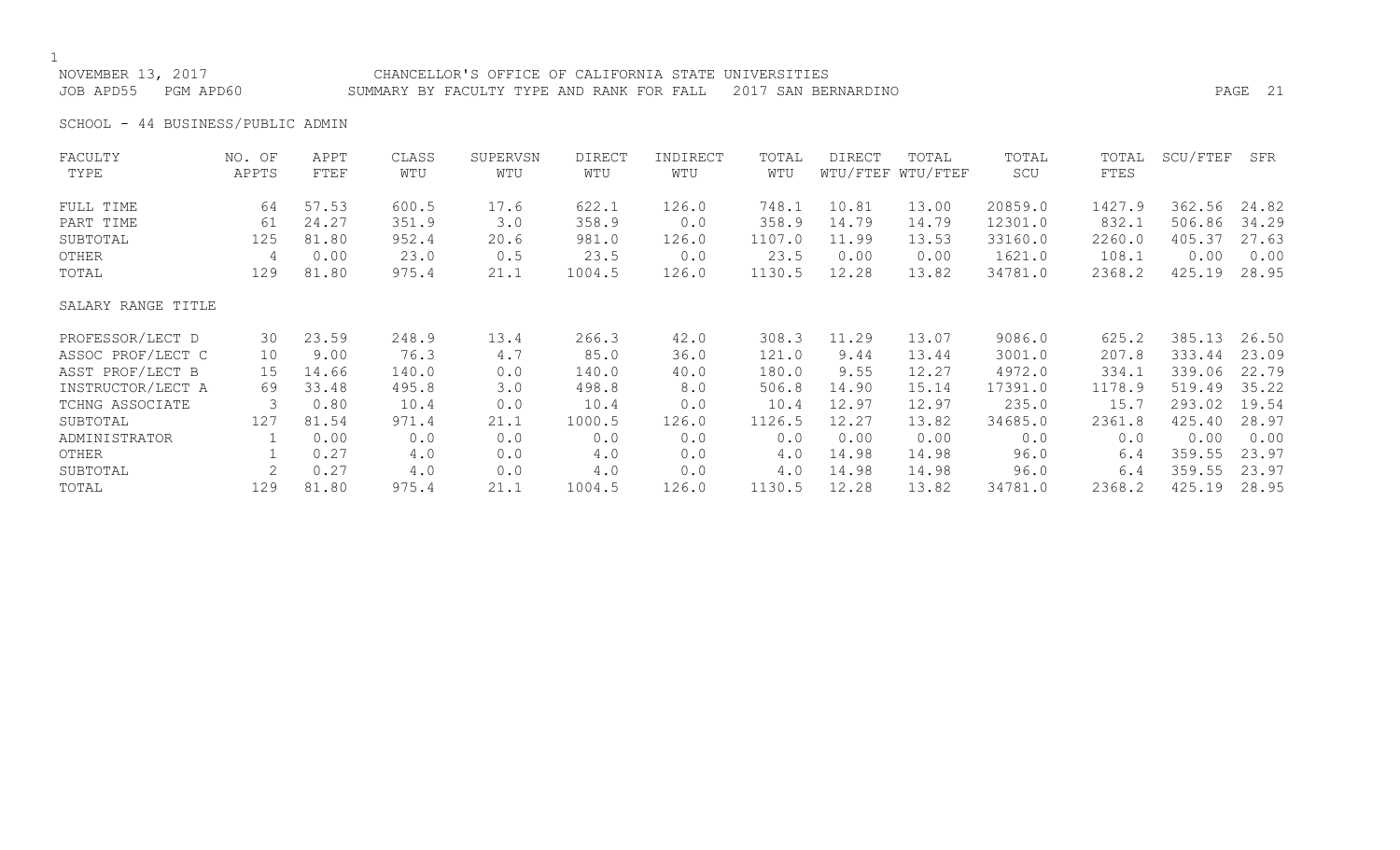# NOVEMBER 13, 2017 CHANCELLOR'S OFFICE OF CALIFORNIA STATE UNIVERSITIES

JOB APD55 PGM APD60 SUMMARY BY FACULTY TYPE AND RANK FOR FALL 2017 SAN BERNARDINO PAGE 21

SCHOOL - 44 BUSINESS/PUBLIC ADMIN

| FACULTY            | NO. OF | APPT  | CLASS | SUPERVSN | DIRECT | INDIRECT | TOTAL  | <b>DIRECT</b> | TOTAL             | TOTAL   | TOTAL  | SCU/FTEF | SFR   |
|--------------------|--------|-------|-------|----------|--------|----------|--------|---------------|-------------------|---------|--------|----------|-------|
| TYPE               | APPTS  | FTEF  | WTU   | WTU      | WTU    | WTU      | WTU    |               | WTU/FTEF WTU/FTEF | SCU     | FTES   |          |       |
| FULL TIME          | 64     | 57.53 | 600.5 | 17.6     | 622.1  | 126.0    | 748.1  | 10.81         | 13.00             | 20859.0 | 1427.9 | 362.56   | 24.82 |
| PART TIME          | 61     | 24.27 | 351.9 | 3.0      | 358.9  | 0.0      | 358.9  | 14.79         | 14.79             | 12301.0 | 832.1  | 506.86   | 34.29 |
| SUBTOTAL           | 125    | 81.80 | 952.4 | 20.6     | 981.0  | 126.0    | 1107.0 | 11.99         | 13.53             | 33160.0 | 2260.0 | 405.37   | 27.63 |
| OTHER              | 4      | 0.00  | 23.0  | 0.5      | 23.5   | 0.0      | 23.5   | 0.00          | 0.00              | 1621.0  | 108.1  | 0.00     | 0.00  |
| TOTAL              | 129    | 81.80 | 975.4 | 21.1     | 1004.5 | 126.0    | 1130.5 | 12.28         | 13.82             | 34781.0 | 2368.2 | 425.19   | 28.95 |
| SALARY RANGE TITLE |        |       |       |          |        |          |        |               |                   |         |        |          |       |
| PROFESSOR/LECT D   | 30     | 23.59 | 248.9 | 13.4     | 266.3  | 42.0     | 308.3  | 11.29         | 13.07             | 9086.0  | 625.2  | 385.13   | 26.50 |
| ASSOC PROF/LECT C  | 10     | 9.00  | 76.3  | 4.7      | 85.0   | 36.0     | 121.0  | 9.44          | 13.44             | 3001.0  | 207.8  | 333.44   | 23.09 |
| ASST PROF/LECT B   | 15     | 14.66 | 140.0 | 0.0      | 140.0  | 40.0     | 180.0  | 9.55          | 12.27             | 4972.0  | 334.1  | 339.06   | 22.79 |
| INSTRUCTOR/LECT A  | 69     | 33.48 | 495.8 | 3.0      | 498.8  | 8.0      | 506.8  | 14.90         | 15.14             | 17391.0 | 1178.9 | 519.49   | 35.22 |
| TCHNG ASSOCIATE    | 3      | 0.80  | 10.4  | 0.0      | 10.4   | 0.0      | 10.4   | 12.97         | 12.97             | 235.0   | 15.7   | 293.02   | 19.54 |
| SUBTOTAL           | 127    | 81.54 | 971.4 | 21.1     | 1000.5 | 126.0    | 1126.5 | 12.27         | 13.82             | 34685.0 | 2361.8 | 425.40   | 28.97 |
| ADMINISTRATOR      |        | 0.00  | 0.0   | 0.0      | 0.0    | 0.0      | 0.0    | 0.00          | 0.00              | 0.0     | 0.0    | 0.00     | 0.00  |
| OTHER              |        | 0.27  | 4.0   | 0.0      | 4.0    | 0.0      | 4.0    | 14.98         | 14.98             | 96.0    | 6.4    | 359.55   | 23.97 |
| SUBTOTAL           |        | 0.27  | 4.0   | 0.0      | 4.0    | 0.0      | 4.0    | 14.98         | 14.98             | 96.0    | 6.4    | 359.55   | 23.97 |
| TOTAL              | 129    | 81.80 | 975.4 | 21.1     | 1004.5 | 126.0    | 1130.5 | 12.28         | 13.82             | 34781.0 | 2368.2 | 425.19   | 28.95 |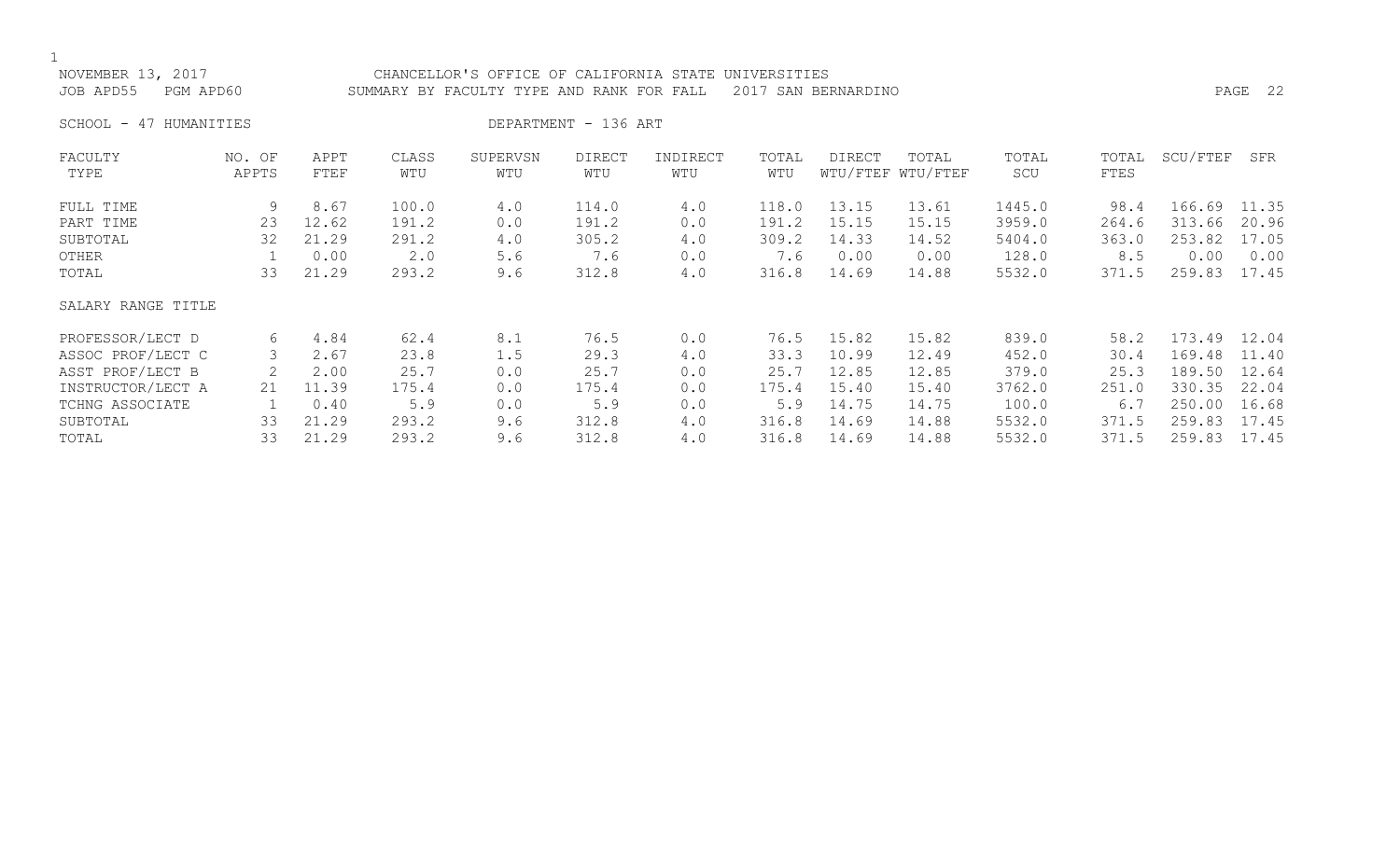### NOVEMBER 13, 2017 CHANCELLOR'S OFFICE OF CALIFORNIA STATE UNIVERSITIES JOB APD55 PGM APD60 SUMMARY BY FACULTY TYPE AND RANK FOR FALL 2017 SAN BERNARDINO PAGE 22

SCHOOL - 47 HUMANITIES DEPARTMENT - 136 ART

| FACULTY            | NO. OF | APPT  | CLASS | SUPERVSN | <b>DIRECT</b> | INDIRECT | TOTAL | DIRECT | TOTAL             | TOTAL  | TOTAL | SCU/FTEF | SFR   |
|--------------------|--------|-------|-------|----------|---------------|----------|-------|--------|-------------------|--------|-------|----------|-------|
| TYPE               | APPTS  | FTEF  | WTU   | WTU      | WTU           | WTU      | WTU   |        | WTU/FTEF WTU/FTEF | SCU    | FTES  |          |       |
| FULL TIME          | 9      | 8.67  | 100.0 | 4.0      | 114.0         | 4.0      | 118.0 | 13.15  | 13.61             | 1445.0 | 98.4  | 166.69   | 11.35 |
| PART TIME          | 23     | 12.62 | 191.2 | 0.0      | 191.2         | 0.0      | 191.2 | 15.15  | 15.15             | 3959.0 | 264.6 | 313.66   | 20.96 |
| SUBTOTAL           | 32     | 21.29 | 291.2 | 4.0      | 305.2         | 4.0      | 309.2 | 14.33  | 14.52             | 5404.0 | 363.0 | 253.82   | 17.05 |
| OTHER              |        | 0.00  | 2.0   | 5.6      | 7.6           | 0.0      | 7.6   | 0.00   | 0.00              | 128.0  | 8.5   | 0.00     | 0.00  |
| TOTAL              | 33     | 21.29 | 293.2 | 9.6      | 312.8         | 4.0      | 316.8 | 14.69  | 14.88             | 5532.0 | 371.5 | 259.83   | 17.45 |
| SALARY RANGE TITLE |        |       |       |          |               |          |       |        |                   |        |       |          |       |
| PROFESSOR/LECT D   | 6      | 4.84  | 62.4  | 8.1      | 76.5          | 0.0      | 76.5  | 15.82  | 15.82             | 839.0  | 58.2  | 173.49   | 12.04 |
| ASSOC PROF/LECT C  |        | 2.67  | 23.8  | 1.5      | 29.3          | 4.0      | 33.3  | 10.99  | 12.49             | 452.0  | 30.4  | 169.48   | 11.40 |
| ASST PROF/LECT B   |        | 2.00  | 25.7  | 0.0      | 25.7          | 0.0      | 25.7  | 12.85  | 12.85             | 379.0  | 25.3  | 189.50   | 12.64 |
| INSTRUCTOR/LECT A  | 21     | 11.39 | 175.4 | 0.0      | 175.4         | 0.0      | 175.4 | 15.40  | 15.40             | 3762.0 | 251.0 | 330.35   | 22.04 |
| TCHNG ASSOCIATE    |        | 0.40  | 5.9   | 0.0      | 5.9           | 0.0      | 5.9   | 14.75  | 14.75             | 100.0  | 6.7   | 250.00   | 16.68 |
| SUBTOTAL           | 33     | 21.29 | 293.2 | 9.6      | 312.8         | 4.0      | 316.8 | 14.69  | 14.88             | 5532.0 | 371.5 | 259.83   | 17.45 |
| TOTAL              | 33     | 21.29 | 293.2 | 9.6      | 312.8         | 4.0      | 316.8 | 14.69  | 14.88             | 5532.0 | 371.5 | 259.83   | 17.45 |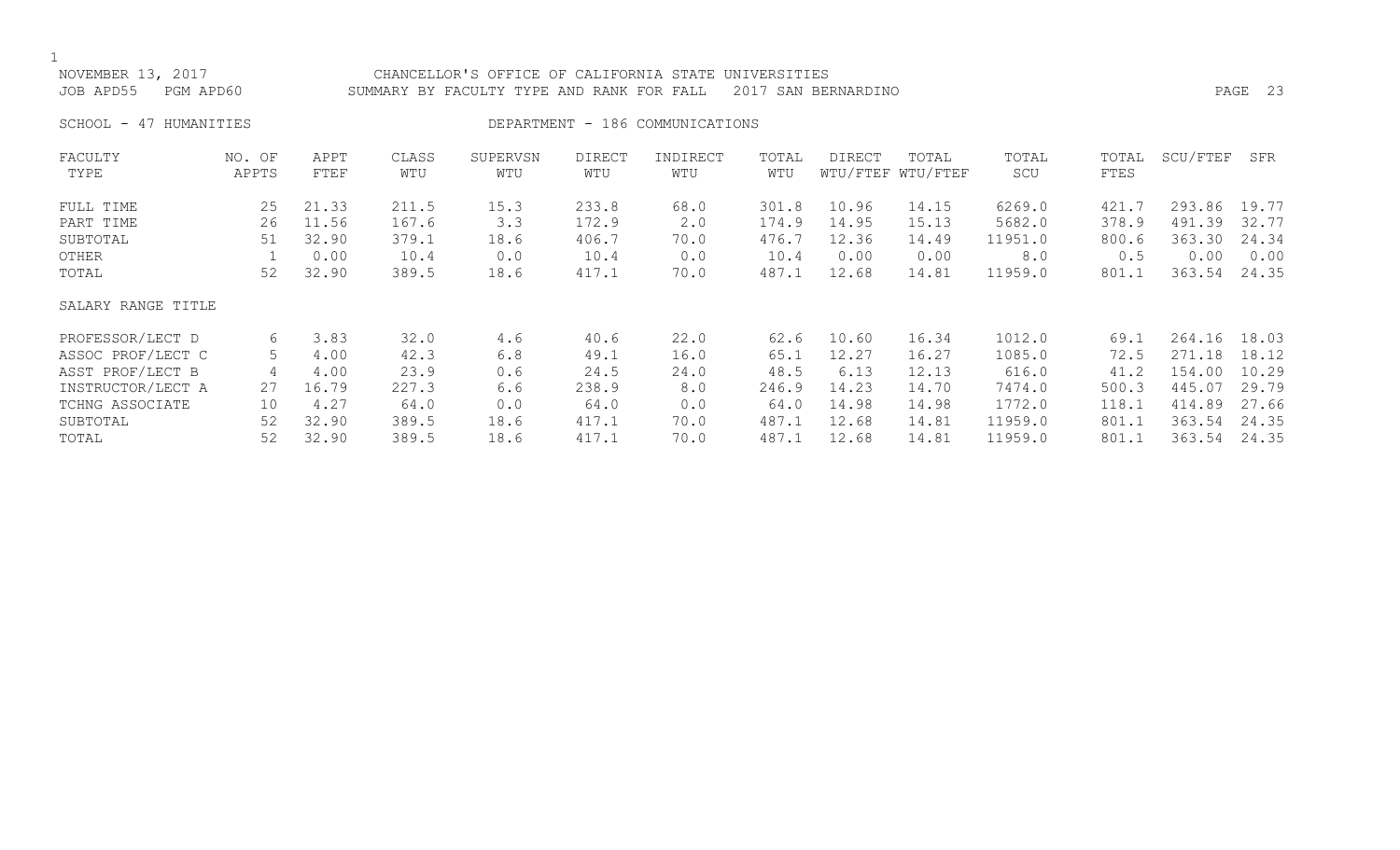NOVEMBER 13, 2017 CHANCELLOR'S OFFICE OF CALIFORNIA STATE UNIVERSITIES JOB APD55 PGM APD60 SUMMARY BY FACULTY TYPE AND RANK FOR FALL 2017 SAN BERNARDINO PAGE 23

SCHOOL - 47 HUMANITIES SERVICES DEPARTMENT - 186 COMMUNICATIONS

| FACULTY            | NO. OF | APPT  | CLASS | SUPERVSN | <b>DIRECT</b> | INDIRECT | TOTAL | <b>DIRECT</b> | TOTAL             | TOTAL   | TOTAL | SCU/FTEF | SFR   |
|--------------------|--------|-------|-------|----------|---------------|----------|-------|---------------|-------------------|---------|-------|----------|-------|
| TYPE               | APPTS  | FTEF  | WTU   | WTU      | WTU           | WTU      | WTU   |               | WTU/FTEF WTU/FTEF | SCU     | FTES  |          |       |
| FULL TIME          | 25     | 21.33 | 211.5 | 15.3     | 233.8         | 68.0     | 301.8 | 10.96         | 14.15             | 6269.0  | 421.7 | 293.86   | 19.77 |
| PART TIME          | 26     | 11.56 | 167.6 | 3.3      | 172.9         | 2.0      | 174.9 | 14.95         | 15.13             | 5682.0  | 378.9 | 491.39   | 32.77 |
| SUBTOTAL           | 51     | 32.90 | 379.1 | 18.6     | 406.7         | 70.0     | 476.7 | 12.36         | 14.49             | 11951.0 | 800.6 | 363.30   | 24.34 |
| OTHER              |        | 0.00  | 10.4  | 0.0      | 10.4          | 0.0      | 10.4  | 0.00          | 0.00              | 8.0     | 0.5   | 0.00     | 0.00  |
| TOTAL              | 52     | 32.90 | 389.5 | 18.6     | 417.1         | 70.0     | 487.1 | 12.68         | 14.81             | 11959.0 | 801.1 | 363.54   | 24.35 |
| SALARY RANGE TITLE |        |       |       |          |               |          |       |               |                   |         |       |          |       |
| PROFESSOR/LECT D   | 6      | 3.83  | 32.0  | 4.6      | 40.6          | 22.0     | 62.6  | 10.60         | 16.34             | 1012.0  | 69.1  | 264.16   | 18.03 |
| ASSOC PROF/LECT C  | 5      | 4.00  | 42.3  | 6.8      | 49.1          | 16.0     | 65.1  | 12.27         | 16.27             | 1085.0  | 72.5  | 271.18   | 18.12 |
| ASST PROF/LECT B   | 4      | 4.00  | 23.9  | 0.6      | 24.5          | 24.0     | 48.5  | 6.13          | 12.13             | 616.0   | 41.2  | 154.00   | 10.29 |
| INSTRUCTOR/LECT A  | 27     | 16.79 | 227.3 | 6.6      | 238.9         | 8.0      | 246.9 | 14.23         | 14.70             | 7474.0  | 500.3 | 445.07   | 29.79 |
| TCHNG ASSOCIATE    | 10     | 4.27  | 64.0  | 0.0      | 64.0          | 0.0      | 64.0  | 14.98         | 14.98             | 1772.0  | 118.1 | 414.89   | 27.66 |
| SUBTOTAL           | 52     | 32.90 | 389.5 | 18.6     | 417.1         | 70.0     | 487.1 | 12.68         | 14.81             | 11959.0 | 801.1 | 363.54   | 24.35 |
| TOTAL              | 52     | 32.90 | 389.5 | 18.6     | 417.1         | 70.0     | 487.1 | 12.68         | 14.81             | 11959.0 | 801.1 | 363.54   | 24.35 |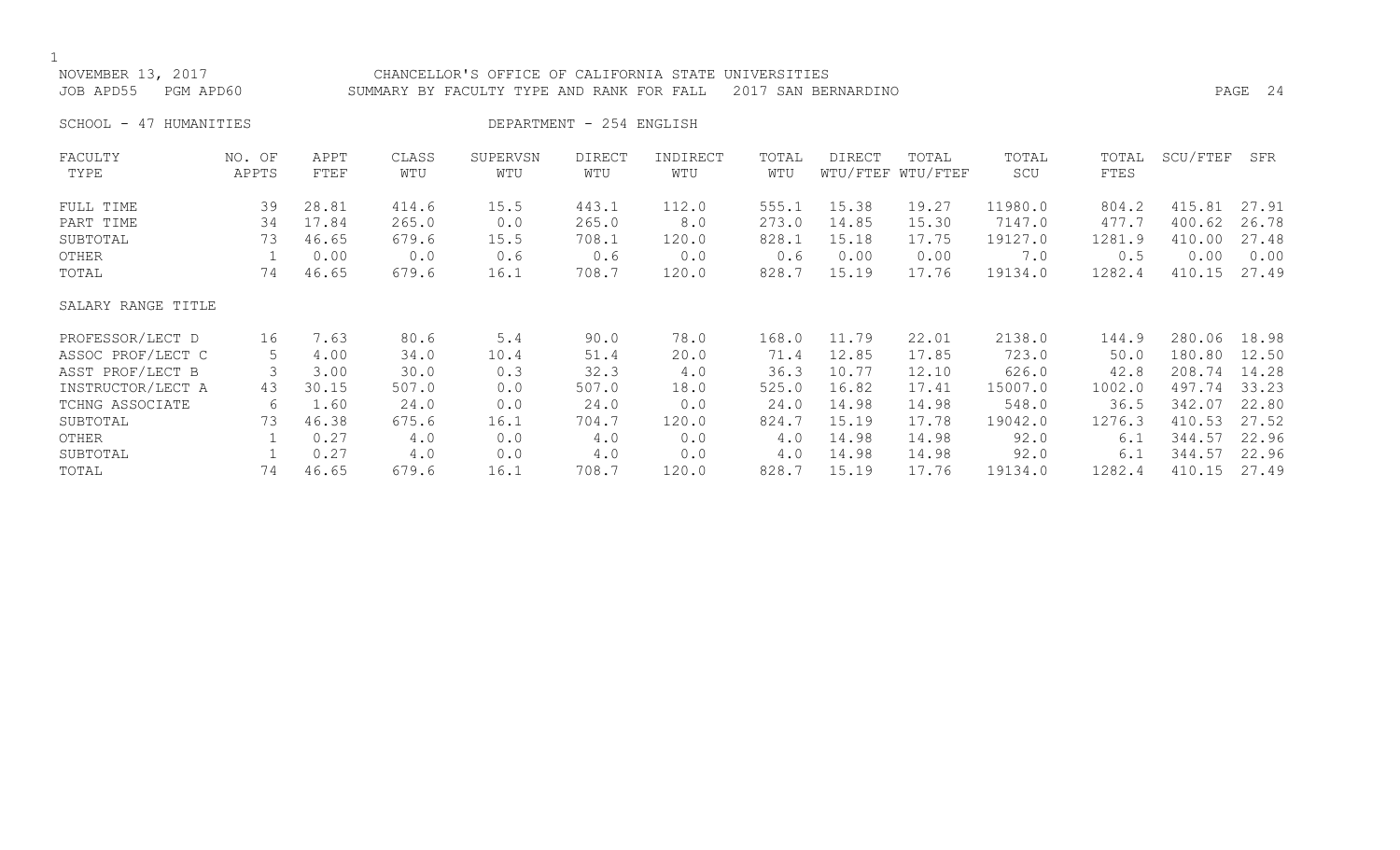## NOVEMBER 13, 2017 CHANCELLOR'S OFFICE OF CALIFORNIA STATE UNIVERSITIES JOB APD55 PGM APD60 SUMMARY BY FACULTY TYPE AND RANK FOR FALL 2017 SAN BERNARDINO PAGE 24

SCHOOL - 47 HUMANITIES DEPARTMENT - 254 ENGLISH

| FACULTY            | NO. OF | APPT  | CLASS | SUPERVSN | <b>DIRECT</b> | INDIRECT | TOTAL | <b>DIRECT</b> | TOTAL             | TOTAL   | TOTAL  | SCU/FTEF | SFR   |
|--------------------|--------|-------|-------|----------|---------------|----------|-------|---------------|-------------------|---------|--------|----------|-------|
| TYPE               | APPTS  | FTEF  | WTU   | WTU      | WTU           | WTU      | WTU   |               | WTU/FTEF WTU/FTEF | SCU     | FTES   |          |       |
| FULL TIME          | 39     | 28.81 | 414.6 | 15.5     | 443.1         | 112.0    | 555.1 | 15.38         | 19.27             | 11980.0 | 804.2  | 415.81   | 27.91 |
| PART TIME          | 34     | 17.84 | 265.0 | 0.0      | 265.0         | 8.0      | 273.0 | 14.85         | 15.30             | 7147.0  | 477.7  | 400.62   | 26.78 |
| SUBTOTAL           | 73     | 46.65 | 679.6 | 15.5     | 708.1         | 120.0    | 828.1 | 15.18         | 17.75             | 19127.0 | 1281.9 | 410.00   | 27.48 |
| OTHER              |        | 0.00  | 0.0   | 0.6      | 0.6           | 0.0      | 0.6   | 0.00          | 0.00              | 7.0     | 0.5    | 0.00     | 0.00  |
| TOTAL              | 74     | 46.65 | 679.6 | 16.1     | 708.7         | 120.0    | 828.7 | 15.19         | 17.76             | 19134.0 | 1282.4 | 410.15   | 27.49 |
| SALARY RANGE TITLE |        |       |       |          |               |          |       |               |                   |         |        |          |       |
| PROFESSOR/LECT D   | 16     | 7.63  | 80.6  | 5.4      | 90.0          | 78.0     | 168.0 | 11.79         | 22.01             | 2138.0  | 144.9  | 280.06   | 18.98 |
| ASSOC PROF/LECT C  | 5      | 4.00  | 34.0  | 10.4     | 51.4          | 20.0     | 71.4  | 12.85         | 17.85             | 723.0   | 50.0   | 180.80   | 12.50 |
| ASST PROF/LECT B   |        | 3.00  | 30.0  | 0.3      | 32.3          | 4.0      | 36.3  | 10.77         | 12.10             | 626.0   | 42.8   | 208.74   | 14.28 |
| INSTRUCTOR/LECT A  | 43     | 30.15 | 507.0 | 0.0      | 507.0         | 18.0     | 525.0 | 16.82         | 17.41             | 15007.0 | 1002.0 | 497.74   | 33.23 |
| TCHNG ASSOCIATE    | 6      | 1.60  | 24.0  | 0.0      | 24.0          | 0.0      | 24.0  | 14.98         | 14.98             | 548.0   | 36.5   | 342.07   | 22.80 |
| SUBTOTAL           | 73     | 46.38 | 675.6 | 16.1     | 704.7         | 120.0    | 824.7 | 15.19         | 17.78             | 19042.0 | 1276.3 | 410.53   | 27.52 |
| OTHER              |        | 0.27  | 4.0   | 0.0      | 4.0           | 0.0      | 4.0   | 14.98         | 14.98             | 92.0    | 6.1    | 344.57   | 22.96 |
| SUBTOTAL           |        | 0.27  | 4.0   | 0.0      | 4.0           | 0.0      | 4.0   | 14.98         | 14.98             | 92.0    | 6.1    | 344.57   | 22.96 |
| TOTAL              | 74     | 46.65 | 679.6 | 16.1     | 708.7         | 120.0    | 828.7 | 15.19         | 17.76             | 19134.0 | 1282.4 | 410.15   | 27.49 |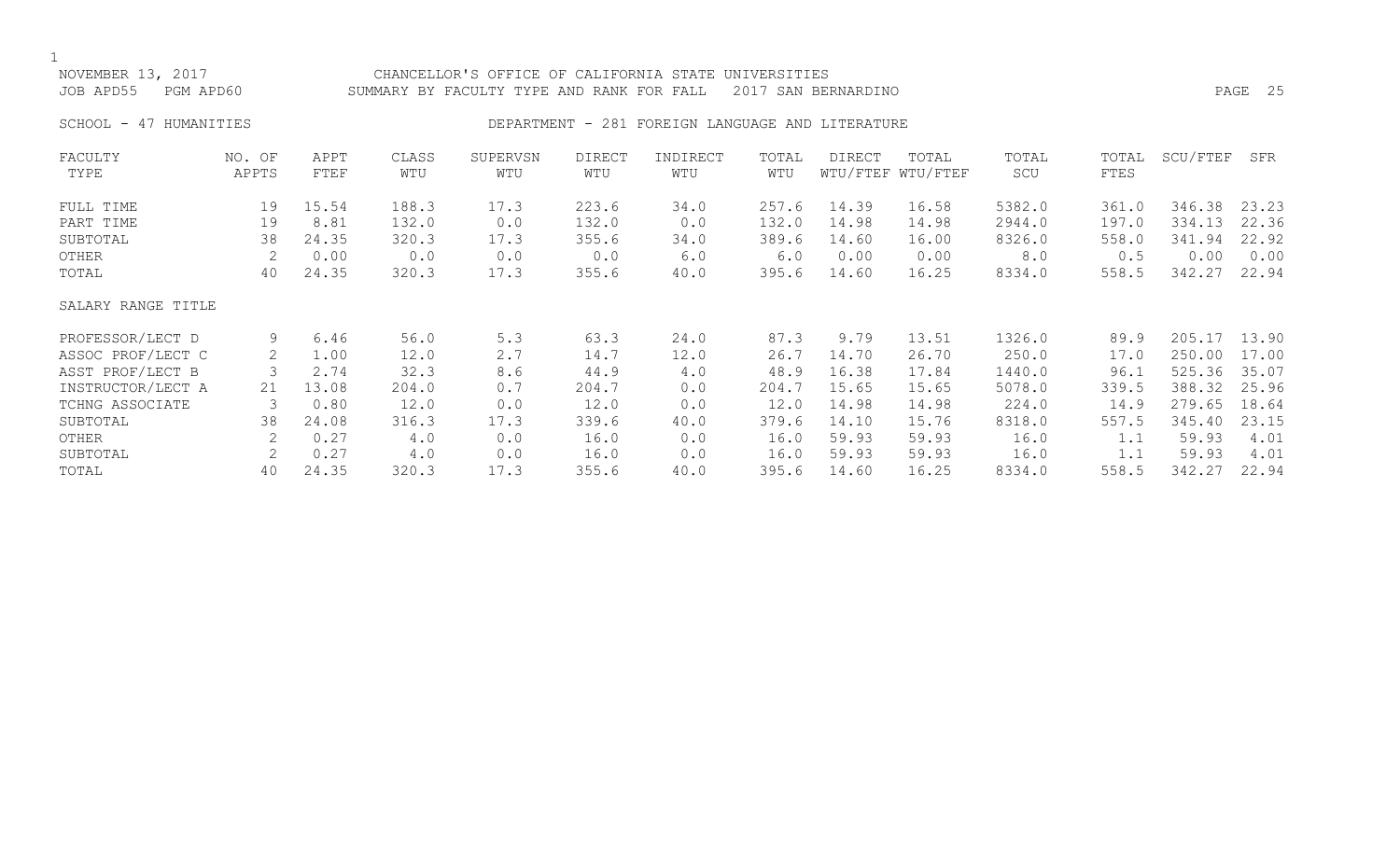NOVEMBER 13, 2017 CHANCELLOR'S OFFICE OF CALIFORNIA STATE UNIVERSITIES JOB APD55 PGM APD60 SUMMARY BY FACULTY TYPE AND RANK FOR FALL 2017 SAN BERNARDINO PAGE 25 SCHOOL - 47 HUMANITIES **DEPARTMENT - 281 FOREIGN LANGUAGE AND LITERATURE** FACULTY NO. OF APPT CLASS SUPERVSN DIRECT INDIRECT TOTAL DIRECT TOTAL TOTAL TOTAL SCU/FTEF SFR TYPE APPTS FTEF WTU WTU WTU WTU WTU WTU/FTEF WTU/FTEF SCU FTES FULL TIME 19 15.54 188.3 17.3 223.6 34.0 257.6 14.39 16.58 5382.0 361.0 346.38 23.23 PART TIME 19 8.81 132.0 0.0 132.0 0.0 132.0 14.98 14.98 2944.0 197.0 334.13 22.36 SUBTOTAL 38 24.35 320.3 17.3 355.6 34.0 389.6 14.60 16.00 8326.0 558.0 341.94 22.92 OTHER 2 0.00 0.0 0.0 0.0 6.0 6.0 0.00 0.00 8.0 0.5 0.00 0.00 TOTAL 40 24.35 320.3 17.3 355.6 40.0 395.6 14.60 16.25 8334.0 558.5 342.27 22.94 SALARY RANGE TITLE PROFESSOR/LECT D 9 6.46 56.0 5.3 63.3 24.0 87.3 9.79 13.51 1326.0 89.9 205.17 13.90 ASSOC PROF/LECT C 2 1.00 12.0 2.7 14.7 12.0 26.7 14.70 26.70 250.0 17.0 250.00 17.00 ASST PROF/LECT B 3 2.74 32.3 8.6 44.9 4.0 48.9 16.38 17.84 1440.0 96.1 525.36 35.07 INSTRUCTOR/LECT A 21 13.08 204.0 0.7 204.7 0.0 204.7 15.65 15.65 5078.0 339.5 388.32 25.96 TCHNG ASSOCIATE 3 0.80 12.0 0.0 12.0 0.0 12.0 14.98 14.98 224.0 14.9 279.65 18.64 SUBTOTAL 38 24.08 316.3 17.3 339.6 40.0 379.6 14.10 15.76 8318.0 557.5 345.40 23.15

OTHER 2 0.27 4.0 0.0 16.0 0.0 16.0 59.93 59.93 16.0 1.1 59.93 4.01 SUBTOTAL 2 0.27 4.0 0.0 16.0 0.0 16.0 59.93 59.93 16.0 1.1 59.93 4.01 TOTAL 40 24.35 320.3 17.3 355.6 40.0 395.6 14.60 16.25 8334.0 558.5 342.27 22.94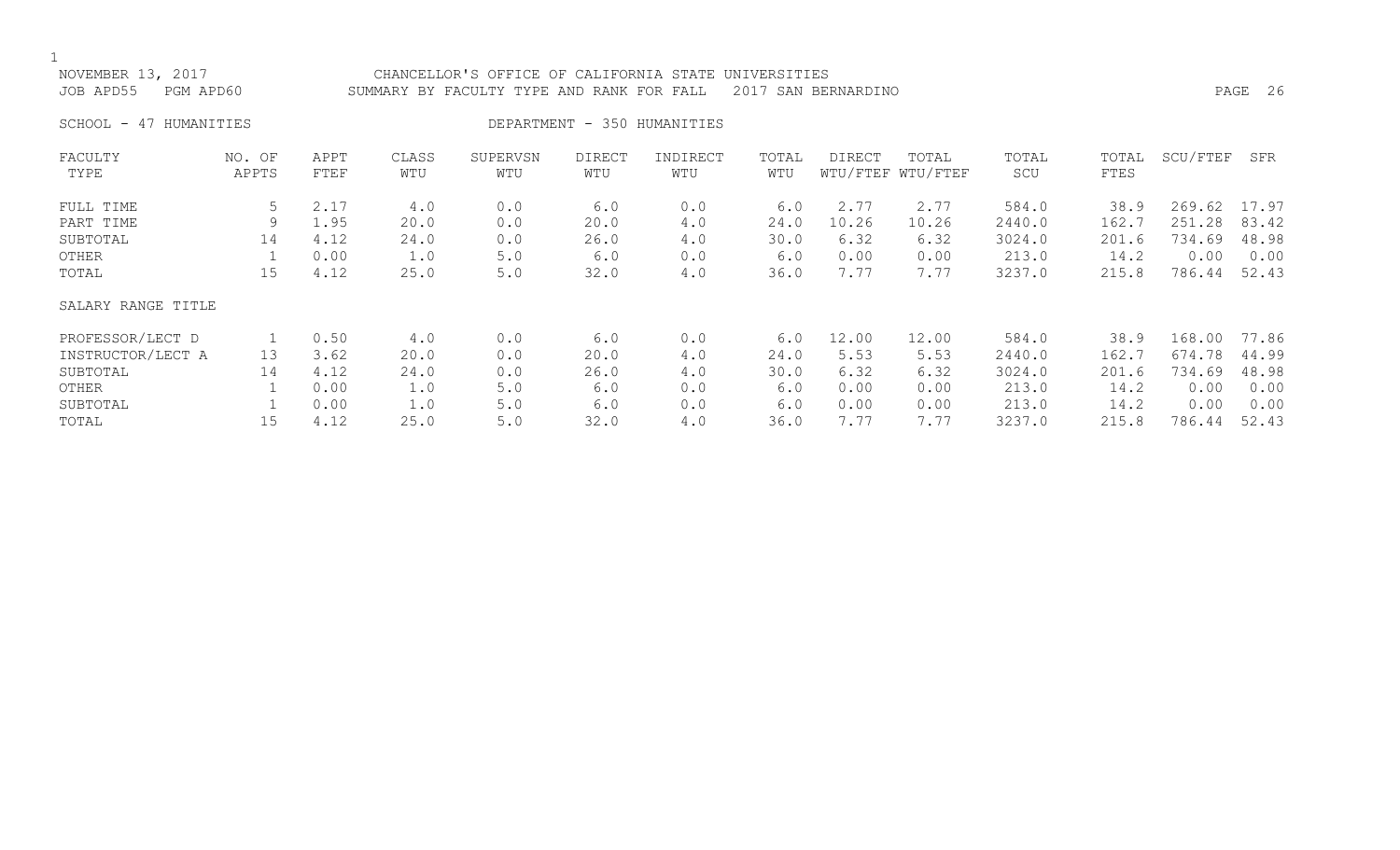### NOVEMBER 13, 2017 CHANCELLOR'S OFFICE OF CALIFORNIA STATE UNIVERSITIES JOB APD55 PGM APD60 SUMMARY BY FACULTY TYPE AND RANK FOR FALL 2017 SAN BERNARDINO PAGE 26

SCHOOL - 47 HUMANITIES DEPARTMENT - 350 HUMANITIES

| FACULTY            | NO. OF | APPT | CLASS | SUPERVSN | <b>DIRECT</b> | INDIRECT | TOTAL | <b>DIRECT</b> | TOTAL             | TOTAL  | TOTAL | SCU/FTEF | SFR   |
|--------------------|--------|------|-------|----------|---------------|----------|-------|---------------|-------------------|--------|-------|----------|-------|
| TYPE               | APPTS  | FTEF | WTU   | WTU      | WTU           | WTU      | WTU   |               | WTU/FTEF WTU/FTEF | SCU    | FTES  |          |       |
| FULL TIME          | 5      | 2.17 | 4.0   | 0.0      | 6.0           | 0.0      | 6.0   | 2.77          | 2.77              | 584.0  | 38.9  | 269.62   | 17.97 |
| PART TIME          | 9      | 1.95 | 20.0  | 0.0      | 20.0          | 4.0      | 24.0  | 10.26         | 10.26             | 2440.0 | 162.7 | 251.28   | 83.42 |
| SUBTOTAL           | 14     | 4.12 | 24.0  | 0.0      | 26.0          | 4.0      | 30.0  | 6.32          | 6.32              | 3024.0 | 201.6 | 734.69   | 48.98 |
| OTHER              |        | 0.00 | 1.0   | 5.0      | 6.0           | 0.0      | 6.0   | 0.00          | 0.00              | 213.0  | 14.2  | 0.00     | 0.00  |
| TOTAL              | 15     | 4.12 | 25.0  | $5.0$    | 32.0          | 4.0      | 36.0  | 7.77          | 7.77              | 3237.0 | 215.8 | 786.44   | 52.43 |
| SALARY RANGE TITLE |        |      |       |          |               |          |       |               |                   |        |       |          |       |
| PROFESSOR/LECT D   |        | 0.50 | 4.0   | 0.0      | 6.0           | 0.0      | 6.0   | 12.00         | 12.00             | 584.0  | 38.9  | 168.00   | 77.86 |
| INSTRUCTOR/LECT A  | 13     | 3.62 | 20.0  | 0.0      | 20.0          | 4.0      | 24.0  | 5.53          | 5.53              | 2440.0 | 162.7 | 674.78   | 44.99 |
| SUBTOTAL           | 14     | 4.12 | 24.0  | 0.0      | 26.0          | 4.0      | 30.0  | 6.32          | 6.32              | 3024.0 | 201.6 | 734.69   | 48.98 |
| OTHER              |        | 0.00 | 1.0   | $5.0$    | 6.0           | 0.0      | 6.0   | 0.00          | 0.00              | 213.0  | 14.2  | 0.00     | 0.00  |
| SUBTOTAL           |        | 0.00 | 1.0   | 5.0      | 6.0           | 0.0      | 6.0   | 0.00          | 0.00              | 213.0  | 14.2  | 0.00     | 0.00  |
| TOTAL              | 15     | 4.12 | 25.0  | 5.0      | 32.0          | 4.0      | 36.0  | 7.77          | 7.77              | 3237.0 | 215.8 | 786.44   | 52.43 |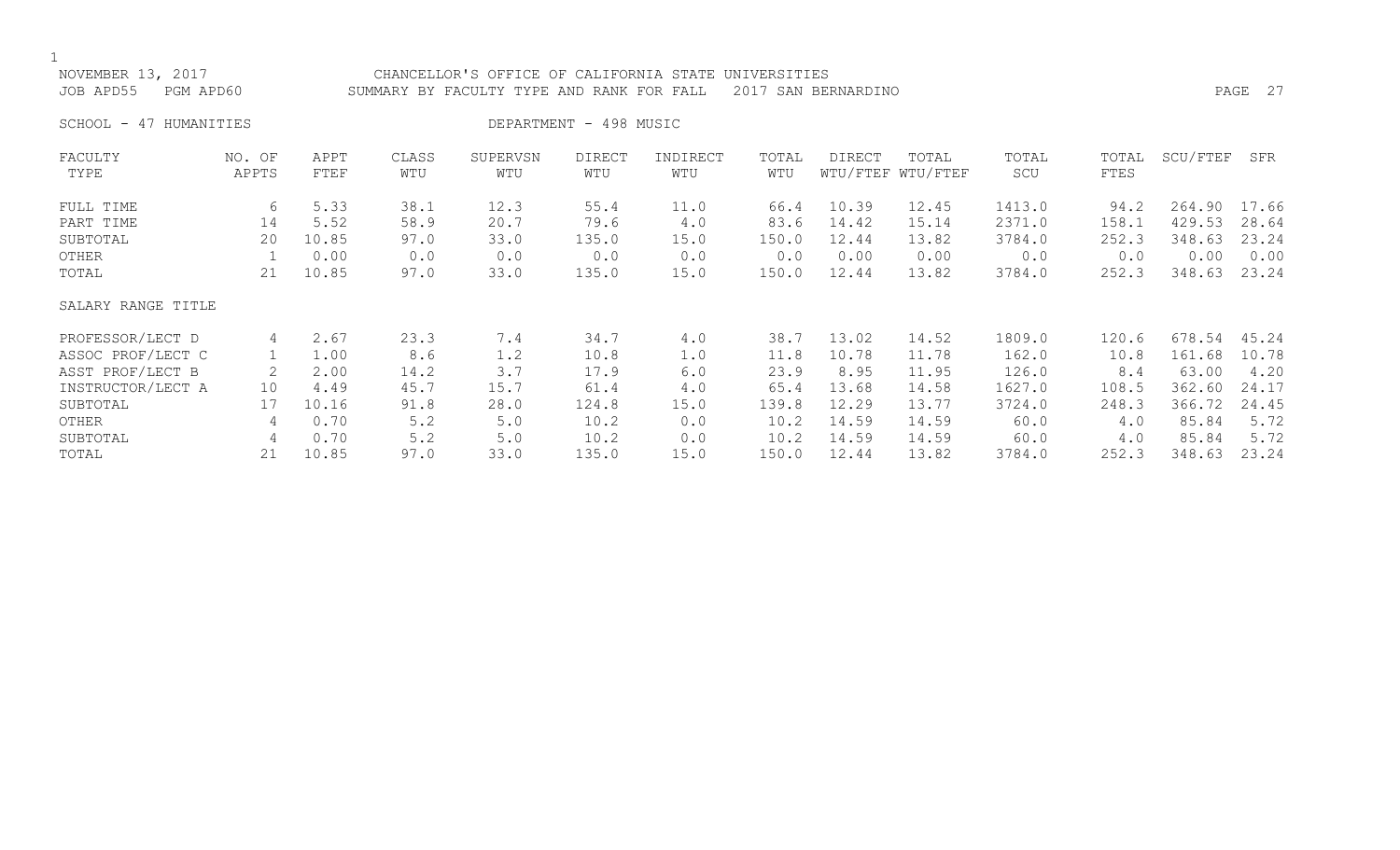## NOVEMBER 13, 2017 CHANCELLOR'S OFFICE OF CALIFORNIA STATE UNIVERSITIES JOB APD55 PGM APD60 SUMMARY BY FACULTY TYPE AND RANK FOR FALL 2017 SAN BERNARDINO PAGE 27

SCHOOL - 47 HUMANITIES DEPARTMENT - 498 MUSIC

| FACULTY            | NO. OF | APPT  | CLASS | SUPERVSN | DIRECT | INDIRECT | TOTAL | <b>DIRECT</b> | TOTAL             | TOTAL  | TOTAL | SCU/FTEF | SFR   |
|--------------------|--------|-------|-------|----------|--------|----------|-------|---------------|-------------------|--------|-------|----------|-------|
| TYPE               | APPTS  | FTEF  | WTU   | WTU      | WTU    | WTU      | WTU   |               | WTU/FTEF WTU/FTEF | SCU    | FTES  |          |       |
| FULL TIME          | 6      | 5.33  | 38.1  | 12.3     | 55.4   | 11.0     | 66.4  | 10.39         | 12.45             | 1413.0 | 94.2  | 264.90   | 17.66 |
| PART TIME          | 14     | 5.52  | 58.9  | 20.7     | 79.6   | 4.0      | 83.6  | 14.42         | 15.14             | 2371.0 | 158.1 | 429.53   | 28.64 |
| SUBTOTAL           | 20     | 10.85 | 97.0  | 33.0     | 135.0  | 15.0     | 150.0 | 12.44         | 13.82             | 3784.0 | 252.3 | 348.63   | 23.24 |
| OTHER              |        | 0.00  | 0.0   | 0.0      | 0.0    | 0.0      | 0.0   | 0.00          | 0.00              | 0.0    | 0.0   | 0.00     | 0.00  |
| TOTAL              | 21     | 10.85 | 97.0  | 33.0     | 135.0  | 15.0     | 150.0 | 12.44         | 13.82             | 3784.0 | 252.3 | 348.63   | 23.24 |
| SALARY RANGE TITLE |        |       |       |          |        |          |       |               |                   |        |       |          |       |
| PROFESSOR/LECT D   | 4      | 2.67  | 23.3  | 7.4      | 34.7   | 4.0      | 38.7  | 13.02         | 14.52             | 1809.0 | 120.6 | 678.54   | 45.24 |
| ASSOC PROF/LECT C  |        | 1.00  | 8.6   | 1.2      | 10.8   | 1.0      | 11.8  | 10.78         | 11.78             | 162.0  | 10.8  | 161.68   | 10.78 |
| ASST PROF/LECT B   |        | 2.00  | 14.2  | 3.7      | 17.9   | 6.0      | 23.9  | 8.95          | 11.95             | 126.0  | 8.4   | 63.00    | 4.20  |
| INSTRUCTOR/LECT A  | 10     | 4.49  | 45.7  | 15.7     | 61.4   | 4.0      | 65.4  | 13.68         | 14.58             | 1627.0 | 108.5 | 362.60   | 24.17 |
| SUBTOTAL           | 17     | 10.16 | 91.8  | 28.0     | 124.8  | 15.0     | 139.8 | 12.29         | 13.77             | 3724.0 | 248.3 | 366.72   | 24.45 |
| OTHER              | 4      | 0.70  | 5.2   | 5.0      | 10.2   | 0.0      | 10.2  | 14.59         | 14.59             | 60.0   | 4.0   | 85.84    | 5.72  |
| SUBTOTAL           | 4      | 0.70  | 5.2   | 5.0      | 10.2   | 0.0      | 10.2  | 14.59         | 14.59             | 60.0   | 4.0   | 85.84    | 5.72  |
| TOTAL              | 21     | 10.85 | 97.0  | 33.0     | 135.0  | 15.0     | 150.0 | 12.44         | 13.82             | 3784.0 | 252.3 | 348.63   | 23.24 |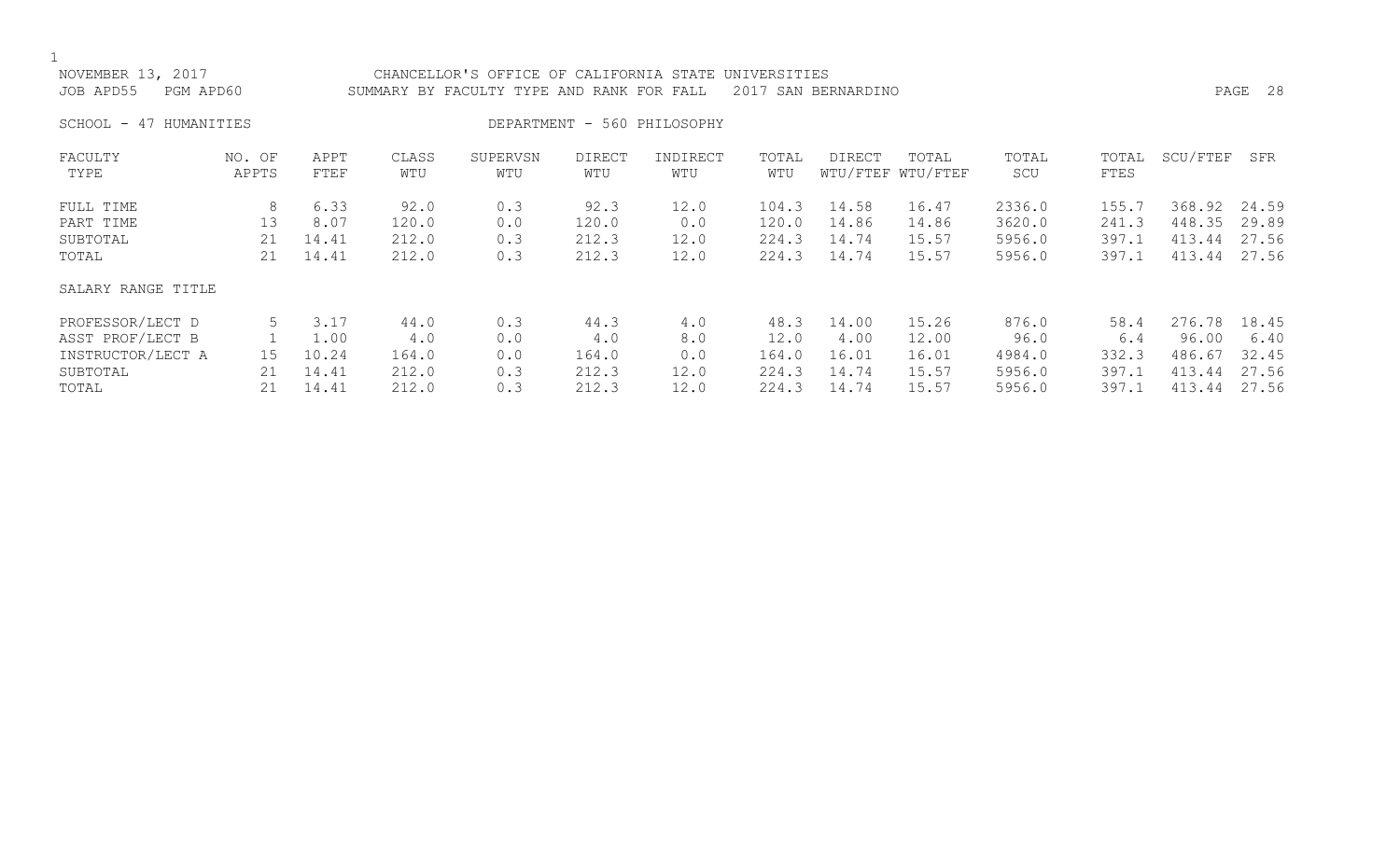NOVEMBER 13, 2017 CHANCELLOR'S OFFICE OF CALIFORNIA STATE UNIVERSITIES JOB APD55 PGM APD60 SUMMARY BY FACULTY TYPE AND RANK FOR FALL 2017 SAN BERNARDINO PAGE 28 SCHOOL - 47 HUMANITIES DEPARTMENT - 560 PHILOSOPHY FACULTY NO. OF APPT CLASS SUPERVSN DIRECT INDIRECT TOTAL DIRECT TOTAL TOTAL TOTAL SCU/FTEF SFR TYPE APPTS FTEF WTU WTU WTU WTU WTU WTU/FTEF WTU/FTEF SCU FTES FULL TIME 8 6.33 92.0 0.3 92.3 12.0 104.3 14.58 16.47 2336.0 155.7 368.92 24.59 PART TIME 13 8.07 120.0 0.0 120.0 0.0 120.0 14.86 14.86 3620.0 241.3 448.35 29.89 SUBTOTAL 21 14.41 212.0 0.3 212.3 12.0 224.3 14.74 15.57 5956.0 397.1 413.44 27.56 TOTAL 21 14.41 212.0 0.3 212.3 12.0 224.3 14.74 15.57 5956.0 397.1 413.44 27.56 SALARY RANGE TITLE PROFESSOR/LECT D 5 3.17 44.0 0.3 44.3 4.0 48.3 14.00 15.26 876.0 58.4 276.78 18.45 ASST PROF/LECT B 1 1.00 4.0 0.0 4.0 8.0 12.0 4.00 12.00 96.0 6.4 96.00 6.40 INSTRUCTOR/LECT A 15 10.24 164.0 0.0 164.0 0.0 164.0 16.01 16.01 4984.0 332.3 486.67 32.45 SUBTOTAL 21 14.41 212.0 0.3 212.3 12.0 224.3 14.74 15.57 5956.0 397.1 413.44 27.56 TOTAL 21 14.41 212.0 0.3 212.3 12.0 224.3 14.74 15.57 5956.0 397.1 413.44 27.56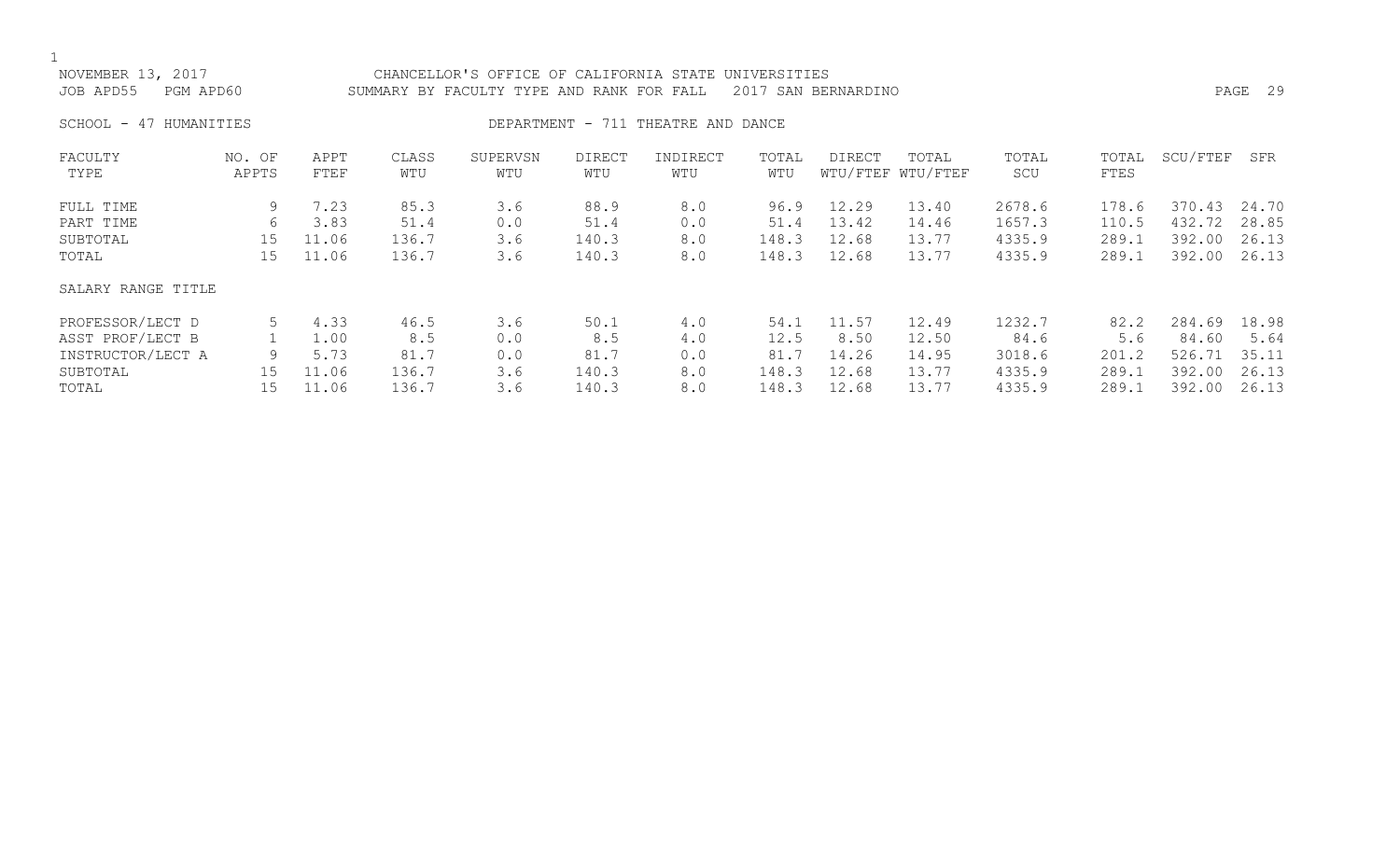| NOVEMBER 13, 2017<br>JOB APD55<br>PGM APD60 |                 |              |              | CHANCELLOR'S OFFICE OF CALIFORNIA STATE UNIVERSITIES<br>SUMMARY BY FACULTY TYPE AND RANK FOR FALL |                      |                                    |              | 2017 SAN BERNARDINO |                            |              |               |          | PAGE 29 |
|---------------------------------------------|-----------------|--------------|--------------|---------------------------------------------------------------------------------------------------|----------------------|------------------------------------|--------------|---------------------|----------------------------|--------------|---------------|----------|---------|
| SCHOOL - 47 HUMANITIES                      |                 |              |              |                                                                                                   |                      | DEPARTMENT - 711 THEATRE AND DANCE |              |                     |                            |              |               |          |         |
| FACULTY<br>TYPE                             | NO. OF<br>APPTS | APPT<br>FTEF | CLASS<br>WTU | SUPERVSN<br>WTU                                                                                   | <b>DIRECT</b><br>WTU | INDIRECT<br>WTU                    | TOTAL<br>WTU | DIRECT              | TOTAL<br>WTU/FTEF WTU/FTEF | TOTAL<br>SCU | TOTAL<br>FTES | SCU/FTEF | SFR     |
| FULL TIME                                   | 9               | 7.23         | 85.3         | 3.6                                                                                               | 88.9                 | 8.0                                | 96.9         | 12.29               | 13.40                      | 2678.6       | 178.6         | 370.43   | 24.70   |
| PART TIME                                   | 6               | 3.83         | 51.4         | 0.0                                                                                               | 51.4                 | 0.0                                | 51.4         | 13.42               | 14.46                      | 1657.3       | 110.5         | 432.72   | 28.85   |
| SUBTOTAL                                    | 15              | 11.06        | 136.7        | 3.6                                                                                               | 140.3                | 8.0                                | 148.3        | 12.68               | 13.77                      | 4335.9       | 289.1         | 392.00   | 26.13   |
| TOTAL                                       | 15              | 11.06        | 136.7        | 3.6                                                                                               | 140.3                | 8.0                                | 148.3        | 12.68               | 13.77                      | 4335.9       | 289.1         | 392.00   | 26.13   |
| SALARY RANGE TITLE                          |                 |              |              |                                                                                                   |                      |                                    |              |                     |                            |              |               |          |         |
| PROFESSOR/LECT D                            | 5               | 4.33         | 46.5         | 3.6                                                                                               | 50.1                 | 4.0                                | 54.1         | 11.57               | 12.49                      | 1232.7       | 82.2          | 284.69   | 18.98   |
| ASST PROF/LECT B                            |                 | 1.00         | 8.5          | 0.0                                                                                               | 8.5                  | 4.0                                | 12.5         | 8.50                | 12.50                      | 84.6         | 5.6           | 84.60    | 5.64    |
| INSTRUCTOR/LECT A                           | 9               | 5.73         | 81.7         | 0.0                                                                                               | 81.7                 | 0.0                                | 81.7         | 14.26               | 14.95                      | 3018.6       | 201.2         | 526.71   | 35.11   |
| SUBTOTAL                                    | 15              | 11.06        | 136.7        | 3.6                                                                                               | 140.3                | 8.0                                | 148.3        | 12.68               | 13.77                      | 4335.9       | 289.1         | 392.00   | 26.13   |
| TOTAL                                       | 15              | 11.06        | 136.7        | 3.6                                                                                               | 140.3                | 8.0                                | 148.3        | 12.68               | 13.77                      | 4335.9       | 289.1         | 392.00   | 26.13   |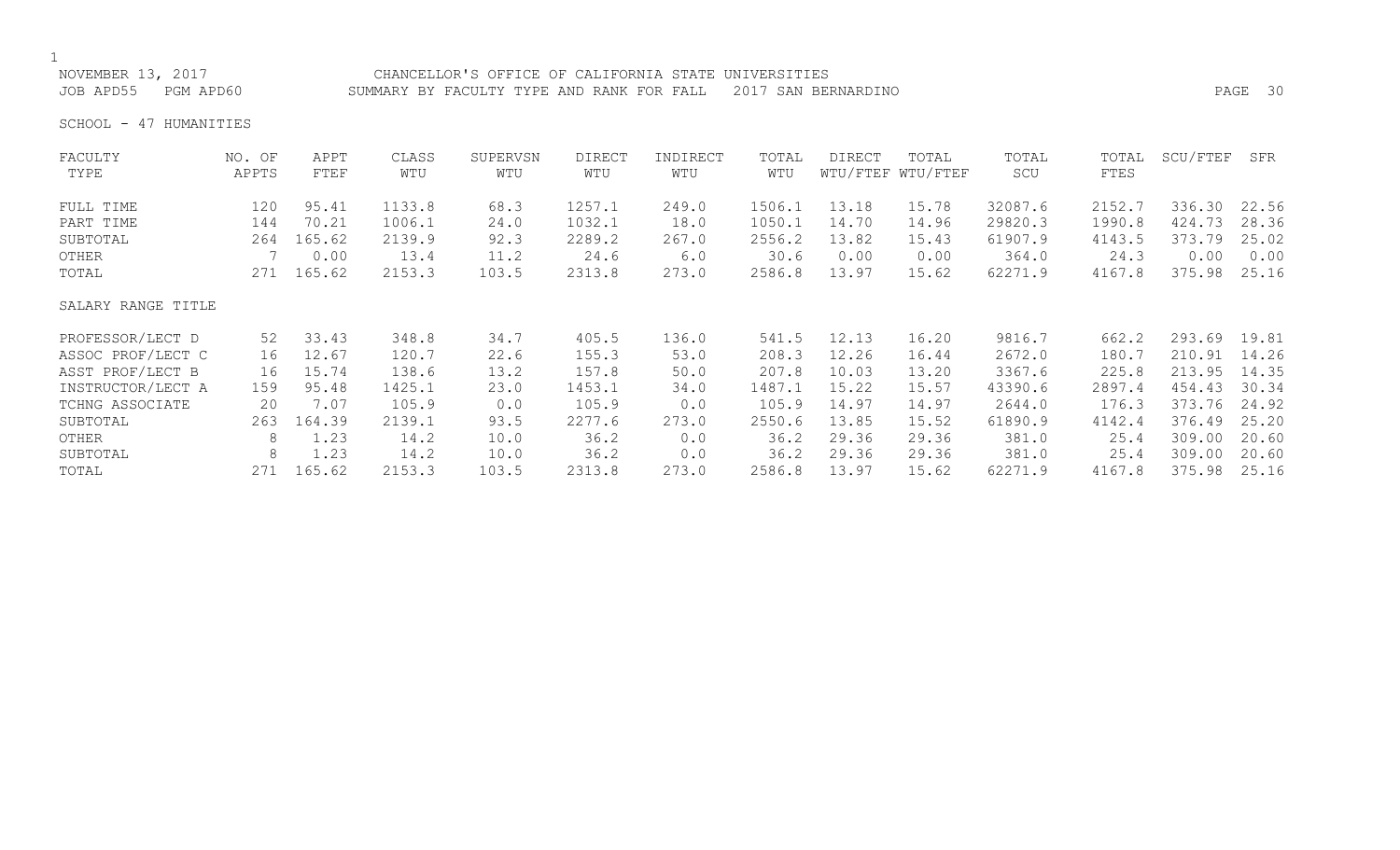NOVEMBER 13, 2017 CHANCELLOR'S OFFICE OF CALIFORNIA STATE UNIVERSITIES JOB APD55 PGM APD60 SUMMARY BY FACULTY TYPE AND RANK FOR FALL 2017 SAN BERNARDINO PAGE 30

SCHOOL - 47 HUMANITIES

| FACULTY            | NO. OF | APPT   | CLASS  | SUPERVSN | <b>DIRECT</b> | INDIRECT | TOTAL  | <b>DIRECT</b> | TOTAL             | TOTAL   | TOTAL  | SCU/FTEF | SFR   |
|--------------------|--------|--------|--------|----------|---------------|----------|--------|---------------|-------------------|---------|--------|----------|-------|
| TYPE               | APPTS  | FTEF   | WTU    | WTU      | WTU           | WTU      | WTU    |               | WTU/FTEF WTU/FTEF | SCU     | FTES   |          |       |
| FULL TIME          | 120    | 95.41  | 1133.8 | 68.3     | 1257.1        | 249.0    | 1506.1 | 13.18         | 15.78             | 32087.6 | 2152.7 | 336.30   | 22.56 |
| PART TIME          | 144    | 70.21  | 1006.1 | 24.0     | 1032.1        | 18.0     | 1050.1 | 14.70         | 14.96             | 29820.3 | 1990.8 | 424.73   | 28.36 |
| SUBTOTAL           | 264    | 165.62 | 2139.9 | 92.3     | 2289.2        | 267.0    | 2556.2 | 13.82         | 15.43             | 61907.9 | 4143.5 | 373.79   | 25.02 |
| OTHER              |        | 0.00   | 13.4   | 11.2     | 24.6          | 6.0      | 30.6   | 0.00          | 0.00              | 364.0   | 24.3   | 0.00     | 0.00  |
| TOTAL              | 271    | 165.62 | 2153.3 | 103.5    | 2313.8        | 273.0    | 2586.8 | 13.97         | 15.62             | 62271.9 | 4167.8 | 375.98   | 25.16 |
| SALARY RANGE TITLE |        |        |        |          |               |          |        |               |                   |         |        |          |       |
| PROFESSOR/LECT D   | 52     | 33.43  | 348.8  | 34.7     | 405.5         | 136.0    | 541.5  | 12.13         | 16.20             | 9816.7  | 662.2  | 293.69   | 19.81 |
| ASSOC PROF/LECT C  | 16     | 12.67  | 120.7  | 22.6     | 155.3         | 53.0     | 208.3  | 12.26         | 16.44             | 2672.0  | 180.7  | 210.91   | 14.26 |
| ASST PROF/LECT B   | 16     | 15.74  | 138.6  | 13.2     | 157.8         | 50.0     | 207.8  | 10.03         | 13.20             | 3367.6  | 225.8  | 213.95   | 14.35 |
| INSTRUCTOR/LECT A  | 159    | 95.48  | 1425.1 | 23.0     | 1453.1        | 34.0     | 1487.1 | 15.22         | 15.57             | 43390.6 | 2897.4 | 454.43   | 30.34 |
| TCHNG ASSOCIATE    | 20     | 7.07   | 105.9  | 0.0      | 105.9         | 0.0      | 105.9  | 14.97         | 14.97             | 2644.0  | 176.3  | 373.76   | 24.92 |
| SUBTOTAL           | 263    | 164.39 | 2139.1 | 93.5     | 2277.6        | 273.0    | 2550.6 | 13.85         | 15.52             | 61890.9 | 4142.4 | 376.49   | 25.20 |
| OTHER              | 8      | 1.23   | 14.2   | 10.0     | 36.2          | 0.0      | 36.2   | 29.36         | 29.36             | 381.0   | 25.4   | 309.00   | 20.60 |
| SUBTOTAL           | 8      | 1.23   | 14.2   | 10.0     | 36.2          | 0.0      | 36.2   | 29.36         | 29.36             | 381.0   | 25.4   | 309.00   | 20.60 |
| TOTAL              | 271    | 165.62 | 2153.3 | 103.5    | 2313.8        | 273.0    | 2586.8 | 13.97         | 15.62             | 62271.9 | 4167.8 | 375.98   | 25.16 |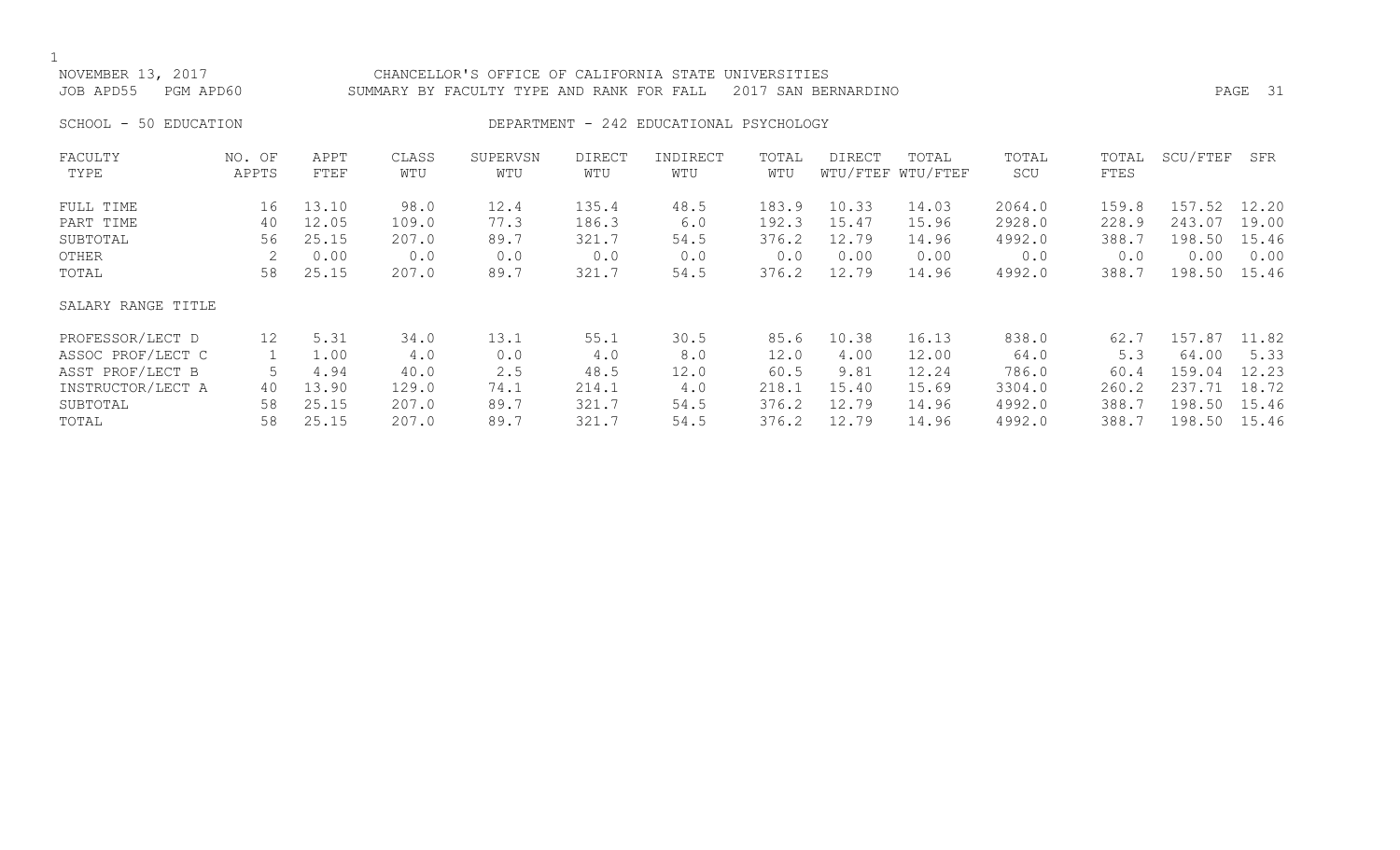## NOVEMBER 13, 2017 CHANCELLOR'S OFFICE OF CALIFORNIA STATE UNIVERSITIES JOB APD55 PGM APD60 SUMMARY BY FACULTY TYPE AND RANK FOR FALL 2017 SAN BERNARDINO PAGE 31

## SCHOOL - 50 EDUCATION **DEPARTMENT - 242 EDUCATIONAL PSYCHOLOGY**

| FACULTY            | NO. OF          | APPT  | CLASS | SUPERVSN | <b>DIRECT</b> | INDIRECT | TOTAL | <b>DIRECT</b> | TOTAL             | TOTAL  | TOTAL | SCU/FTEF | SFR   |
|--------------------|-----------------|-------|-------|----------|---------------|----------|-------|---------------|-------------------|--------|-------|----------|-------|
| TYPE               | APPTS           | FTEF  | WTU   | WTU      | WTU           | WTU      | WTU   |               | WTU/FTEF WTU/FTEF | SCU    | FTES  |          |       |
| FULL TIME          | 16              | 13.10 | 98.0  | 12.4     | 135.4         | 48.5     | 183.9 | 10.33         | 14.03             | 2064.0 | 159.8 | 157.52   | 12.20 |
| PART TIME          | 40              | 12.05 | 109.0 | 77.3     | 186.3         | 6.0      | 192.3 | 15.47         | 15.96             | 2928.0 | 228.9 | 243.07   | 19.00 |
| SUBTOTAL           | 56              | 25.15 | 207.0 | 89.7     | 321.7         | 54.5     | 376.2 | 12.79         | 14.96             | 4992.0 | 388.7 | 198.50   | 15.46 |
| OTHER              |                 | 0.00  | 0.0   | 0.0      | 0.0           | 0.0      | 0.0   | 0.00          | 0.00              | 0.0    | 0.0   | 0.00     | 0.00  |
| TOTAL              | 58              | 25.15 | 207.0 | 89.7     | 321.7         | 54.5     | 376.2 | 12.79         | 14.96             | 4992.0 | 388.7 | 198.50   | 15.46 |
| SALARY RANGE TITLE |                 |       |       |          |               |          |       |               |                   |        |       |          |       |
| PROFESSOR/LECT D   | 12 <sup>°</sup> | 5.31  | 34.0  | 13.1     | 55.1          | 30.5     | 85.6  | 10.38         | 16.13             | 838.0  | 62.7  | 157.87   | 11.82 |
| ASSOC PROF/LECT C  |                 | 1.00  | 4.0   | 0.0      | 4.0           | 8.0      | 12.0  | 4.00          | 12.00             | 64.0   | 5.3   | 64.00    | 5.33  |
| ASST PROF/LECT B   |                 | 4.94  | 40.0  | 2.5      | 48.5          | 12.0     | 60.5  | 9.81          | 12.24             | 786.0  | 60.4  | 159.04   | 12.23 |
| INSTRUCTOR/LECT A  | 40              | 13.90 | 129.0 | 74.1     | 214.1         | 4.0      | 218.1 | 15.40         | 15.69             | 3304.0 | 260.2 | 237.71   | 18.72 |
| SUBTOTAL           | 58              | 25.15 | 207.0 | 89.7     | 321.7         | 54.5     | 376.2 | 12.79         | 14.96             | 4992.0 | 388.7 | 198.50   | 15.46 |
| TOTAL              | 58              | 25.15 | 207.0 | 89.7     | 321.7         | 54.5     | 376.2 | 12.79         | 14.96             | 4992.0 | 388.7 | 198.50   | 15.46 |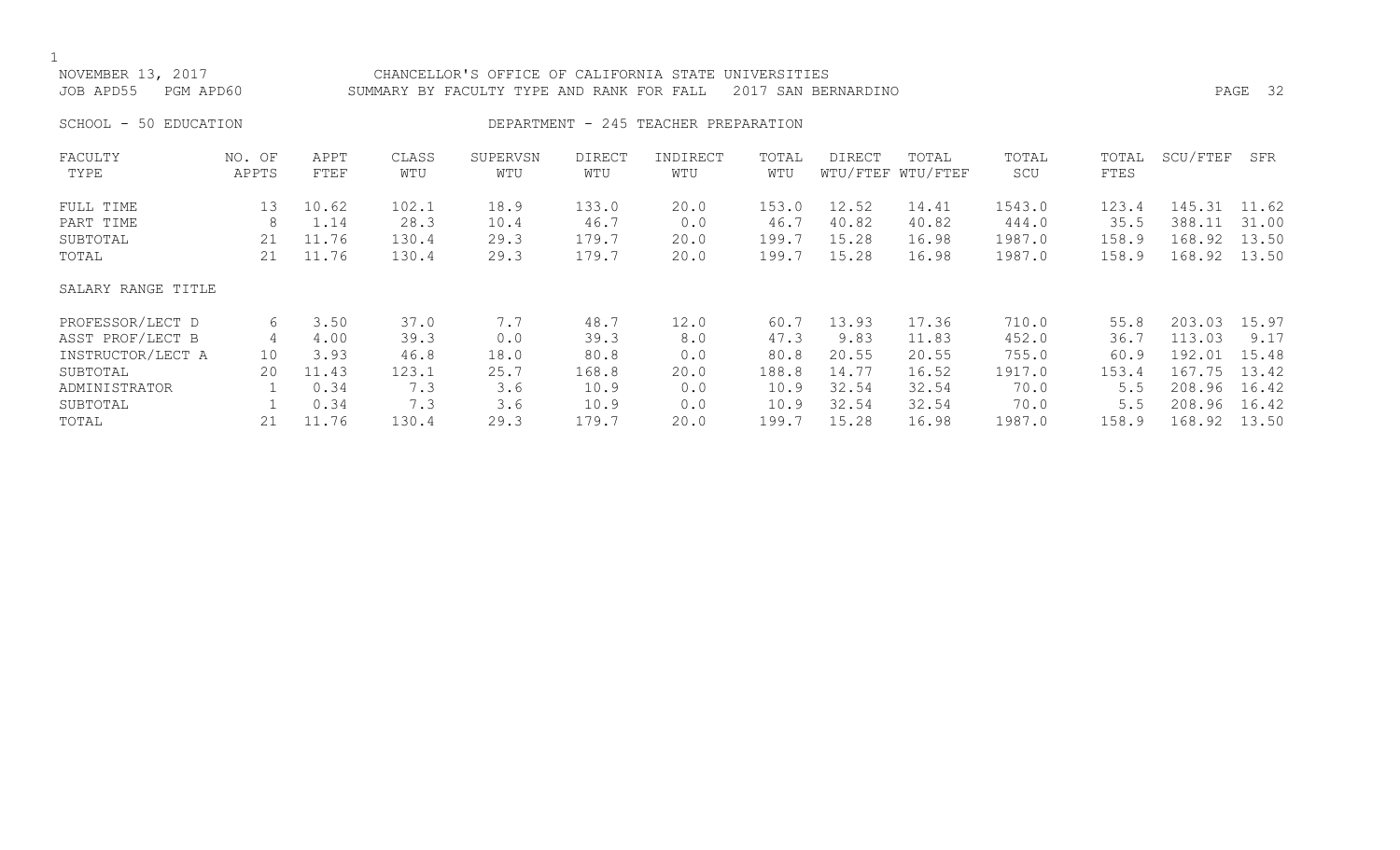| NOVEMBER 13, 2017<br>JOB APD55 | PGM APD60       |              |              | CHANCELLOR'S OFFICE OF CALIFORNIA STATE<br>SUMMARY BY FACULTY TYPE AND RANK FOR FALL |                      |                                      | UNIVERSITIES | 2017 SAN BERNARDINO |                            |              |               |          | PAGE 32 |
|--------------------------------|-----------------|--------------|--------------|--------------------------------------------------------------------------------------|----------------------|--------------------------------------|--------------|---------------------|----------------------------|--------------|---------------|----------|---------|
| SCHOOL - 50 EDUCATION          |                 |              |              |                                                                                      |                      | DEPARTMENT - 245 TEACHER PREPARATION |              |                     |                            |              |               |          |         |
| FACULTY<br>TYPE                | NO. OF<br>APPTS | APPT<br>FTEF | CLASS<br>WTU | SUPERVSN<br>WTU                                                                      | <b>DIRECT</b><br>WTU | INDIRECT<br>WTU                      | TOTAL<br>WTU | DIRECT              | TOTAL<br>WTU/FTEF WTU/FTEF | TOTAL<br>SCU | TOTAL<br>FTES | SCU/FTEF | SFR     |
| FULL TIME                      | 13              | 10.62        | 102.1        | 18.9                                                                                 | 133.0                | 20.0                                 | 153.0        | 12.52               | 14.41                      | 1543.0       | 123.4         | 145.31   | 11.62   |
| PART TIME                      | 8               | 1.14         | 28.3         | 10.4                                                                                 | 46.7                 | 0.0                                  | 46.7         | 40.82               | 40.82                      | 444.0        | 35.5          | 388.11   | 31.00   |
| SUBTOTAL                       | 21              | 11.76        | 130.4        | 29.3                                                                                 | 179.7                | 20.0                                 | 199.7        | 15.28               | 16.98                      | 1987.0       | 158.9         | 168.92   | 13.50   |
| TOTAL                          | 21              | 11.76        | 130.4        | 29.3                                                                                 | 179.7                | 20.0                                 | 199.7        | 15.28               | 16.98                      | 1987.0       | 158.9         | 168.92   | 13.50   |
| SALARY RANGE TITLE             |                 |              |              |                                                                                      |                      |                                      |              |                     |                            |              |               |          |         |
| PROFESSOR/LECT D               | 6               | 3.50         | 37.0         | 7.7                                                                                  | 48.7                 | 12.0                                 | 60.7         | 13.93               | 17.36                      | 710.0        | 55.8          | 203.03   | 15.97   |
| ASST PROF/LECT B               | 4               | 4.00         | 39.3         | 0.0                                                                                  | 39.3                 | 8.0                                  | 47.3         | 9.83                | 11.83                      | 452.0        | 36.7          | 113.03   | 9.17    |
| INSTRUCTOR/LECT A              | 10              | 3.93         | 46.8         | 18.0                                                                                 | 80.8                 | 0.0                                  | 80.8         | 20.55               | 20.55                      | 755.0        | 60.9          | 192.01   | 15.48   |
| SUBTOTAL                       | 20              | 11.43        | 123.1        | 25.7                                                                                 | 168.8                | 20.0                                 | 188.8        | 14.77               | 16.52                      | 1917.0       | 153.4         | 167.75   | 13.42   |
| ADMINISTRATOR                  |                 | 0.34         | 7.3          | 3.6                                                                                  | 10.9                 | 0.0                                  | 10.9         | 32.54               | 32.54                      | 70.0         | 5.5           | 208.96   | 16.42   |

ADMINISTRATOR 1 0.34 7.3 3.6 10.9 0.0 10.9 32.54 32.54 70.0 5.5 208.96 16.42 SUBTOTAL 1 0.34 7.3 3.6 10.9 0.0 10.9 32.54 32.54 70.0 5.5 208.96 16.42 TOTAL 21 11.76 130.4 29.3 179.7 20.0 199.7 15.28 16.98 1987.0 158.9 168.92 13.50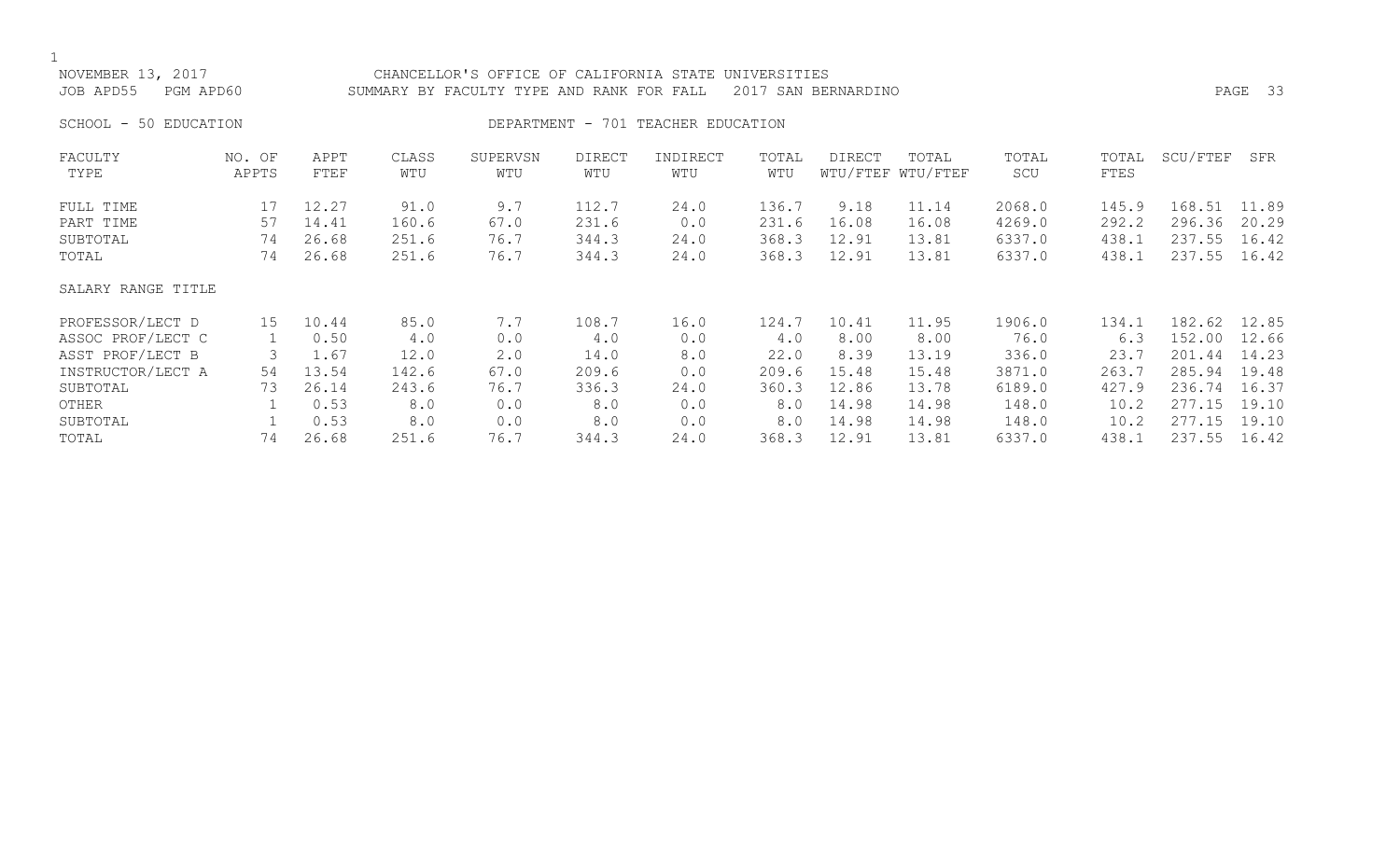NOVEMBER 13, 2017 CHANCELLOR'S OFFICE OF CALIFORNIA STATE UNIVERSITIES JOB APD55 PGM APD60 SUMMARY BY FACULTY TYPE AND RANK FOR FALL 2017 SAN BERNARDINO PAGE 33 SCHOOL - 50 EDUCATION **DEPARTMENT - 701 TEACHER EDUCATION** FACULTY NO. OF APPT CLASS SUPERVSN DIRECT INDIRECT TOTAL DIRECT TOTAL TOTAL TOTAL SCU/FTEF SFR

| TYPE               | APPTS | FTEF  | WTU   | WTU  | WTU   | WTU  | WTU   |       | WTU/FTEF WTU/FTEF | SCU    | FTES  |        |       |
|--------------------|-------|-------|-------|------|-------|------|-------|-------|-------------------|--------|-------|--------|-------|
| FULL TIME          | 17    | 12.27 | 91.0  | 9.7  | 112.7 | 24.0 | 136.7 | 9.18  | 11.14             | 2068.0 | 145.9 | 168.51 | 11.89 |
| PART TIME          | 57    | 14.41 | 160.6 | 67.0 | 231.6 | 0.0  | 231.6 | 16.08 | 16.08             | 4269.0 | 292.2 | 296.36 | 20.29 |
| SUBTOTAL           | 74    | 26.68 | 251.6 | 76.7 | 344.3 | 24.0 | 368.3 | 12.91 | 13.81             | 6337.0 | 438.1 | 237.55 | 16.42 |
| TOTAL              | 74    | 26.68 | 251.6 | 76.7 | 344.3 | 24.0 | 368.3 | 12.91 | 13.81             | 6337.0 | 438.1 | 237.55 | 16.42 |
| SALARY RANGE TITLE |       |       |       |      |       |      |       |       |                   |        |       |        |       |
| PROFESSOR/LECT D   | 15    | 10.44 | 85.0  | 7.7  | 108.7 | 16.0 | 124.7 | 10.41 | 11.95             | 1906.0 | 134.1 | 182.62 | 12.85 |
| ASSOC PROF/LECT C  |       | 0.50  | 4.0   | 0.0  | 4.0   | 0.0  | 4.0   | 8.00  | 8.00              | 76.0   | 6.3   | 152.00 | 12.66 |
| ASST PROF/LECT B   | 3     | 1.67  | 12.0  | 2.0  | 14.0  | 8.0  | 22.0  | 8.39  | 13.19             | 336.0  | 23.7  | 201.44 | 14.23 |
| INSTRUCTOR/LECT A  | 54    | 13.54 | 142.6 | 67.0 | 209.6 | 0.0  | 209.6 | 15.48 | 15.48             | 3871.0 | 263.7 | 285.94 | 19.48 |
| SUBTOTAL           | 73    | 26.14 | 243.6 | 76.7 | 336.3 | 24.0 | 360.3 | 12.86 | 13.78             | 6189.0 | 427.9 | 236.74 | 16.37 |
| OTHER              |       | 0.53  | 8.0   | 0.0  | 8.0   | 0.0  | 8.0   | 14.98 | 14.98             | 148.0  | 10.2  | 277.15 | 19.10 |
| SUBTOTAL           |       | 0.53  | 8.0   | 0.0  | 8.0   | 0.0  | 8.0   | 14.98 | 14.98             | 148.0  | 10.2  | 277.15 | 19.10 |
| TOTAL              | 74    | 26.68 | 251.6 | 76.7 | 344.3 | 24.0 | 368.3 | 12.91 | 13.81             | 6337.0 | 438.1 | 237.55 | 16.42 |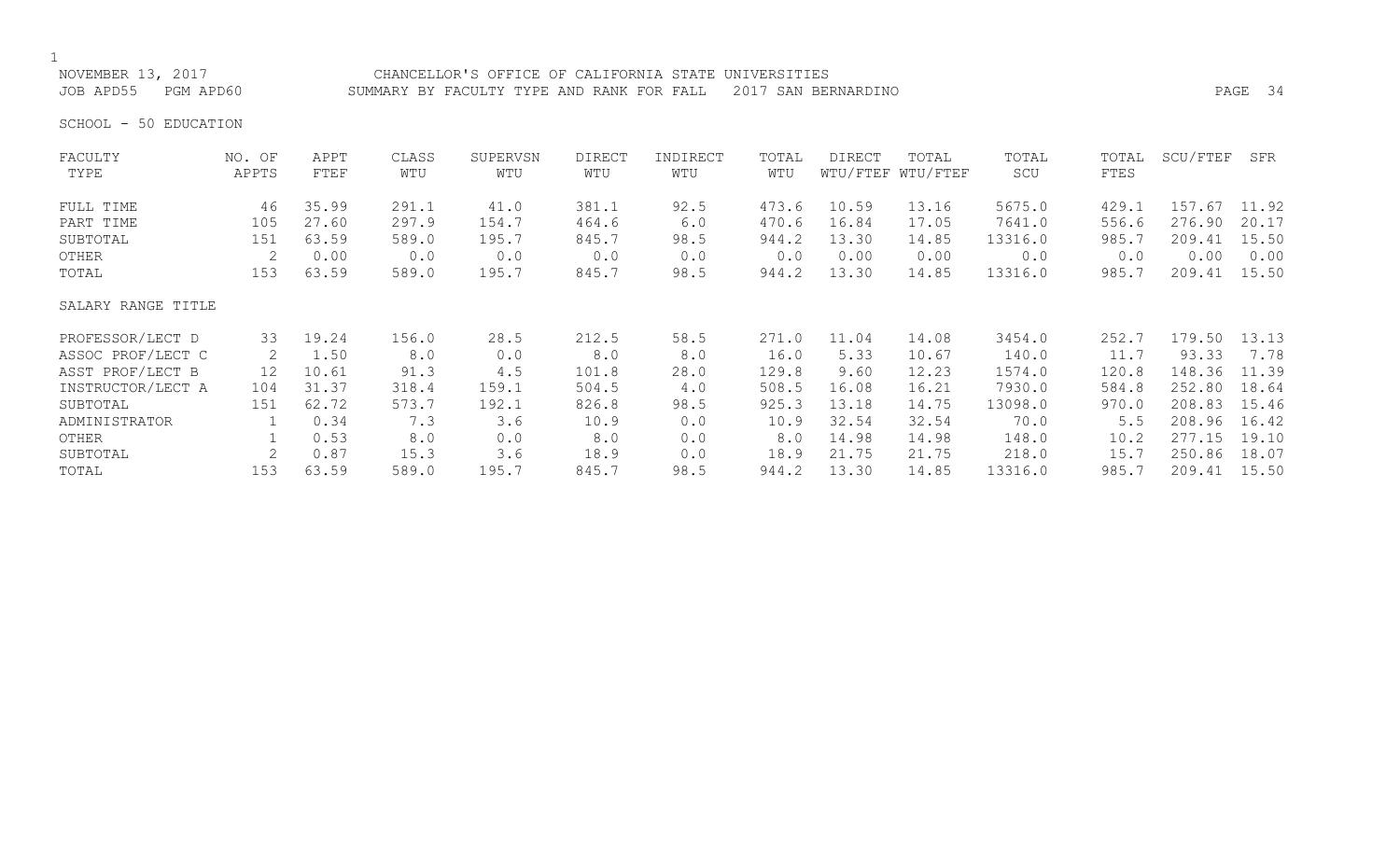NOVEMBER 13, 2017 CHANCELLOR'S OFFICE OF CALIFORNIA STATE UNIVERSITIES JOB APD55 PGM APD60 SUMMARY BY FACULTY TYPE AND RANK FOR FALL 2017 SAN BERNARDINO PAGE 34

SCHOOL - 50 EDUCATION

| FACULTY            | NO. OF          | APPT  | CLASS | SUPERVSN | <b>DIRECT</b> | INDIRECT | TOTAL | DIRECT | TOTAL             | TOTAL   | TOTAL | SCU/FTEF | SFR   |
|--------------------|-----------------|-------|-------|----------|---------------|----------|-------|--------|-------------------|---------|-------|----------|-------|
| TYPE               | APPTS           | FTEF  | WTU   | WTU      | WTU           | WTU      | WTU   |        | WTU/FTEF WTU/FTEF | SCU     | FTES  |          |       |
| FULL TIME          | 46              | 35.99 | 291.1 | 41.0     | 381.1         | 92.5     | 473.6 | 10.59  | 13.16             | 5675.0  | 429.1 | 157.67   | 11.92 |
| PART TIME          | 105             | 27.60 | 297.9 | 154.7    | 464.6         | 6.0      | 470.6 | 16.84  | 17.05             | 7641.0  | 556.6 | 276.90   | 20.17 |
| SUBTOTAL           | 151             | 63.59 | 589.0 | 195.7    | 845.7         | 98.5     | 944.2 | 13.30  | 14.85             | 13316.0 | 985.7 | 209.41   | 15.50 |
| OTHER              | 2               | 0.00  | 0.0   | 0.0      | 0.0           | 0.0      | 0.0   | 0.00   | 0.00              | 0.0     | 0.0   | 0.00     | 0.00  |
| TOTAL              | 153             | 63.59 | 589.0 | 195.7    | 845.7         | 98.5     | 944.2 | 13.30  | 14.85             | 13316.0 | 985.7 | 209.41   | 15.50 |
| SALARY RANGE TITLE |                 |       |       |          |               |          |       |        |                   |         |       |          |       |
| PROFESSOR/LECT D   | 33              | 19.24 | 156.0 | 28.5     | 212.5         | 58.5     | 271.0 | 11.04  | 14.08             | 3454.0  | 252.7 | 179.50   | 13.13 |
| ASSOC PROF/LECT C  | 2               | 1.50  | 8.0   | 0.0      | 8.0           | 8.0      | 16.0  | 5.33   | 10.67             | 140.0   | 11.7  | 93.33    | 7.78  |
| ASST PROF/LECT B   | 12 <sup>2</sup> | 10.61 | 91.3  | 4.5      | 101.8         | 28.0     | 129.8 | 9.60   | 12.23             | 1574.0  | 120.8 | 148.36   | 11.39 |
| INSTRUCTOR/LECT A  | 104             | 31.37 | 318.4 | 159.1    | 504.5         | 4.0      | 508.5 | 16.08  | 16.21             | 7930.0  | 584.8 | 252.80   | 18.64 |
| SUBTOTAL           | 151             | 62.72 | 573.7 | 192.1    | 826.8         | 98.5     | 925.3 | 13.18  | 14.75             | 13098.0 | 970.0 | 208.83   | 15.46 |
| ADMINISTRATOR      |                 | 0.34  | 7.3   | 3.6      | 10.9          | 0.0      | 10.9  | 32.54  | 32.54             | 70.0    | 5.5   | 208.96   | 16.42 |
| OTHER              |                 | 0.53  | 8.0   | 0.0      | 8.0           | 0.0      | 8.0   | 14.98  | 14.98             | 148.0   | 10.2  | 277.15   | 19.10 |
| SUBTOTAL           | 2               | 0.87  | 15.3  | 3.6      | 18.9          | 0.0      | 18.9  | 21.75  | 21.75             | 218.0   | 15.7  | 250.86   | 18.07 |
| TOTAL              | 153             | 63.59 | 589.0 | 195.7    | 845.7         | 98.5     | 944.2 | 13.30  | 14.85             | 13316.0 | 985.7 | 209.41   | 15.50 |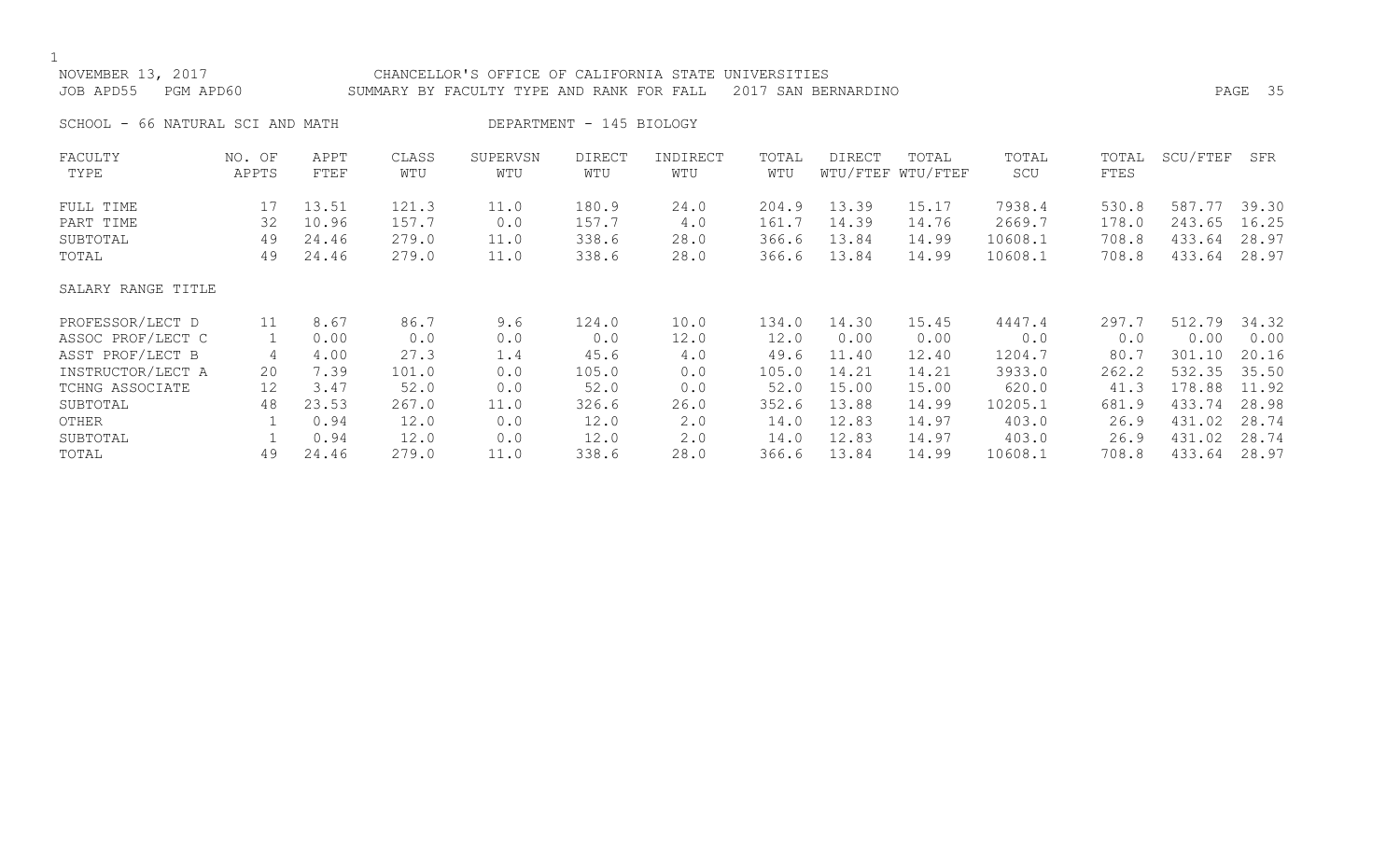| NOVEMBER 13, 2017<br>JOB APD55<br>PGM APD60 |        |       |       | CHANCELLOR'S OFFICE OF CALIFORNIA STATE<br>SUMMARY BY FACULTY TYPE AND RANK FOR FALL |                          |             | UNIVERSITIES | 2017 SAN BERNARDINO |                   |         |       |          | PAGE 35 |
|---------------------------------------------|--------|-------|-------|--------------------------------------------------------------------------------------|--------------------------|-------------|--------------|---------------------|-------------------|---------|-------|----------|---------|
| SCHOOL - 66 NATURAL SCI AND MATH            |        |       |       |                                                                                      | DEPARTMENT - 145 BIOLOGY |             |              |                     |                   |         |       |          |         |
| FACULTY                                     | NO. OF | APPT  | CLASS | SUPERVSN                                                                             | <b>DIRECT</b>            | INDIRECT    | TOTAL        | DIRECT              | TOTAL             | TOTAL   | TOTAL | SCU/FTEF | SFR     |
| TYPE                                        | APPTS  | FTEF  | WTU   | WTU                                                                                  | WTU                      | WTU         | WTU          |                     | WTU/FTEF WTU/FTEF | SCU     | FTES  |          |         |
| FULL TIME                                   | 17     | 13.51 | 121.3 | 11.0                                                                                 | 180.9                    | 24.0        | 204.9        | 13.39               | 15.17             | 7938.4  | 530.8 | 587.77   | 39.30   |
| PART TIME                                   | 32     | 10.96 | 157.7 | 0.0                                                                                  | 157.7                    | 4.0         | 161.7        | 14.39               | 14.76             | 2669.7  | 178.0 | 243.65   | 16.25   |
| SUBTOTAL                                    | 49     | 24.46 | 279.0 | 11.0                                                                                 | 338.6                    | 28.0        | 366.6        | 13.84               | 14.99             | 10608.1 | 708.8 | 433.64   | 28.97   |
| TOTAL                                       | 49     | 24.46 | 279.0 | 11.0                                                                                 | 338.6                    | 28.0        | 366.6        | 13.84               | 14.99             | 10608.1 | 708.8 | 433.64   | 28.97   |
| SALARY RANGE TITLE                          |        |       |       |                                                                                      |                          |             |              |                     |                   |         |       |          |         |
| PROFESSOR/LECT D                            | 11     | 8.67  | 86.7  | 9.6                                                                                  | 124.0                    | 10.0        | 134.0        | 14.30               | 15.45             | 4447.4  | 297.7 | 512.79   | 34.32   |
| ASSOC PROF/LECT C                           |        | 0.00  | 0.0   | 0.0                                                                                  | 0.0                      | 12.0        | 12.0         | 0.00                | 0.00              | 0.0     | 0.0   | 0.00     | 0.00    |
| ASST PROF/LECT B                            | 4      | 4.00  | 27.3  | 1.4                                                                                  | 45.6                     | 4.0         | 49.6         | 11.40               | 12.40             | 1204.7  | 80.7  | 301.10   | 20.16   |
| INSTRUCTOR/LECT A                           | 20     | 7.39  | 101.0 | 0.0                                                                                  | 105.0                    | 0.0         | 105.0        | 14.21               | 14.21             | 3933.0  | 262.2 | 532.35   | 35.50   |
| TCHNG ASSOCIATE                             | 12     | 3.47  | 52.0  | 0.0                                                                                  | 52.0                     | 0.0         | 52.0         | 15.00               | 15.00             | 620.0   | 41.3  | 178.88   | 11.92   |
| SUBTOTAL                                    | 48     | 23.53 | 267.0 | 11.0                                                                                 | 326.6                    | 26.0        | 352.6        | 13.88               | 14.99             | 10205.1 | 681.9 | 433.74   | 28.98   |
| OTHER                                       |        | 0.94  | 12.0  | 0.0                                                                                  | 12.0                     | 2.0         | 14.0         | 12.83               | 14.97             | 403.0   | 26.9  | 431.02   | 28.74   |
| SUBTOTAL                                    |        | 0.94  | 12.0  | 0.0                                                                                  | 12.0                     | $2 \cdot 0$ | 14.0         | 12.83               | 14.97             | 403.0   | 26.9  | 431.02   | 28.74   |
| TOTAL                                       | 49     | 24.46 | 279.0 | 11.0                                                                                 | 338.6                    | 28.0        | 366.6        | 13.84               | 14.99             | 10608.1 | 708.8 | 433.64   | 28.97   |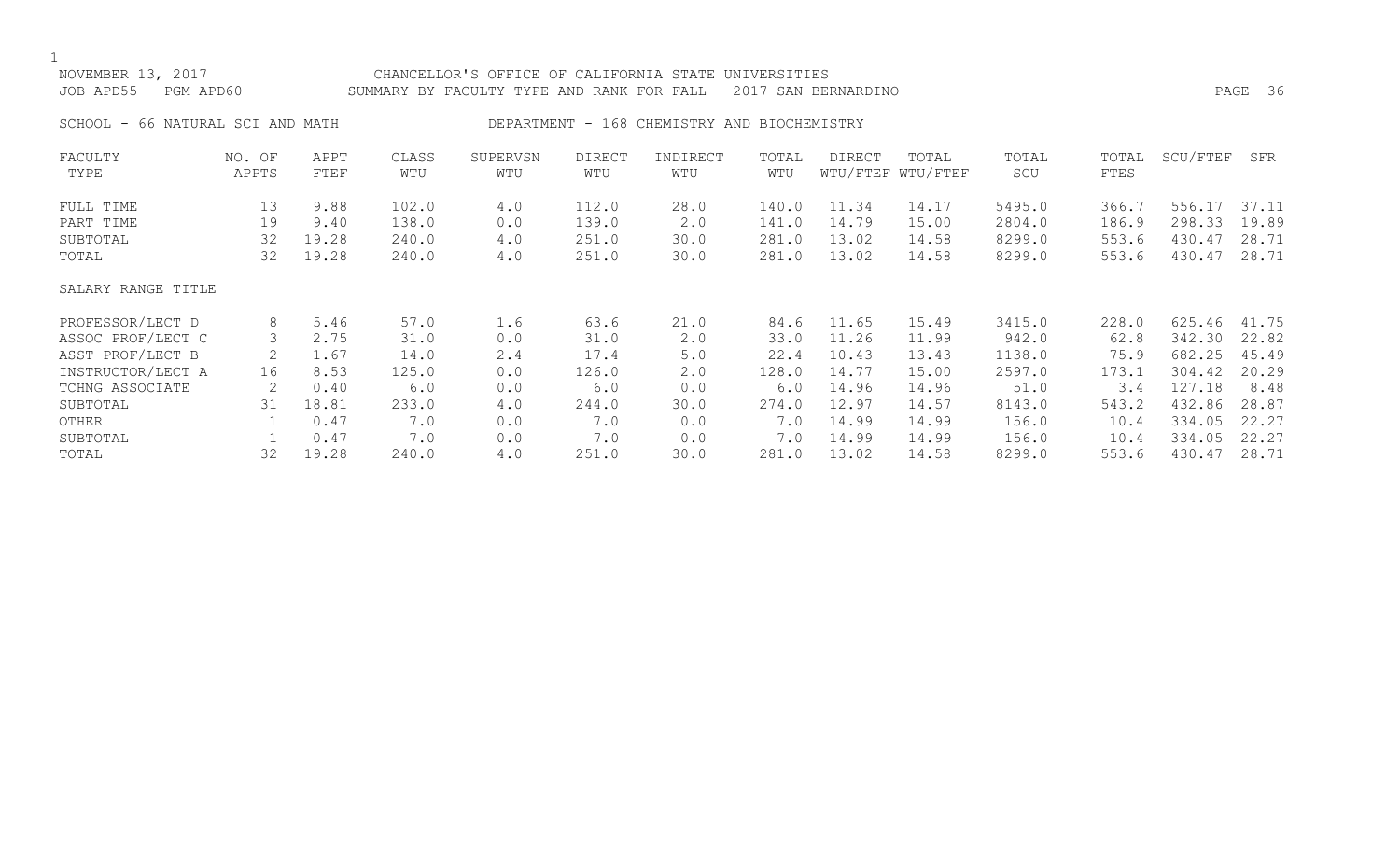NOVEMBER 13, 2017 CHANCELLOR'S OFFICE OF CALIFORNIA STATE UNIVERSITIES JOB APD55 PGM APD60 SUMMARY BY FACULTY TYPE AND RANK FOR FALL 2017 SAN BERNARDINO PAGE 36 SCHOOL - 66 NATURAL SCI AND MATH DEPARTMENT - 168 CHEMISTRY AND BIOCHEMISTRY FACULTY NO. OF APPT CLASS SUPERVSN DIRECT INDIRECT TOTAL DIRECT TOTAL TOTAL TOTAL SCU/FTEF SFR TYPE APPTS FTEF WTU WTU WTU WTU WTU WTU/FTEF WTU/FTEF SCU FTES FULL TIME 13 9.88 102.0 4.0 112.0 28.0 140.0 11.34 14.17 5495.0 366.7 556.17 37.11 PART TIME 19 9.40 138.0 0.0 139.0 2.0 141.0 14.79 15.00 2804.0 186.9 298.33 19.89 SUBTOTAL 32 19.28 240.0 4.0 251.0 30.0 281.0 13.02 14.58 8299.0 553.6 430.47 28.71 TOTAL 32 19.28 240.0 4.0 251.0 30.0 281.0 13.02 14.58 8299.0 553.6 430.47 28.71 SALARY RANGE TITLE PROFESSOR/LECT D 8 5.46 57.0 1.6 63.6 21.0 84.6 11.65 15.49 3415.0 228.0 625.46 41.75 ASSOC PROF/LECT C 3 2.75 31.0 0.0 31.0 2.0 33.0 11.26 11.99 942.0 62.8 342.30 22.82 ASST PROF/LECT B 2 1.67 14.0 2.4 17.4 5.0 22.4 10.43 13.43 1138.0 75.9 682.25 45.49 INSTRUCTOR/LECT A 16 8.53 125.0 0.0 126.0 2.0 128.0 14.77 15.00 2597.0 173.1 304.42 20.29 TCHNG ASSOCIATE 2 0.40 6.0 0.0 6.0 0.0 6.0 14.96 14.96 51.0 3.4 127.18 8.48 SUBTOTAL 31 18.81 233.0 4.0 244.0 30.0 274.0 12.97 14.57 8143.0 543.2 432.86 28.87 OTHER 1 0.47 7.0 0.0 7.0 0.0 7.0 14.99 14.99 156.0 10.4 334.05 22.27 SUBTOTAL 1 0.47 7.0 0.0 7.0 0.0 7.0 14.99 14.99 156.0 10.4 334.05 22.27

TOTAL 32 19.28 240.0 4.0 251.0 30.0 281.0 13.02 14.58 8299.0 553.6 430.47 28.71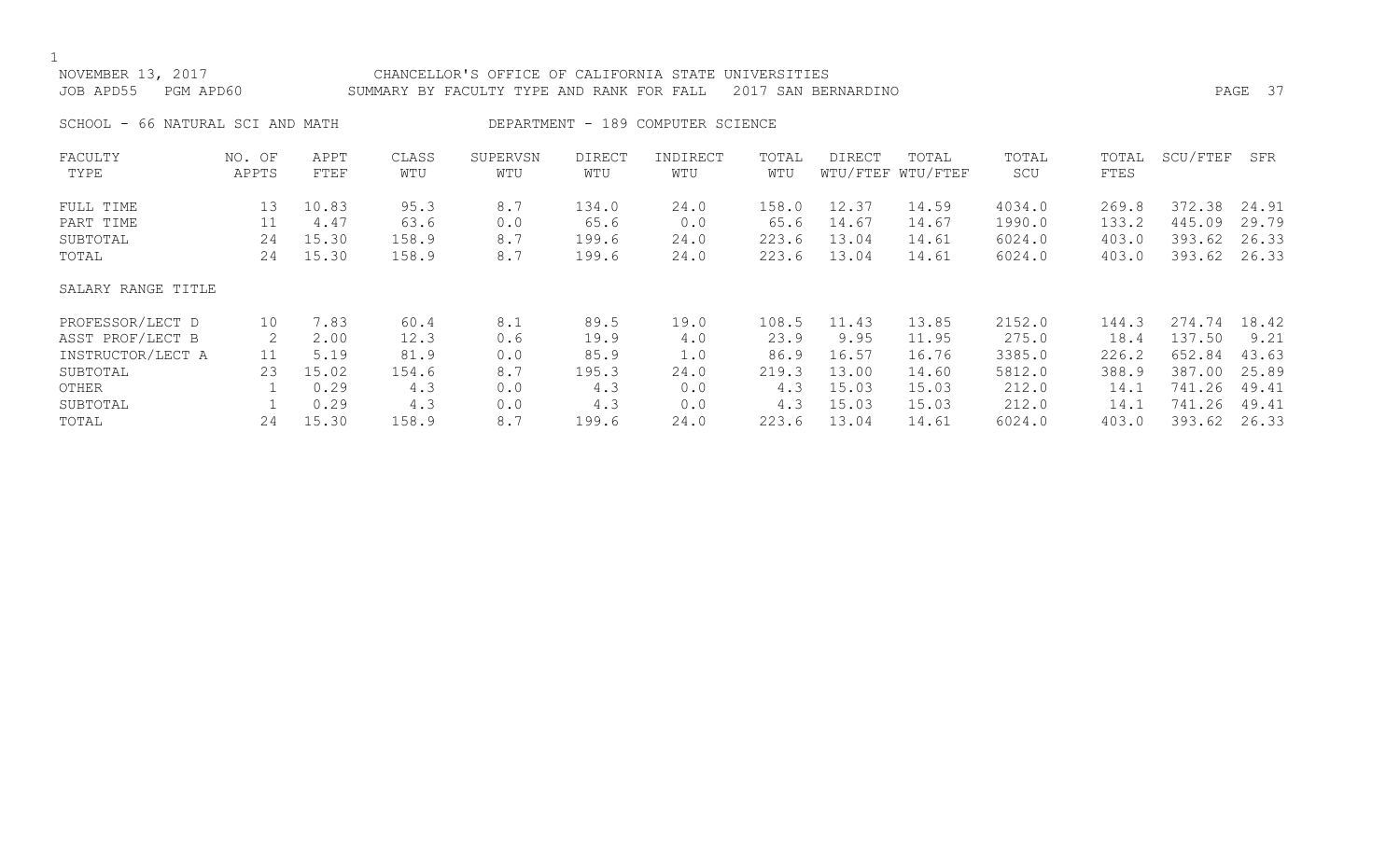| SCHOOL - 66 NATURAL SCI AND MATH<br>DEPARTMENT - 189 COMPUTER SCIENCE<br>SCU/FTEF<br>INDIRECT<br>TOTAL<br>DIRECT<br>TOTAL<br>FACULTY<br>APPT<br>CLASS<br>SUPERVSN<br><b>DIRECT</b><br>TOTAL<br>TOTAL<br>NO. OF<br>WTU/FTEF WTU/FTEF<br>WTU<br>FTES<br>TYPE<br>APPTS<br>FTEF<br>WTU<br>WTU<br>WTU<br>WTU<br>SCU<br>95.3<br>8.7<br>158.0<br>12.37<br>4034.0<br>372.38<br>13<br>10.83<br>134.0<br>24.0<br>14.59<br>269.8<br>FULL TIME<br>445.09<br>11<br>63.6<br>65.6<br>0.0<br>65.6<br>14.67<br>1990.0<br>133.2<br>PART TIME<br>4.47<br>0.0<br>14.67<br>8.7<br>223.6<br>13.04<br>393.62<br>15.30<br>158.9<br>199.6<br>6024.0<br>403.0<br>SUBTOTAL<br>24<br>24.0<br>14.61<br>8.7<br>223.6<br>13.04<br>393.62<br>15.30<br>158.9<br>199.6<br>24.0<br>6024.0<br>403.0<br>TOTAL<br>24<br>14.61<br>SALARY RANGE TITLE<br>8.1<br>89.5<br>108.5<br>11.43<br>13.85<br>2152.0<br>274.74<br>PROFESSOR/LECT D<br>10<br>7.83<br>60.4<br>19.0<br>144.3<br>23.9<br>ASST PROF/LECT B<br>2<br>12.3<br>19.9<br>275.0<br>137.50<br>2.00<br>0.6<br>9.95<br>11.95<br>18.4<br>4.0<br>85.9<br>INSTRUCTOR/LECT A<br>5.19<br>81.9<br>86.9<br>16.57<br>16.76<br>3385.0<br>226.2<br>652.84<br>11<br>0.0<br>1.0<br>15.02<br>13.00<br>5812.0<br>387.00<br>23<br>8.7<br>195.3<br>24.0<br>219.3<br>388.9<br>SUBTOTAL<br>154.6<br>14.60<br>15.03<br>212.0<br>741.26<br>0.29<br>4.3<br>4.3<br>15.03<br>OTHER<br>0.0<br>0.0<br>4.3<br>14.1<br>15.03<br>741.26<br>0.29<br>0.0<br>4.3<br>212.0<br>SUBTOTAL<br>4.3<br>0.0<br>4.3<br>15.03<br>14.1<br>8.7<br>13.04<br>393.62<br>15.30<br>223.6<br>24<br>158.9<br>199.6<br>24.0<br>TOTAL<br>14.61<br>6024.0<br>403.0 | NOVEMBER 13, 2017<br>JOB APD55<br>PGM APD60 |  | CHANCELLOR'S OFFICE OF CALIFORNIA STATE UNIVERSITIES<br>SUMMARY BY FACULTY TYPE AND RANK FOR FALL |  | 2017 SAN BERNARDINO |  |  | PAGE 37 |
|-----------------------------------------------------------------------------------------------------------------------------------------------------------------------------------------------------------------------------------------------------------------------------------------------------------------------------------------------------------------------------------------------------------------------------------------------------------------------------------------------------------------------------------------------------------------------------------------------------------------------------------------------------------------------------------------------------------------------------------------------------------------------------------------------------------------------------------------------------------------------------------------------------------------------------------------------------------------------------------------------------------------------------------------------------------------------------------------------------------------------------------------------------------------------------------------------------------------------------------------------------------------------------------------------------------------------------------------------------------------------------------------------------------------------------------------------------------------------------------------------------------------------------------------------------------------------------------------------------------------------------|---------------------------------------------|--|---------------------------------------------------------------------------------------------------|--|---------------------|--|--|---------|
|                                                                                                                                                                                                                                                                                                                                                                                                                                                                                                                                                                                                                                                                                                                                                                                                                                                                                                                                                                                                                                                                                                                                                                                                                                                                                                                                                                                                                                                                                                                                                                                                                             |                                             |  |                                                                                                   |  |                     |  |  |         |
|                                                                                                                                                                                                                                                                                                                                                                                                                                                                                                                                                                                                                                                                                                                                                                                                                                                                                                                                                                                                                                                                                                                                                                                                                                                                                                                                                                                                                                                                                                                                                                                                                             |                                             |  |                                                                                                   |  |                     |  |  | SFR     |
|                                                                                                                                                                                                                                                                                                                                                                                                                                                                                                                                                                                                                                                                                                                                                                                                                                                                                                                                                                                                                                                                                                                                                                                                                                                                                                                                                                                                                                                                                                                                                                                                                             |                                             |  |                                                                                                   |  |                     |  |  | 24.91   |
|                                                                                                                                                                                                                                                                                                                                                                                                                                                                                                                                                                                                                                                                                                                                                                                                                                                                                                                                                                                                                                                                                                                                                                                                                                                                                                                                                                                                                                                                                                                                                                                                                             |                                             |  |                                                                                                   |  |                     |  |  | 29.79   |
|                                                                                                                                                                                                                                                                                                                                                                                                                                                                                                                                                                                                                                                                                                                                                                                                                                                                                                                                                                                                                                                                                                                                                                                                                                                                                                                                                                                                                                                                                                                                                                                                                             |                                             |  |                                                                                                   |  |                     |  |  | 26.33   |
|                                                                                                                                                                                                                                                                                                                                                                                                                                                                                                                                                                                                                                                                                                                                                                                                                                                                                                                                                                                                                                                                                                                                                                                                                                                                                                                                                                                                                                                                                                                                                                                                                             |                                             |  |                                                                                                   |  |                     |  |  | 26.33   |
|                                                                                                                                                                                                                                                                                                                                                                                                                                                                                                                                                                                                                                                                                                                                                                                                                                                                                                                                                                                                                                                                                                                                                                                                                                                                                                                                                                                                                                                                                                                                                                                                                             |                                             |  |                                                                                                   |  |                     |  |  |         |
|                                                                                                                                                                                                                                                                                                                                                                                                                                                                                                                                                                                                                                                                                                                                                                                                                                                                                                                                                                                                                                                                                                                                                                                                                                                                                                                                                                                                                                                                                                                                                                                                                             |                                             |  |                                                                                                   |  |                     |  |  | 18.42   |
|                                                                                                                                                                                                                                                                                                                                                                                                                                                                                                                                                                                                                                                                                                                                                                                                                                                                                                                                                                                                                                                                                                                                                                                                                                                                                                                                                                                                                                                                                                                                                                                                                             |                                             |  |                                                                                                   |  |                     |  |  | 9.21    |
|                                                                                                                                                                                                                                                                                                                                                                                                                                                                                                                                                                                                                                                                                                                                                                                                                                                                                                                                                                                                                                                                                                                                                                                                                                                                                                                                                                                                                                                                                                                                                                                                                             |                                             |  |                                                                                                   |  |                     |  |  | 43.63   |
|                                                                                                                                                                                                                                                                                                                                                                                                                                                                                                                                                                                                                                                                                                                                                                                                                                                                                                                                                                                                                                                                                                                                                                                                                                                                                                                                                                                                                                                                                                                                                                                                                             |                                             |  |                                                                                                   |  |                     |  |  | 25.89   |
|                                                                                                                                                                                                                                                                                                                                                                                                                                                                                                                                                                                                                                                                                                                                                                                                                                                                                                                                                                                                                                                                                                                                                                                                                                                                                                                                                                                                                                                                                                                                                                                                                             |                                             |  |                                                                                                   |  |                     |  |  | 49.41   |
|                                                                                                                                                                                                                                                                                                                                                                                                                                                                                                                                                                                                                                                                                                                                                                                                                                                                                                                                                                                                                                                                                                                                                                                                                                                                                                                                                                                                                                                                                                                                                                                                                             |                                             |  |                                                                                                   |  |                     |  |  | 49.41   |
|                                                                                                                                                                                                                                                                                                                                                                                                                                                                                                                                                                                                                                                                                                                                                                                                                                                                                                                                                                                                                                                                                                                                                                                                                                                                                                                                                                                                                                                                                                                                                                                                                             |                                             |  |                                                                                                   |  |                     |  |  | 26.33   |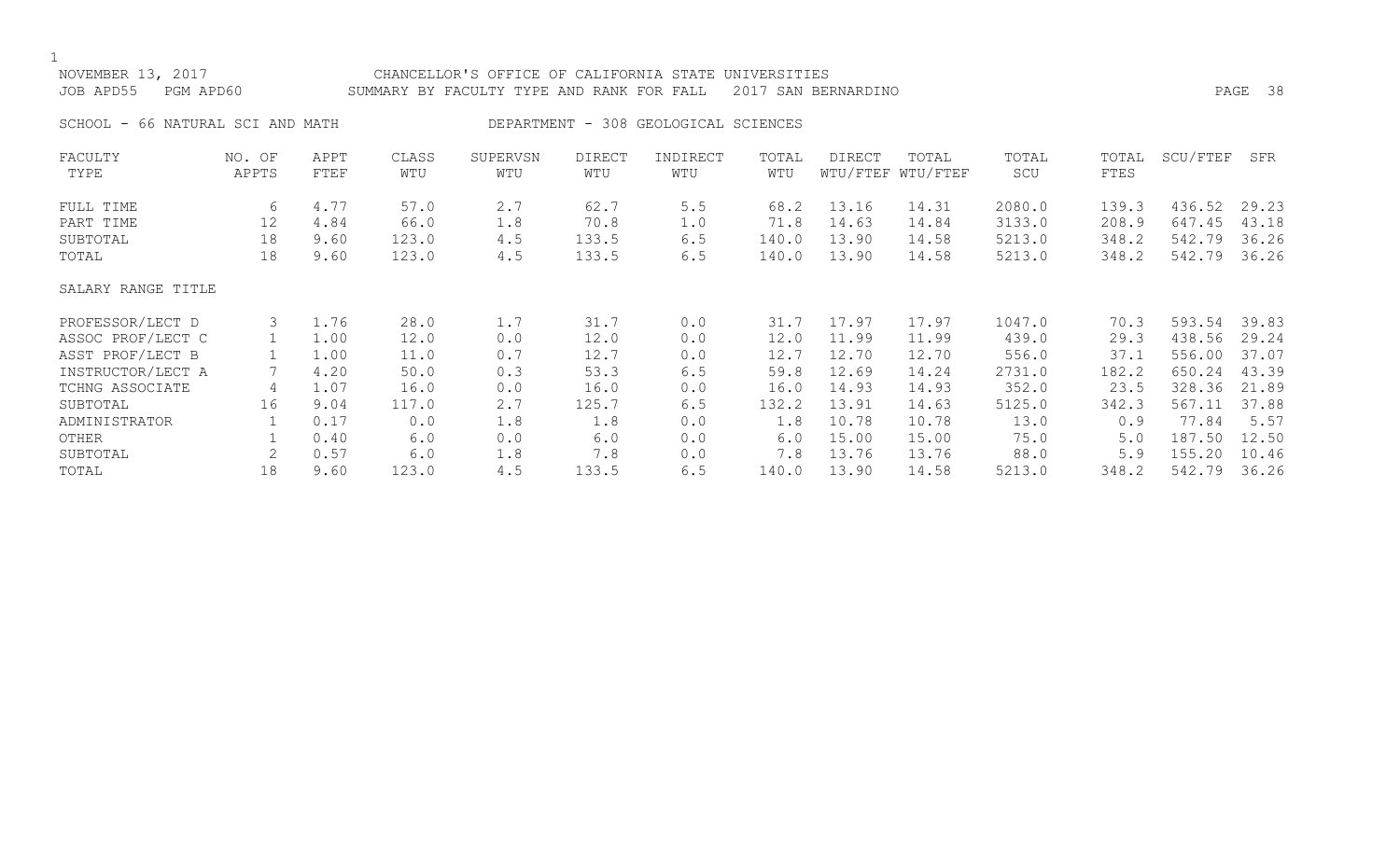## NOVEMBER 13, 2017 CHANCELLOR'S OFFICE OF CALIFORNIA STATE UNIVERSITIES JOB APD55 PGM APD60 SUMMARY BY FACULTY TYPE AND RANK FOR FALL 2017 SAN BERNARDINO PAGE 38 SCHOOL - 66 NATURAL SCI AND MATH DEPARTMENT - 308 GEOLOGICAL SCIENCES FACULTY NO. OF APPT CLASS SUPERVSN DIRECT INDIRECT TOTAL DIRECT TOTAL TOTAL TOTAL SCU/FTEF SFR TYPE APPTS FTEF WTU WTU WTU WTU WTU WTU/FTEF WTU/FTEF SCU FTES FULL TIME 6 4.77 57.0 2.7 62.7 5.5 68.2 13.16 14.31 2080.0 139.3 436.52 29.23 PART TIME 12 4.84 66.0 1.8 70.8 1.0 71.8 14.63 14.84 3133.0 208.9 647.45 43.18 SUBTOTAL 18 9.60 123.0 4.5 133.5 6.5 140.0 13.90 14.58 5213.0 348.2 542.79 36.26 TOTAL 18 9.60 123.0 4.5 133.5 6.5 140.0 13.90 14.58 5213.0 348.2 542.79 36.26 SALARY RANGE TITLE PROFESSOR/LECT D 3 1.76 28.0 1.7 31.7 0.0 31.7 17.97 17.97 1047.0 70.3 593.54 39.83 ASSOC PROF/LECT C 1 1.00 12.0 0.0 12.0 0.0 12.0 11.99 11.99 439.0 29.3 438.56 29.24 ASST PROF/LECT B 1 1.00 11.0 0.7 12.7 0.0 12.7 12.70 12.70 556.0 37.1 556.00 37.07 INSTRUCTOR/LECT A 7 4.20 50.0 0.3 53.3 6.5 59.8 12.69 14.24 2731.0 182.2 650.24 43.39 TCHNG ASSOCIATE 4 1.07 16.0 0.0 16.0 0.0 16.0 14.93 14.93 352.0 23.5 328.36 21.89 SUBTOTAL 16 9.04 117.0 2.7 125.7 6.5 132.2 13.91 14.63 5125.0 342.3 567.11 37.88 ADMINISTRATOR 1 0.17 0.0 1.8 1.8 0.0 1.8 10.78 10.78 13.0 0.9 77.84 5.57 OTHER 1 0.40 6.0 0.0 6.0 0.0 6.0 15.00 15.00 75.0 5.0 187.50 12.50 SUBTOTAL 2 0.57 6.0 1.8 7.8 0.0 7.8 13.76 13.76 88.0 5.9 155.20 10.46

TOTAL 18 9.60 123.0 4.5 133.5 6.5 140.0 13.90 14.58 5213.0 348.2 542.79 36.26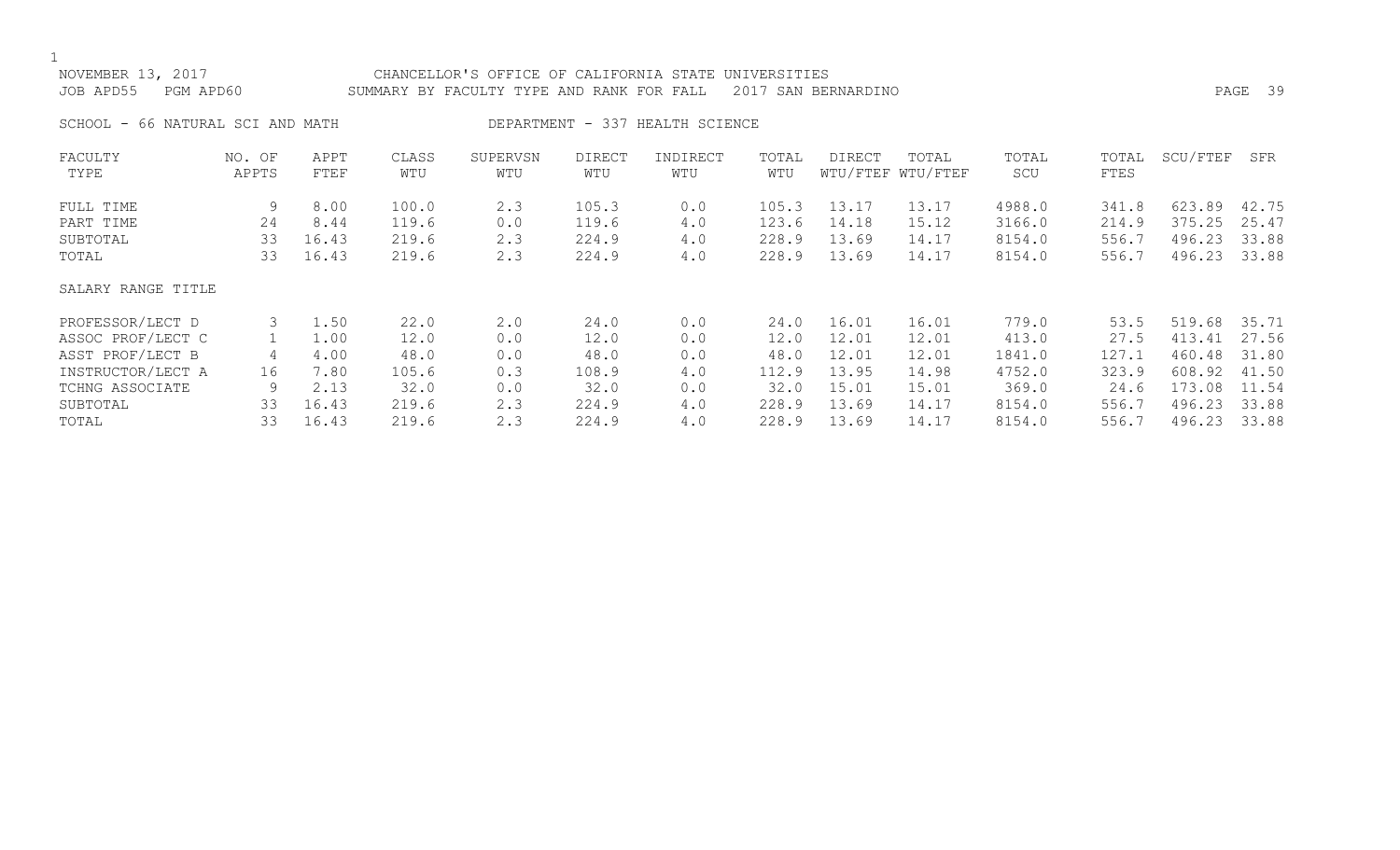| NOVEMBER 13, 2017<br>JOB APD55   | PGM APD60       |              |              | CHANCELLOR'S OFFICE OF CALIFORNIA STATE UNIVERSITIES<br>SUMMARY BY FACULTY TYPE AND RANK FOR FALL |               |                                 |              | 2017 SAN BERNARDINO |                            |              |               |              | PAGE 39 |
|----------------------------------|-----------------|--------------|--------------|---------------------------------------------------------------------------------------------------|---------------|---------------------------------|--------------|---------------------|----------------------------|--------------|---------------|--------------|---------|
| SCHOOL - 66 NATURAL SCI AND MATH |                 |              |              |                                                                                                   |               | DEPARTMENT - 337 HEALTH SCIENCE |              |                     |                            |              |               |              |         |
| FACULTY<br>TYPE                  | NO. OF<br>APPTS | APPT<br>FTEF | CLASS<br>WTU | SUPERVSN<br>WTU                                                                                   | DIRECT<br>WTU | INDIRECT<br>WTU                 | TOTAL<br>WTU | DIRECT              | TOTAL<br>WTU/FTEF WTU/FTEF | TOTAL<br>SCU | TOTAL<br>FTES | SCU/FTEF     | SFR     |
| FULL TIME                        | 9               | 8.00         | 100.0        | 2.3                                                                                               | 105.3         | 0.0                             | 105.3        | 13.17               | 13.17                      | 4988.0       | 341.8         | 623.89 42.75 |         |
| PART TIME                        | 24              | 8.44         | 119.6        | 0.0                                                                                               | 119.6         | 4.0                             | 123.6        | 14.18               | 15.12                      | 3166.0       | 214.9         | 375.25 25.47 |         |
| SUBTOTAL                         | 33              | 16.43        | 219.6        | 2.3                                                                                               | 224.9         | 4.0                             | 228.9        | 13.69               | 14.17                      | 8154.0       | 556.7         | 496.23       | 33.88   |
| TOTAL                            | 33              | 16.43        | 219.6        | 2.3                                                                                               | 224.9         | 4.0                             | 228.9        | 13.69               | 14.17                      | 8154.0       | 556.7         | 496.23 33.88 |         |
| SALARY RANGE TITLE               |                 |              |              |                                                                                                   |               |                                 |              |                     |                            |              |               |              |         |

| PROFESSOR/LECT D  |     | 1.50  | 22.0  | 2.0 | 24.0  | 0.0 | 24.0  | 16.01 | 16.01 | 779.0  | 53.5  | 519.68 | 35.71 |
|-------------------|-----|-------|-------|-----|-------|-----|-------|-------|-------|--------|-------|--------|-------|
| ASSOC PROF/LECT C |     | 1.00  | 12.0  | 0.0 | 12.0  | 0.0 | 12.0  | 12.01 | 12.01 | 413.0  | 27.5  | 413.41 | 27.56 |
| ASST PROF/LECT B  |     | 4.00  | 48.0  | 0.0 | 48.0  | 0.0 | 48.0  | 12.01 | 12.01 | 1841.0 | 127.1 | 460.48 | 31.80 |
| INSTRUCTOR/LECT A | ⊥ 6 | 7.80  | 105.6 | 0.3 | 108.9 | 4.0 | 112.9 | 13.95 | 14.98 | 4752.0 | 323.9 | 608.92 | 41.50 |
| TCHNG ASSOCIATE   |     | 2.13  | 32.0  | 0.0 | 32.0  | 0.0 | 32.0  | 15.01 | 15.01 | 369.0  | 24.6  | 173.08 | 11.54 |
| SUBTOTAL          | 33. | 16.43 | 219.6 |     | 224.9 | 4.0 | 228.9 | 13.69 | 14.1  | 8154.0 | 556.7 | 496.23 | 33.88 |
| TOTAL             | 33  | 16.43 | 219.6 |     | 224.9 | 4.0 | 228.9 | 13.69 | 14.1  | 8154.0 | 556.7 | 496.23 | 33.88 |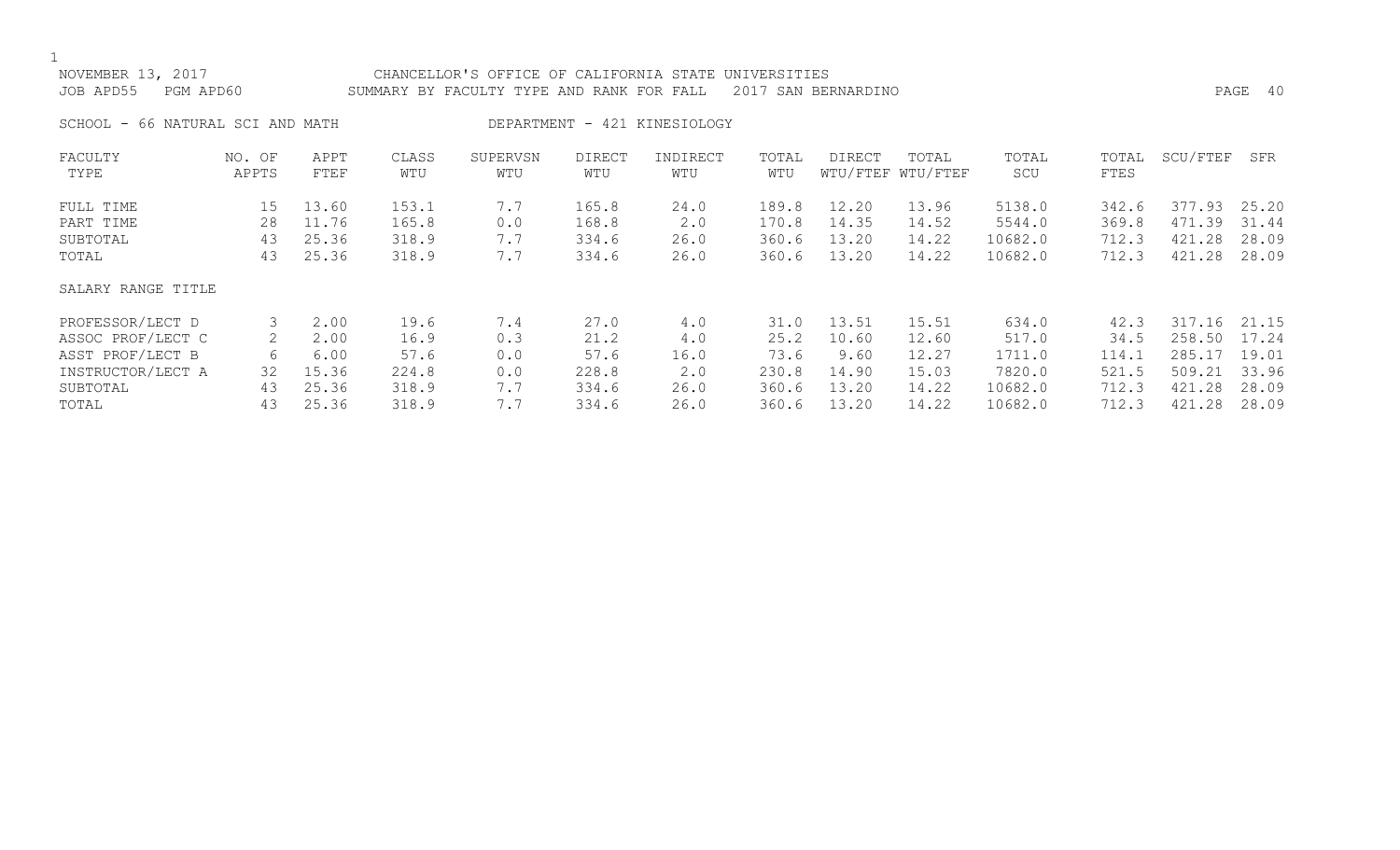| NOVEMBER 13, 2017<br>JOB APD55<br>PGM APD60 |                 |              |              | CHANCELLOR'S OFFICE OF CALIFORNIA STATE UNIVERSITIES<br>SUMMARY BY FACULTY TYPE AND RANK FOR FALL 2017 SAN BERNARDINO |               |                              |              |        |                            |              |               |          | PAGE 40 |
|---------------------------------------------|-----------------|--------------|--------------|-----------------------------------------------------------------------------------------------------------------------|---------------|------------------------------|--------------|--------|----------------------------|--------------|---------------|----------|---------|
| SCHOOL - 66 NATURAL SCI AND MATH            |                 |              |              |                                                                                                                       |               | DEPARTMENT - 421 KINESIOLOGY |              |        |                            |              |               |          |         |
| FACULTY<br>TYPE                             | NO. OF<br>APPTS | APPT<br>FTEF | CLASS<br>WTU | SUPERVSN<br>WTU                                                                                                       | DIRECT<br>WTU | INDIRECT<br>WTU              | TOTAL<br>WTU | DIRECT | TOTAL<br>WTU/FTEF WTU/FTEF | TOTAL<br>SCU | TOTAL<br>FTES | SCU/FTEF | SFR     |

| FULL TIME          | 15 | 13.60 | 153.1 | 7.7 | 165.8 | 24.0 | 189.8 | 12.20 | 13.96 | 5138.0  | 342.6 | 377.93 | 25.20 |
|--------------------|----|-------|-------|-----|-------|------|-------|-------|-------|---------|-------|--------|-------|
| PART TIME          | 28 | 11.76 | 165.8 | 0.0 | 168.8 | 2.0  | 170.8 | 14.35 | 14.52 | 5544.0  | 369.8 | 471.39 | 31.44 |
| SUBTOTAL           | 43 | 25.36 | 318.9 | 7.7 | 334.6 | 26.0 | 360.6 | 13.20 | 14.22 | 10682.0 | 712.3 | 421.28 | 28.09 |
| TOTAL              | 43 | 25.36 | 318.9 | 7.7 | 334.6 | 26.0 | 360.6 | 13.20 | 14.22 | 10682.0 | 712.3 | 421.28 | 28.09 |
| SALARY RANGE TITLE |    |       |       |     |       |      |       |       |       |         |       |        |       |
| PROFESSOR/LECT D   | 3  | 2.00  | 19.6  | 7.4 | 27.0  | 4.0  | 31.0  | 13.51 | 15.51 | 634.0   | 42.3  | 317.16 | 21.15 |
| ASSOC PROF/LECT C  | 2  | 2.00  | 16.9  | 0.3 | 21.2  | 4.0  | 25.2  | 10.60 | 12.60 | 517.0   | 34.5  | 258.50 | 17.24 |
| ASST PROF/LECT B   | 6  | 6.00  | 57.6  | 0.0 | 57.6  | 16.0 | 73.6  | 9.60  | 12.27 | 1711.0  | 114.1 | 285.17 | 19.01 |
| INSTRUCTOR/LECT A  | 32 | 15.36 | 224.8 | 0.0 | 228.8 | 2.0  | 230.8 | 14.90 | 15.03 | 7820.0  | 521.5 | 509.21 | 33.96 |
| SUBTOTAL           | 43 | 25.36 | 318.9 | 7.7 | 334.6 | 26.0 | 360.6 | 13.20 | 14.22 | 10682.0 | 712.3 | 421.28 | 28.09 |
| TOTAL              | 43 | 25.36 | 318.9 | 7.7 | 334.6 | 26.0 | 360.6 | 13.20 | 14.22 | 10682.0 | 712.3 | 421.28 | 28.09 |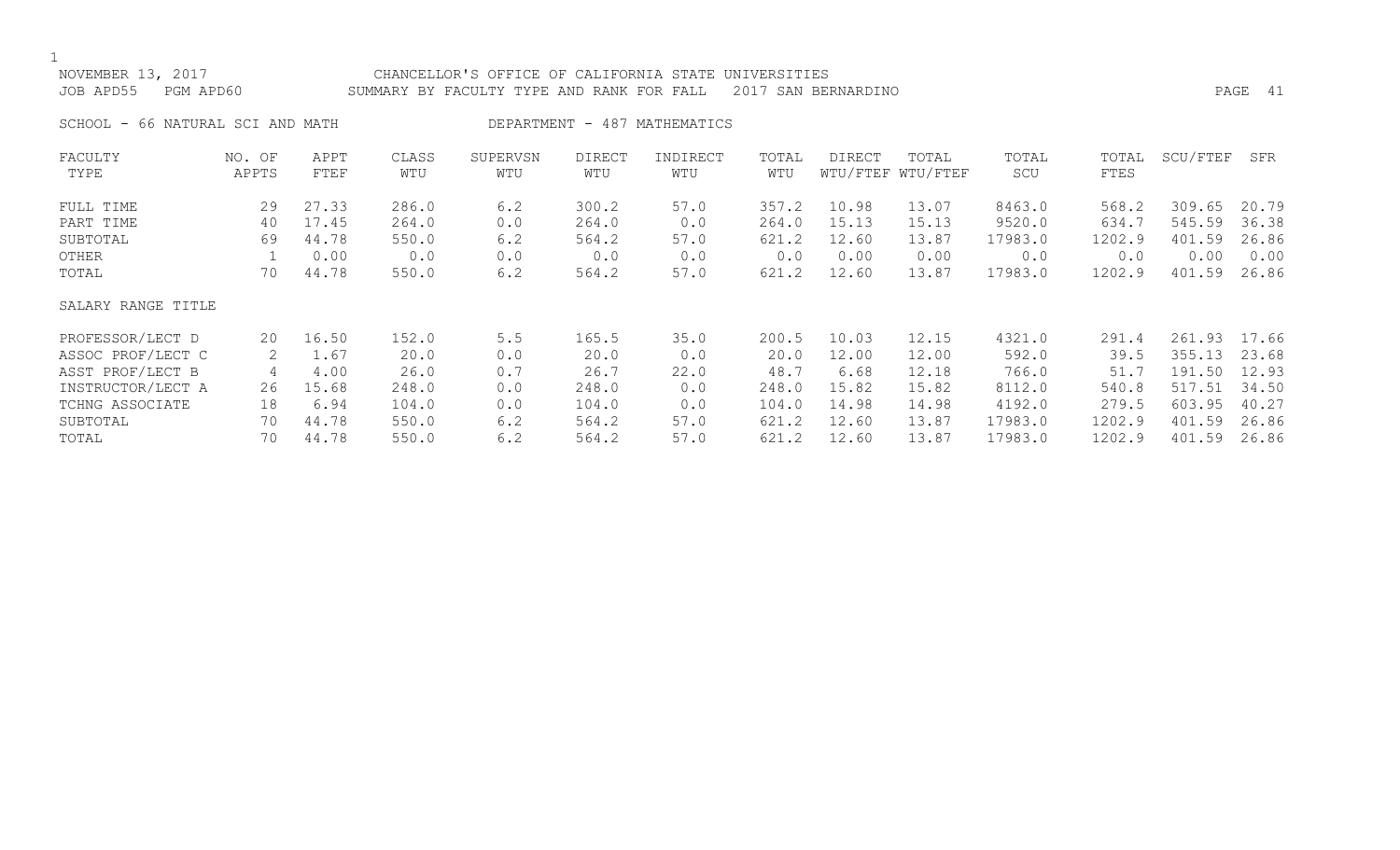## NOVEMBER 13, 2017 CHANCELLOR'S OFFICE OF CALIFORNIA STATE UNIVERSITIES JOB APD55 PGM APD60 SUMMARY BY FACULTY TYPE AND RANK FOR FALL 2017 SAN BERNARDINO PAGE 41

SCHOOL - 66 NATURAL SCI AND MATH DEPARTMENT - 487 MATHEMATICS

| FACULTY            | NO. OF | APPT  | CLASS | SUPERVSN | <b>DIRECT</b> | INDIRECT | TOTAL | DIRECT | TOTAL             | TOTAL   | TOTAL  | SCU/FTEF     | SFR   |
|--------------------|--------|-------|-------|----------|---------------|----------|-------|--------|-------------------|---------|--------|--------------|-------|
| TYPE               | APPTS  | FTEF  | WTU   | WTU      | WTU           | WTU      | WTU   |        | WTU/FTEF WTU/FTEF | SCU     | FTES   |              |       |
| FULL TIME          | 29     | 27.33 | 286.0 | 6.2      | 300.2         | 57.0     | 357.2 | 10.98  | 13.07             | 8463.0  | 568.2  | 309.65       | 20.79 |
| PART TIME          | 40     | 17.45 | 264.0 | 0.0      | 264.0         | 0.0      | 264.0 | 15.13  | 15.13             | 9520.0  | 634.7  | 545.59       | 36.38 |
| SUBTOTAL           | 69     | 44.78 | 550.0 | 6.2      | 564.2         | 57.0     | 621.2 | 12.60  | 13.87             | 17983.0 | 1202.9 | 401.59       | 26.86 |
| OTHER              |        | 0.00  | 0.0   | 0.0      | 0.0           | 0.0      | 0.0   | 0.00   | 0.00              | 0.0     | 0.0    | 0.00         | 0.00  |
| TOTAL              | 70     | 44.78 | 550.0 | 6.2      | 564.2         | 57.0     | 621.2 | 12.60  | 13.87             | 17983.0 | 1202.9 | 401.59       | 26.86 |
| SALARY RANGE TITLE |        |       |       |          |               |          |       |        |                   |         |        |              |       |
| PROFESSOR/LECT D   | 20     | 16.50 | 152.0 | 5.5      | 165.5         | 35.0     | 200.5 | 10.03  | 12.15             | 4321.0  | 291.4  | 261.93 17.66 |       |
| ASSOC PROF/LECT C  | 2      | 1.67  | 20.0  | 0.0      | 20.0          | 0.0      | 20.0  | 12.00  | 12.00             | 592.0   | 39.5   | 355.13       | 23.68 |
| ASST PROF/LECT B   | 4      | 4.00  | 26.0  | 0.7      | 26.7          | 22.0     | 48.7  | 6.68   | 12.18             | 766.0   | 51.7   | 191.50       | 12.93 |
| INSTRUCTOR/LECT A  | 26     | 15.68 | 248.0 | 0.0      | 248.0         | 0.0      | 248.0 | 15.82  | 15.82             | 8112.0  | 540.8  | 517.51       | 34.50 |
| TCHNG ASSOCIATE    | 18     | 6.94  | 104.0 | 0.0      | 104.0         | 0.0      | 104.0 | 14.98  | 14.98             | 4192.0  | 279.5  | 603.95       | 40.27 |
| SUBTOTAL           | 70     | 44.78 | 550.0 | 6.2      | 564.2         | 57.0     | 621.2 | 12.60  | 13.87             | 17983.0 | 1202.9 | 401.59       | 26.86 |
| TOTAL              | 70     | 44.78 | 550.0 | 6.2      | 564.2         | 57.0     | 621.2 | 12.60  | 13.87             | 17983.0 | 1202.9 | 401.59       | 26.86 |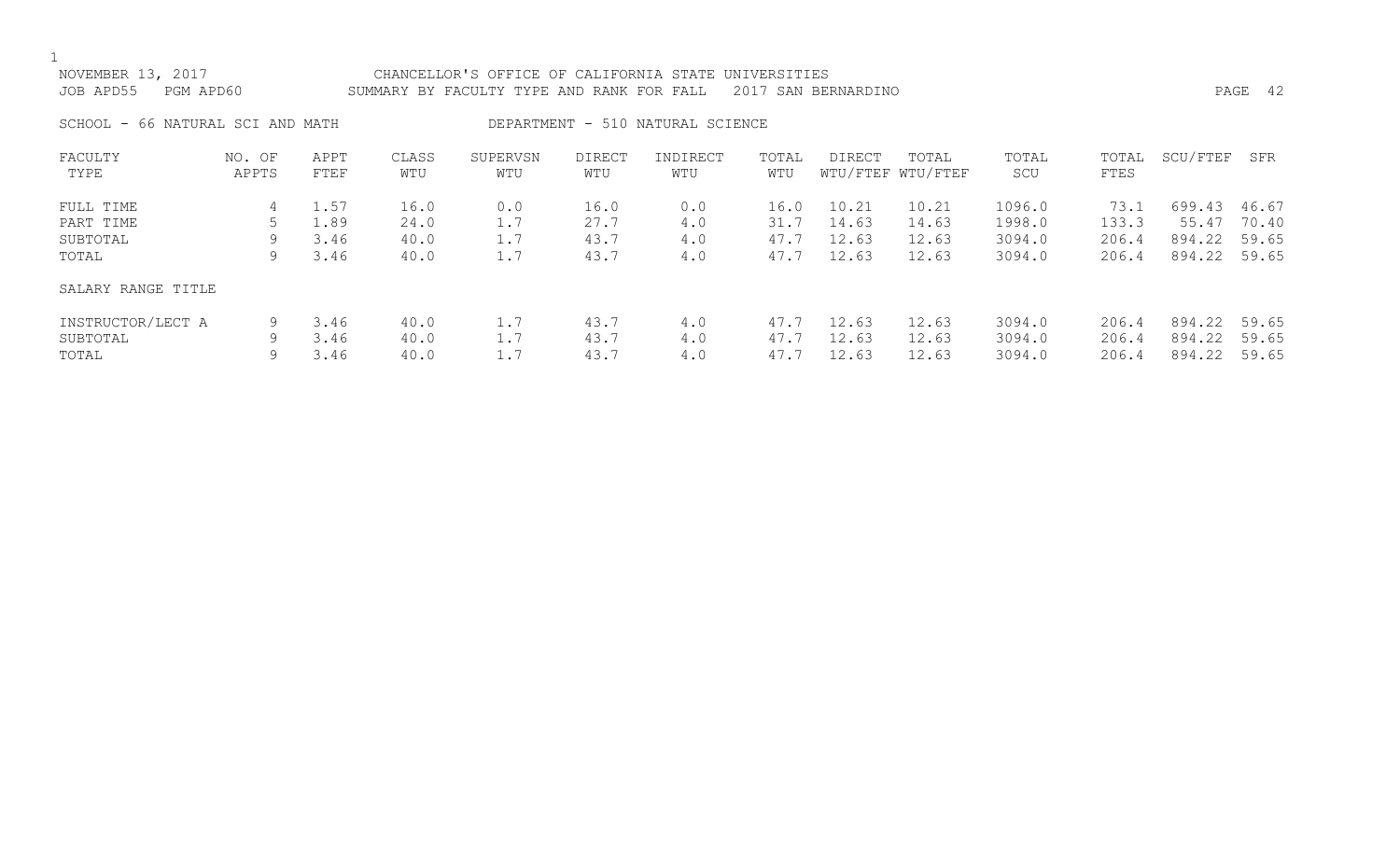| NOVEMBER 13, 2017<br>CHANCELLOR'S OFFICE OF CALIFORNIA STATE UNIVERSITIES<br>PGM APD60<br>JOB APD55<br>2017 SAN BERNARDINO<br>SUMMARY BY FACULTY TYPE AND RANK FOR FALL |                 |              |              |                 |               |                                  |              |        |                            |              |               |              | PAGE 42 |
|-------------------------------------------------------------------------------------------------------------------------------------------------------------------------|-----------------|--------------|--------------|-----------------|---------------|----------------------------------|--------------|--------|----------------------------|--------------|---------------|--------------|---------|
| SCHOOL - 66 NATURAL SCI AND MATH                                                                                                                                        |                 |              |              |                 |               | DEPARTMENT - 510 NATURAL SCIENCE |              |        |                            |              |               |              |         |
| FACULTY<br>TYPE                                                                                                                                                         | NO. OF<br>APPTS | APPT<br>FTEF | CLASS<br>WTU | SUPERVSN<br>WTU | DIRECT<br>WTU | INDIRECT<br>WTU                  | TOTAL<br>WTU | DIRECT | TOTAL<br>WTU/FTEF WTU/FTEF | TOTAL<br>SCU | TOTAL<br>FTES | SCU/FTEF     | SFR     |
| FULL TIME                                                                                                                                                               |                 | 1.57         | 16.0         | 0.0             | 16.0          | 0.0                              | 16.0         | 10.21  | 10.21                      | 1096.0       | 73.1          | 699.43 46.67 |         |

| PART TIME          |   | 1.89 | 24.0 |     | 27.7 | 4.0 | 31.7 | 14.63 | 14.63 | 1998.0 | 133.3 | 55.47        | 70.40 |
|--------------------|---|------|------|-----|------|-----|------|-------|-------|--------|-------|--------------|-------|
| SUBTOTAL           | 9 | 3.46 | 40.0 | 1.7 | 43.7 | 4.0 | 47.7 | 12.63 | 12.63 | 3094.0 | 206.4 | 894.22 59.65 |       |
| TOTAL              | 9 | 3.46 | 40.0 | 1.7 | 43.7 | 4.0 | 47.7 | 12.63 | 12.63 | 3094.0 | 206.4 | 894.22 59.65 |       |
| SALARY RANGE TITLE |   |      |      |     |      |     |      |       |       |        |       |              |       |
| INSTRUCTOR/LECT A  |   | 3.46 | 40.0 |     | 43.7 | 4.0 | 47.7 | 12.63 | 12.63 | 3094.0 | 206.4 | 894.22 59.65 |       |
| SUBTOTAL           | Q | 3.46 | 40.0 |     | 43.7 | 4.0 | 47.7 | 12.63 | 12.63 | 3094.0 | 206.4 | 894.22       | 59.65 |
| TOTAL              | 9 | 3.46 | 40.0 | 1.7 | 43.7 | 4.0 | 47.7 | 12.63 | 12.63 | 3094.0 | 206.4 | 894.22       | 59.65 |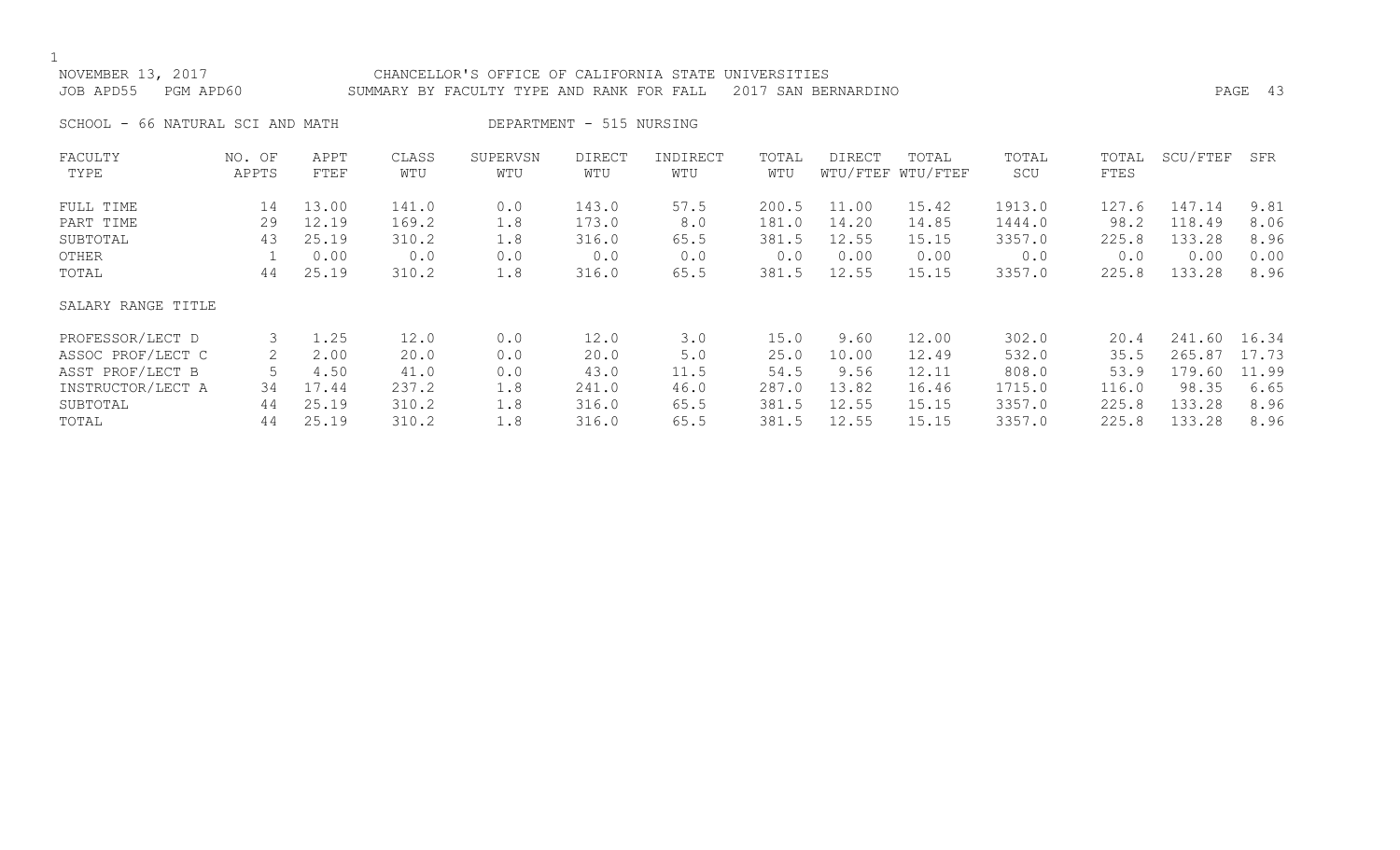## NOVEMBER 13, 2017 CHANCELLOR'S OFFICE OF CALIFORNIA STATE UNIVERSITIES JOB APD55 PGM APD60 SUMMARY BY FACULTY TYPE AND RANK FOR FALL 2017 SAN BERNARDINO PAGE 43

SCHOOL - 66 NATURAL SCI AND MATH DEPARTMENT - 515 NURSING

| FACULTY            | NO. OF | APPT  | CLASS | SUPERVSN | <b>DIRECT</b> | INDIRECT | TOTAL | DIRECT | TOTAL             | TOTAL  | TOTAL | SCU/FTEF | SFR   |
|--------------------|--------|-------|-------|----------|---------------|----------|-------|--------|-------------------|--------|-------|----------|-------|
| TYPE               | APPTS  | FTEF  | WTU   | WTU      | WTU           | WTU      | WTU   |        | WTU/FTEF WTU/FTEF | SCU    | FTES  |          |       |
| FULL TIME          | 14     | 13.00 | 141.0 | 0.0      | 143.0         | 57.5     | 200.5 | 11.00  | 15.42             | 1913.0 | 127.6 | 147.14   | 9.81  |
| PART TIME          | 29     | 12.19 | 169.2 | 1.8      | 173.0         | 8.0      | 181.0 | 14.20  | 14.85             | 1444.0 | 98.2  | 118.49   | 8.06  |
| SUBTOTAL           | 43     | 25.19 | 310.2 | 1.8      | 316.0         | 65.5     | 381.5 | 12.55  | 15.15             | 3357.0 | 225.8 | 133.28   | 8.96  |
| OTHER              |        | 0.00  | 0.0   | 0.0      | 0.0           | 0.0      | 0.0   | 0.00   | 0.00              | 0.0    | 0.0   | 0.00     | 0.00  |
| TOTAL              | 44     | 25.19 | 310.2 | 1.8      | 316.0         | 65.5     | 381.5 | 12.55  | 15.15             | 3357.0 | 225.8 | 133.28   | 8.96  |
| SALARY RANGE TITLE |        |       |       |          |               |          |       |        |                   |        |       |          |       |
| PROFESSOR/LECT D   | 3      | 1.25  | 12.0  | 0.0      | 12.0          | 3.0      | 15.0  | 9.60   | 12.00             | 302.0  | 20.4  | 241.60   | 16.34 |
| ASSOC PROF/LECT C  |        | 2.00  | 20.0  | 0.0      | 20.0          | 5.0      | 25.0  | 10.00  | 12.49             | 532.0  | 35.5  | 265.87   | 17.73 |
| ASST PROF/LECT B   |        | 4.50  | 41.0  | 0.0      | 43.0          | 11.5     | 54.5  | 9.56   | 12.11             | 808.0  | 53.9  | 179.60   | 11.99 |
| INSTRUCTOR/LECT A  | 34     | 17.44 | 237.2 | 1.8      | 241.0         | 46.0     | 287.0 | 13.82  | 16.46             | 1715.0 | 116.0 | 98.35    | 6.65  |
| SUBTOTAL           | 44     | 25.19 | 310.2 | 1.8      | 316.0         | 65.5     | 381.5 | 12.55  | 15.15             | 3357.0 | 225.8 | 133.28   | 8.96  |
| TOTAL              | 44     | 25.19 | 310.2 | 1.8      | 316.0         | 65.5     | 381.5 | 12.55  | 15.15             | 3357.0 | 225.8 | 133.28   | 8.96  |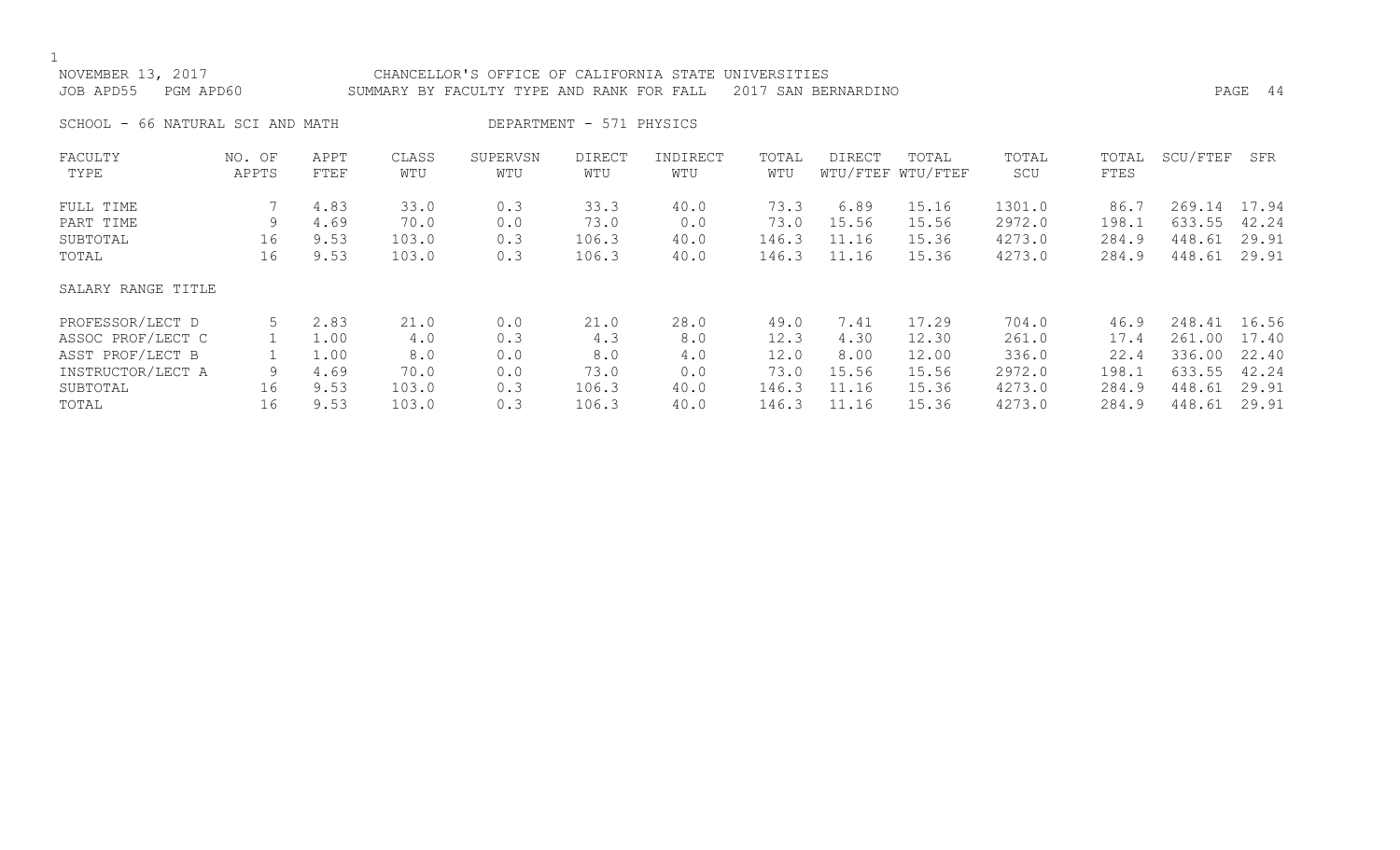# NOVEMBER 13, 2017 CHANCELLOR'S OFFICE OF CALIFORNIA STATE UNIVERSITIES JOB APD55 PGM APD60 SUMMARY BY FACULTY TYPE AND RANK FOR FALL 2017 SAN BERNARDINO PAGE 44 SCHOOL - 66 NATURAL SCI AND MATH DEPARTMENT - 571 PHYSICS FACULTY NO. OF APPT CLASS SUPERVSN DIRECT INDIRECT TOTAL DIRECT TOTAL TOTAL TOTAL SCU/FTEF SFR TYPE APPTS FTEF WTU WTU WTU WTU WTU WTU/FTEF WTU/FTEF SCU FTES FULL TIME 7 4.83 33.0 33.3 40.0 73.3 6.89 15.16 1301.0 86.7 269.14 17.94<br>PART TIME 9 4.69 70.0 0

PART TIME 9 4.69 70.0 0.0 73.0 0.0 73.0 15.56 15.56 2972.0 198.1 633.55 42.24 SUBTOTAL 16 9.53 103.0 0.3 106.3 40.0 146.3 11.16 15.36 4273.0 284.9 448.61 29.91 TOTAL 16 9.53 103.0 0.3 106.3 40.0 146.3 11.16 15.36 4273.0 284.9 448.61 29.91

| SALARY RANGE TITLE |    |      |       |     |       |      |       |       |       |        |       |              |  |
|--------------------|----|------|-------|-----|-------|------|-------|-------|-------|--------|-------|--------------|--|
| PROFESSOR/LECT D   | 5  | 2.83 | 21.0  | 0.0 | 21.0  | 28.0 | 49.0  | 7.41  | 17.29 | 704.0  | 46.9  | 248.41 16.56 |  |
| ASSOC PROF/LECT C  |    | 1.00 | 4.0   | 0.3 | 4.3   | 8.0  | 12.3  | 4.30  | 12.30 | 261.0  | 17.4  | 261.00 17.40 |  |
| ASST PROF/LECT B   |    | 1.00 | 8.0   | 0.0 | 8.0   | 4.0  | 12.0  | 8.00  | 12.00 | 336.0  | 22.4  | 336.00 22.40 |  |
| INSTRUCTOR/LECT A  |    | 4.69 | 70.0  | 0.0 | 73.0  | 0.0  | 73.0  | 15.56 | 15.56 | 2972.0 | 198.1 | 633.55 42.24 |  |
| SUBTOTAL           | 16 | 9.53 | 103.0 | 0.3 | 106.3 | 40.0 | 146.3 | 11.16 | 15.36 | 4273.0 | 284.9 | 448.61 29.91 |  |
| TOTAL              | 16 | 9.53 | 103.0 | 0.3 | 106.3 | 40.0 | 146.3 | 11.16 | 15.36 | 4273.0 | 284.9 | 448.61 29.91 |  |
|                    |    |      |       |     |       |      |       |       |       |        |       |              |  |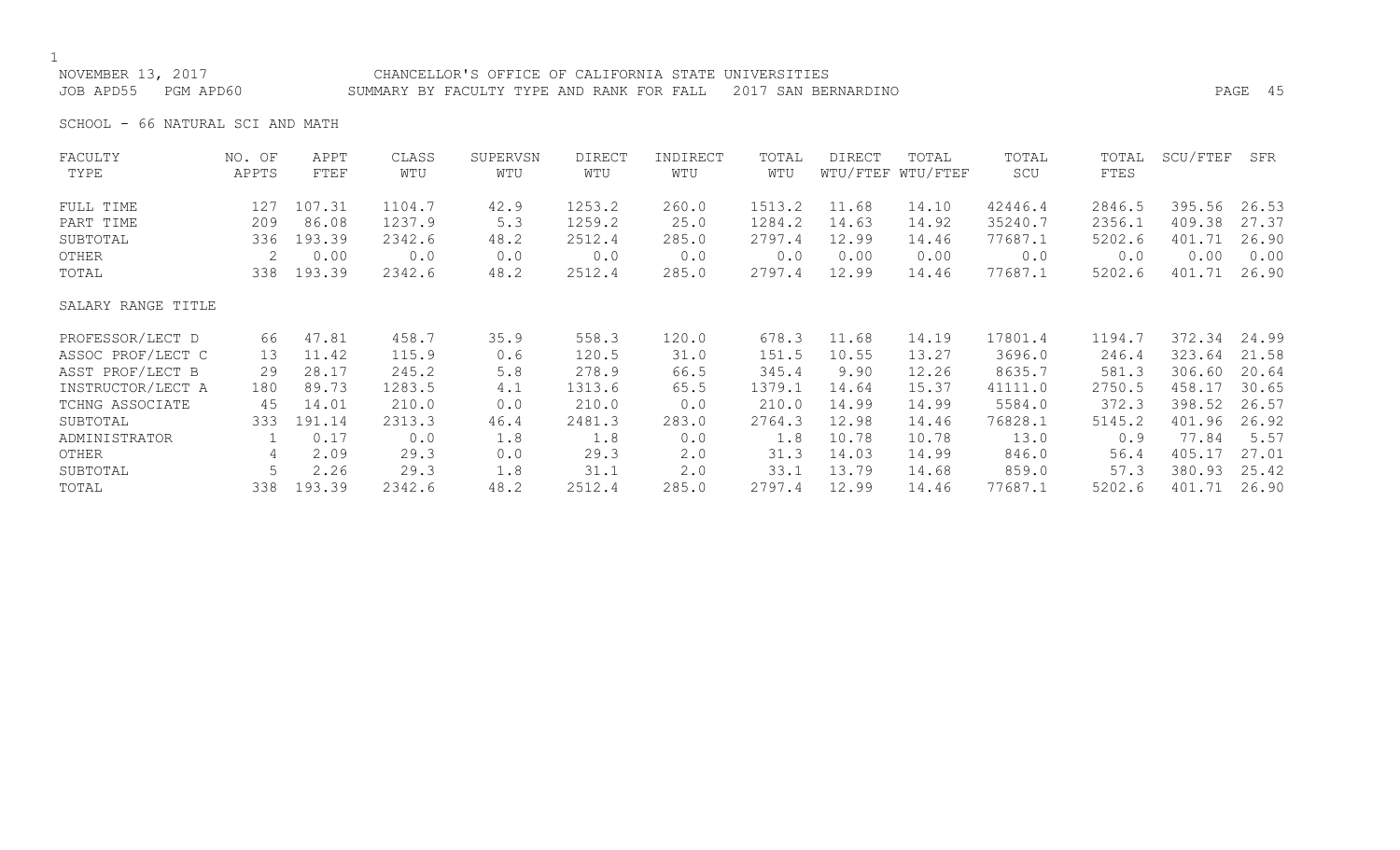# NOVEMBER 13, 2017 CHANCELLOR'S OFFICE OF CALIFORNIA STATE UNIVERSITIES

JOB APD55 PGM APD60 SUMMARY BY FACULTY TYPE AND RANK FOR FALL 2017 SAN BERNARDINO PAGE 45

SCHOOL - 66 NATURAL SCI AND MATH

| FACULTY            | NO. OF          | APPT   | CLASS  | SUPERVSN | <b>DIRECT</b> | INDIRECT | TOTAL  | DIRECT | TOTAL             | TOTAL   | TOTAL  | SCU/FTEF | SFR   |
|--------------------|-----------------|--------|--------|----------|---------------|----------|--------|--------|-------------------|---------|--------|----------|-------|
| TYPE               | APPTS           | FTEF   | WTU    | WTU      | WTU           | WTU      | WTU    |        | WTU/FTEF WTU/FTEF | SCU     | FTES   |          |       |
| FULL TIME          | 127             | 107.31 | 1104.7 | 42.9     | 1253.2        | 260.0    | 1513.2 | 11.68  | 14.10             | 42446.4 | 2846.5 | 395.56   | 26.53 |
| PART TIME          | 209             | 86.08  | 1237.9 | 5.3      | 1259.2        | 25.0     | 1284.2 | 14.63  | 14.92             | 35240.7 | 2356.1 | 409.38   | 27.37 |
| SUBTOTAL           | 336             | 193.39 | 2342.6 | 48.2     | 2512.4        | 285.0    | 2797.4 | 12.99  | 14.46             | 77687.1 | 5202.6 | 401.71   | 26.90 |
| OTHER              | 2               | 0.00   | 0.0    | 0.0      | 0.0           | 0.0      | 0.0    | 0.00   | 0.00              | 0.0     | 0.0    | 0.00     | 0.00  |
| TOTAL              | 338             | 193.39 | 2342.6 | 48.2     | 2512.4        | 285.0    | 2797.4 | 12.99  | 14.46             | 77687.1 | 5202.6 | 401.71   | 26.90 |
| SALARY RANGE TITLE |                 |        |        |          |               |          |        |        |                   |         |        |          |       |
| PROFESSOR/LECT D   | 66              | 47.81  | 458.7  | 35.9     | 558.3         | 120.0    | 678.3  | 11.68  | 14.19             | 17801.4 | 1194.7 | 372.34   | 24.99 |
| ASSOC PROF/LECT C  | 13 <sup>°</sup> | 11.42  | 115.9  | 0.6      | 120.5         | 31.0     | 151.5  | 10.55  | 13.27             | 3696.0  | 246.4  | 323.64   | 21.58 |
| ASST PROF/LECT B   | 29              | 28.17  | 245.2  | 5.8      | 278.9         | 66.5     | 345.4  | 9.90   | 12.26             | 8635.7  | 581.3  | 306.60   | 20.64 |
| INSTRUCTOR/LECT A  | 180             | 89.73  | 1283.5 | 4.1      | 1313.6        | 65.5     | 1379.1 | 14.64  | 15.37             | 41111.0 | 2750.5 | 458.17   | 30.65 |
| TCHNG ASSOCIATE    | 45              | 14.01  | 210.0  | 0.0      | 210.0         | 0.0      | 210.0  | 14.99  | 14.99             | 5584.0  | 372.3  | 398.52   | 26.57 |
| SUBTOTAL           | 333             | 191.14 | 2313.3 | 46.4     | 2481.3        | 283.0    | 2764.3 | 12.98  | 14.46             | 76828.1 | 5145.2 | 401.96   | 26.92 |
| ADMINISTRATOR      |                 | 0.17   | 0.0    | 1.8      | 1.8           | 0.0      | 1.8    | 10.78  | 10.78             | 13.0    | 0.9    | 77.84    | 5.57  |
| OTHER              | 4               | 2.09   | 29.3   | 0.0      | 29.3          | 2.0      | 31.3   | 14.03  | 14.99             | 846.0   | 56.4   | 405.17   | 27.01 |
| SUBTOTAL           |                 | 2.26   | 29.3   | 1.8      | 31.1          | 2.0      | 33.1   | 13.79  | 14.68             | 859.0   | 57.3   | 380.93   | 25.42 |
| TOTAL              | 338             | 193.39 | 2342.6 | 48.2     | 2512.4        | 285.0    | 2797.4 | 12.99  | 14.46             | 77687.1 | 5202.6 | 401.71   | 26.90 |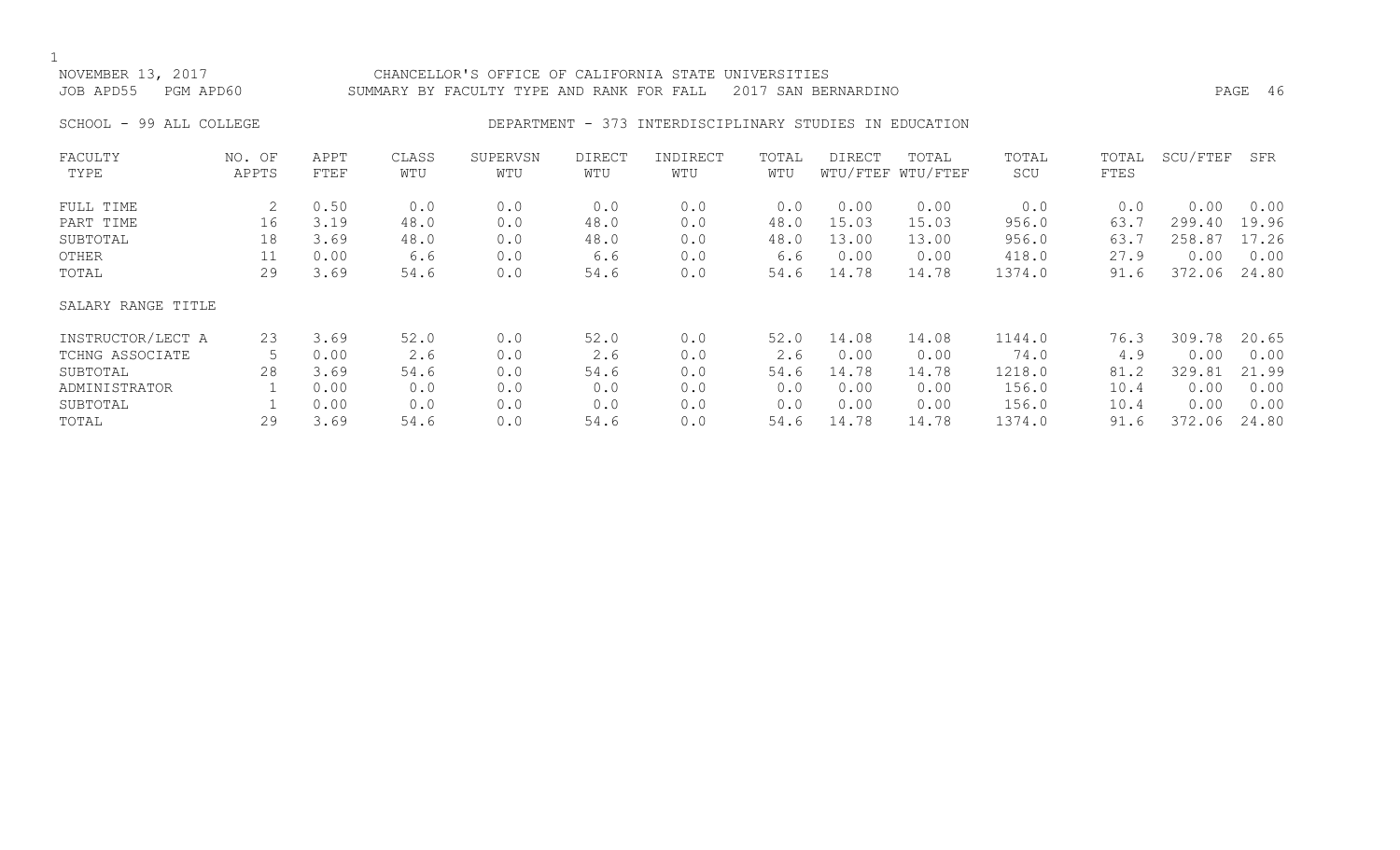## NOVEMBER 13, 2017 CHANCELLOR'S OFFICE OF CALIFORNIA STATE UNIVERSITIES JOB APD55 PGM APD60 SUMMARY BY FACULTY TYPE AND RANK FOR FALL 2017 SAN BERNARDINO

## SCHOOL - 99 ALL COLLEGE THE RESOLUTION DEPARTMENT - 373 INTERDISCIPLINARY STUDIES IN EDUCATION

| FACULTY            | NO. OF | APPT | CLASS | SUPERVSN | <b>DIRECT</b> | INDIRECT | TOTAL | DIRECT | TOTAL             | TOTAL  | TOTAL | SCU/FTEF | SFR   |
|--------------------|--------|------|-------|----------|---------------|----------|-------|--------|-------------------|--------|-------|----------|-------|
| TYPE               | APPTS  | FTEF | WTU   | WTU      | WTU           | WTU      | WTU   |        | WTU/FTEF WTU/FTEF | SCU    | FTES  |          |       |
| FULL TIME          | 2      | 0.50 | 0.0   | 0.0      | 0.0           | 0.0      | 0.0   | 0.00   | 0.00              | 0.0    | 0.0   | 0.00     | 0.00  |
| PART TIME          | 16     | 3.19 | 48.0  | 0.0      | 48.0          | 0.0      | 48.0  | 15.03  | 15.03             | 956.0  | 63.7  | 299.40   | 19.96 |
| SUBTOTAL           | 18     | 3.69 | 48.0  | 0.0      | 48.0          | 0.0      | 48.0  | 13.00  | 13.00             | 956.0  | 63.7  | 258.87   | 17.26 |
| OTHER              | 11     | 0.00 | 6.6   | 0.0      | 6.6           | 0.0      | 6.6   | 0.00   | 0.00              | 418.0  | 27.9  | 0.00     | 0.00  |
| TOTAL              | 29     | 3.69 | 54.6  | 0.0      | 54.6          | 0.0      | 54.6  | 14.78  | 14.78             | 1374.0 | 91.6  | 372.06   | 24.80 |
| SALARY RANGE TITLE |        |      |       |          |               |          |       |        |                   |        |       |          |       |
| INSTRUCTOR/LECT A  | 23     | 3.69 | 52.0  | 0.0      | 52.0          | 0.0      | 52.0  | 14.08  | 14.08             | 1144.0 | 76.3  | 309.78   | 20.65 |
| TCHNG ASSOCIATE    |        | 0.00 | 2.6   | 0.0      | 2.6           | 0.0      | 2.6   | 0.00   | 0.00              | 74.0   | 4.9   | 0.00     | 0.00  |
| SUBTOTAL           | 28     | 3.69 | 54.6  | 0.0      | 54.6          | 0.0      | 54.6  | 14.78  | 14.78             | 1218.0 | 81.2  | 329.81   | 21.99 |
| ADMINISTRATOR      |        | 0.00 | 0.0   | 0.0      | 0.0           | 0.0      | 0.0   | 0.00   | 0.00              | 156.0  | 10.4  | 0.00     | 0.00  |
| SUBTOTAL           |        | 0.00 | 0.0   | 0.0      | 0.0           | 0.0      | 0.0   | 0.00   | 0.00              | 156.0  | 10.4  | 0.00     | 0.00  |
| TOTAL              | 29     | 3.69 | 54.6  | 0.0      | 54.6          | 0.0      | 54.6  | 14.78  | 14.78             | 1374.0 | 91.6  | 372.06   | 24.80 |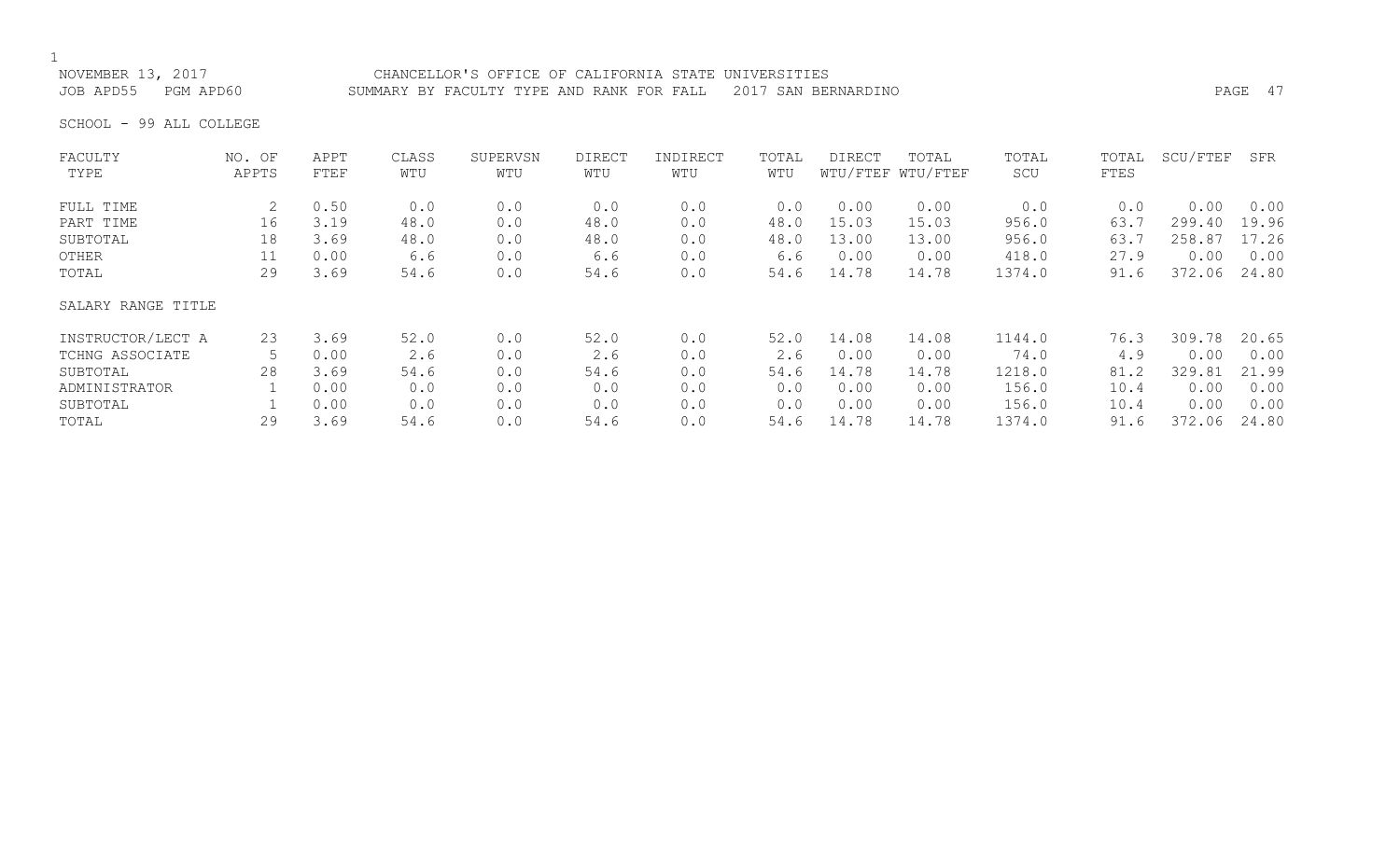JOB APD55 PGM APD60 SUMMARY BY FACULTY TYPE AND RANK FOR FALL 2017 SAN BERNARDINO PAGE 47

NOVEMBER 13, 2017 CHANCELLOR'S OFFICE OF CALIFORNIA STATE UNIVERSITIES

SCHOOL - 99 ALL COLLEGE

| FACULTY            | NO. OF | APPT | CLASS | SUPERVSN | <b>DIRECT</b> | INDIRECT | TOTAL | DIRECT | TOTAL             | TOTAL  | TOTAL | SCU/FTEF | SFR   |
|--------------------|--------|------|-------|----------|---------------|----------|-------|--------|-------------------|--------|-------|----------|-------|
| TYPE               | APPTS  | FTEF | WTU   | WTU      | WTU           | WTU      | WTU   |        | WTU/FTEF WTU/FTEF | SCU    | FTES  |          |       |
| FULL TIME          | 2      | 0.50 | 0.0   | 0.0      | 0.0           | 0.0      | 0.0   | 0.00   | 0.00              | 0.0    | 0.0   | 0.00     | 0.00  |
| PART TIME          | 16     | 3.19 | 48.0  | 0.0      | 48.0          | 0.0      | 48.0  | 15.03  | 15.03             | 956.0  | 63.7  | 299.40   | 19.96 |
| SUBTOTAL           | 18     | 3.69 | 48.0  | 0.0      | 48.0          | 0.0      | 48.0  | 13.00  | 13.00             | 956.0  | 63.7  | 258.87   | 17.26 |
| OTHER              | 11     | 0.00 | 6.6   | 0.0      | 6.6           | 0.0      | 6.6   | 0.00   | 0.00              | 418.0  | 27.9  | 0.00     | 0.00  |
| TOTAL              | 29     | 3.69 | 54.6  | 0.0      | 54.6          | 0.0      | 54.6  | 14.78  | 14.78             | 1374.0 | 91.6  | 372.06   | 24.80 |
| SALARY RANGE TITLE |        |      |       |          |               |          |       |        |                   |        |       |          |       |
| INSTRUCTOR/LECT A  | 23     | 3.69 | 52.0  | 0.0      | 52.0          | 0.0      | 52.0  | 14.08  | 14.08             | 1144.0 | 76.3  | 309.78   | 20.65 |
| TCHNG ASSOCIATE    |        | 0.00 | 2.6   | 0.0      | 2.6           | 0.0      | 2.6   | 0.00   | 0.00              | 74.0   | 4.9   | 0.00     | 0.00  |
| SUBTOTAL           | 28     | 3.69 | 54.6  | 0.0      | 54.6          | 0.0      | 54.6  | 14.78  | 14.78             | 1218.0 | 81.2  | 329.81   | 21.99 |
| ADMINISTRATOR      |        | 0.00 | 0.0   | 0.0      | 0.0           | 0.0      | 0.0   | 0.00   | 0.00              | 156.0  | 10.4  | 0.00     | 0.00  |
| SUBTOTAL           |        | 0.00 | 0.0   | 0.0      | 0.0           | 0.0      | 0.0   | 0.00   | 0.00              | 156.0  | 10.4  | 0.00     | 0.00  |
| TOTAL              | 29     | 3.69 | 54.6  | 0.0      | 54.6          | 0.0      | 54.6  | 14.78  | 14.78             | 1374.0 | 91.6  | 372.06   | 24.80 |